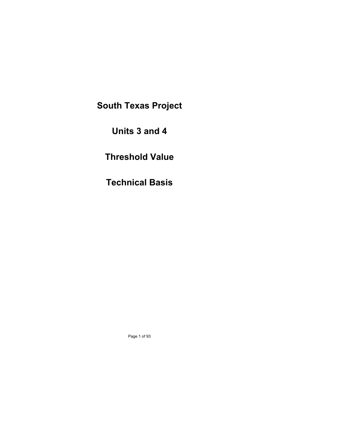**South Texas Project** 

**Units 3 and 4** 

**Threshold Value** 

**Technical Basis** 

Page 1 of 93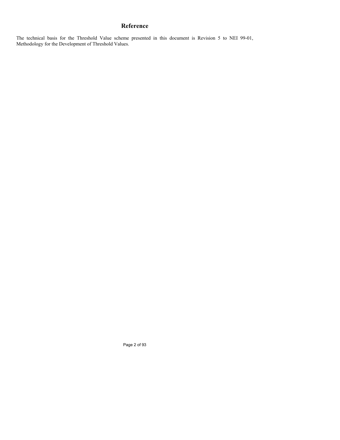# **Reference**

The technical basis for the Threshold Value scheme presented in this document is Revision 5 to NEI 99-01, Methodology for the Development of Threshold Values.

Page 2 of 93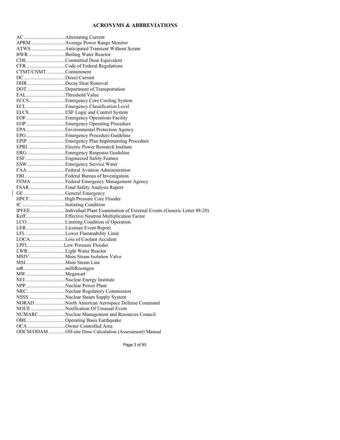## **ACRONYMS & ABBREVIATIONS**

|                          | APRM Average Power Range Monitor                                            |
|--------------------------|-----------------------------------------------------------------------------|
|                          | ATWS Anticipated Transient Without Scram                                    |
|                          | BWR Boiling Water Reactor                                                   |
|                          | CDECommitted Dose Equivalent                                                |
|                          | CFRCode of Federal Regulations                                              |
| CTMT/CNMTContainment     |                                                                             |
| DCDirect Current         |                                                                             |
| DHR Decay Heat Removal   |                                                                             |
|                          | DOT Department of Transportation                                            |
| EALThreshold Value       |                                                                             |
|                          | ECCSEmergency Core Cooling System                                           |
|                          |                                                                             |
|                          |                                                                             |
|                          |                                                                             |
|                          | EOP Emergency Operating Procedure                                           |
|                          | EPA Environmental Protection Agency                                         |
|                          | EPG Emergency Procedure Guideline                                           |
|                          | EPIP Emergency Plan Implementing Procedure                                  |
|                          | EPRIElectric Power Research Institute                                       |
|                          |                                                                             |
|                          |                                                                             |
|                          | ESW Emergency Service Water                                                 |
|                          | FAAFederal Aviation Administration                                          |
|                          | FBI Federal Bureau of Investigation                                         |
|                          | FEMA Federal Emergency Management Agency                                    |
|                          | FSARFinal Safety Analysis Report                                            |
| GE General Emergency     |                                                                             |
|                          | HPCFHigh Pressure Core Flooder                                              |
|                          |                                                                             |
|                          | IPEEEIndividual Plant Examination of External Events (Generic Letter 88-20) |
|                          |                                                                             |
|                          | LCOLimiting Condition of Operation                                          |
|                          | LERLicensee Event Report                                                    |
|                          | LFL Lower Flammability Limit                                                |
|                          | LOCALoss of Coolant Accident                                                |
| LPFLLow Pressure Flooder |                                                                             |
| LWRLight Water Reactor   |                                                                             |
|                          |                                                                             |
|                          |                                                                             |
|                          |                                                                             |
| MW Megawatt              |                                                                             |
|                          | NEINuclear Energy Institute                                                 |
|                          |                                                                             |
| NPP Nuclear Power Plant  | NRC Nuclear Regulatory Commission                                           |
|                          | NSSS Nuclear Steam Supply System                                            |
|                          | NORAD North American Aerospace Defense Command                              |
|                          | NOUE Notification Of Unusual Event                                          |
|                          | NUMARC Nuclear Management and Resources Council                             |
|                          | OBEOperating Basis Earthquake                                               |
|                          |                                                                             |
|                          | OCA Owner Controlled Area                                                   |
|                          | ODCM/ODAM Off-site Dose Calculation (Assessment) Manual                     |

 $\overline{\phantom{a}}$ 

Page 3 of 93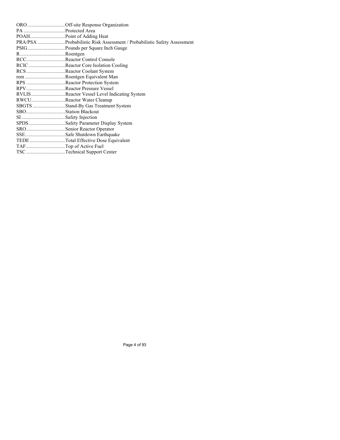|                        | ORO Off-site Response Organization                                      |
|------------------------|-------------------------------------------------------------------------|
|                        |                                                                         |
|                        |                                                                         |
|                        | PRA/PSA Probabilistic Risk Assessment / Probabilistic Safety Assessment |
|                        |                                                                         |
|                        |                                                                         |
|                        | RCCReactor Control Console                                              |
|                        | RCIC Reactor Core Isolation Cooling                                     |
|                        | RCS Reactor Coolant System                                              |
|                        | rem Roentgen Equivalent Man                                             |
|                        | RPS Reactor Protection System                                           |
|                        | RPVReactor Pressure Vessel                                              |
|                        | RVLIS Reactor Vessel Level Indicating System                            |
|                        | RWCUReactor Water Cleanup                                               |
|                        | SBGTS Stand-By Gas Treatment System                                     |
|                        |                                                                         |
|                        |                                                                         |
|                        | SPDSSafety Parameter Display System                                     |
|                        | SROSenior Reactor Operator                                              |
|                        |                                                                         |
|                        | TEDE Total Effective Dose Equivalent                                    |
| TAF Top of Active Fuel |                                                                         |
|                        | TSC Technical Support Center                                            |
|                        |                                                                         |

Page 4 of 93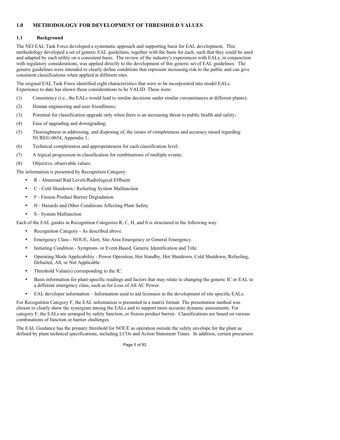### **1.0 METHODOLOGY FOR DEVELOPMENT OF THRESHOLD VALUES**

#### **1.1 Background**

The NEI EAL Task Force developed a systematic approach and supporting basis for EAL development. This methodology developed a set of generic EAL guidelines, together with the basis for each, such that they could be used and adapted by each utility on a consistent basis. The review of the industry's experiences with EALs, in conjunction with regulatory considerations, was applied directly to the development of this generic set of EAL guidelines. The generic guidelines were intended to clearly define conditions that represent increasing risk to the public and can give consistent classifications when applied at different sites.

The original EAL Task Force identified eight characteristics that were to be incorporated into model EALs. Experience to date has shown these considerations to be VALID. These were:

- (1) Consistency (i.e., the EALs would lead to similar decisions under similar circumstances at different plants);
- (2) Human engineering and user friendliness;
- (3) Potential for classification upgrade only when there is an increasing threat to public health and safety;
- (4) Ease of upgrading and downgrading;
- (5) Thoroughness in addressing, and disposing of, the issues of completeness and accuracy raised regarding NUREG-0654, Appendix 1;
- (6) Technical completeness and appropriateness for each classification level;
- (7) A logical progression in classification for combinations of multiple events;
- (8) Objective, observable values.

The information is presented by Recognition Category:

- $\bullet$ R - Abnormal Rad Levels/Radiological Effluent
- -C - Cold Shutdown./ Refueling System Malfunction
- -F - Fission Product Barrier Degradation
- -H - Hazards and Other Conditions Affecting Plant Safety
- -S - System Malfunction

Each of the EAL guides in Recognition Categories R, C, H, and S is structured in the following way:

- -Recognition Category - As described above.
- -Emergency Class - NOUE, Alert, Site Area Emergency or General Emergency.
- -Initiating Condition - Symptom- or Event-Based, Generic Identification and Title.
- - Operating Mode Applicability - Power Operation, Hot Standby, Hot Shutdown, Cold Shutdown, Refueling, Defueled, All, or Not Applicable.
- $\bullet$ Threshold Value(s) corresponding to the IC.
- - Basis information for plant-specific readings and factors that may relate to changing the generic IC or EAL to a different emergency class, such as for Loss of All AC Power.
- -EAL developer information – Information used to aid licensees in the development of site specific EALs.

For Recognition Category F, the EAL information is presented in a matrix format. The presentation method was chosen to clearly show the synergism among the EALs and to support more accurate dynamic assessments. For category F, the EALs are arranged by safety function, or fission product barrier. Classifications are based on various combinations of function or barrier challenges.

The EAL Guidance has the primary threshold for NOUE as operation outside the safety envelope for the plant as defined by plant technical specifications, including LCOs and Action Statement Times. In addition, certain precursors

Page 5 of 93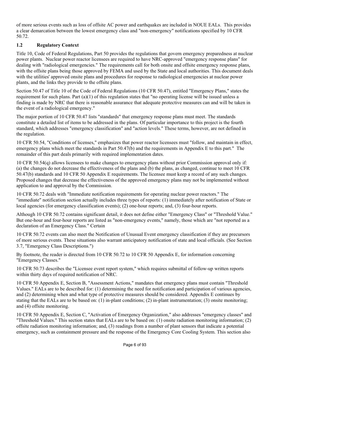of more serious events such as loss of offsite AC power and earthquakes are included in NOUE EALs. This provides a clear demarcation between the lowest emergency class and "non-emergency" notifications specified by 10 CFR 50.72.

#### **1.2 Regulatory Context**

Title 10, Code of Federal Regulations, Part 50 provides the regulations that govern emergency preparedness at nuclear power plants. Nuclear power reactor licensees are required to have NRC-approved "emergency response plans" for dealing with "radiological emergencies." The requirements call for both onsite and offsite emergency response plans, with the offsite plans being those approved by FEMA and used by the State and local authorities. This document deals with the utilities' approved onsite plans and procedures for response to radiological emergencies at nuclear power plants, and the links they provide to the offsite plans.

Section 50.47 of Title 10 of the Code of Federal Regulations (10 CFR 50.47), entitled "Emergency Plans," states the requirement for such plans. Part  $(a)(1)$  of this regulation states that "no operating license will be issued unless a finding is made by NRC that there is reasonable assurance that adequate protective measures can and will be taken in the event of a radiological emergency."

The major portion of 10 CFR 50.47 lists "standards" that emergency response plans must meet. The standards constitute a detailed list of items to be addressed in the plans. Of particular importance to this project is the fourth standard, which addresses "emergency classification" and "action levels." These terms, however, are not defined in the regulation.

10 CFR 50.54, "Conditions of licenses," emphasizes that power reactor licensees must "follow, and maintain in effect, emergency plans which meet the standards in Part 50.47(b) and the requirements in Appendix E to this part." The remainder of this part deals primarily with required implementation dates.

10 CFR 50.54(q) allows licensees to make changes to emergency plans without prior Commission approval only if: (a) the changes do not decrease the effectiveness of the plans and (b) the plans, as changed, continue to meet 10 CFR 50.47(b) standards and 10 CFR 50 Appendix E requirements. The licensee must keep a record of any such changes. Proposed changes that decrease the effectiveness of the approved emergency plans may not be implemented without application to and approval by the Commission.

10 CFR 50.72 deals with "Immediate notification requirements for operating nuclear power reactors." The "immediate" notification section actually includes three types of reports: (1) immediately after notification of State or local agencies (for emergency classification events); (2) one-hour reports; and, (3) four-hour reports.

Although 10 CFR 50.72 contains significant detail, it does not define either "Emergency Class" or "Threshold Value." But one-hour and four-hour reports are listed as "non-emergency events," namely, those which are "not reported as a declaration of an Emergency Class." Certain

10 CFR 50.72 events can also meet the Notification of Unusual Event emergency classification if they are precursors of more serious events. These situations also warrant anticipatory notification of state and local officials. (See Section 3.7, "Emergency Class Descriptions.")

By footnote, the reader is directed from 10 CFR 50.72 to 10 CFR 50 Appendix E, for information concerning "Emergency Classes."

10 CFR 50.73 describes the "Licensee event report system," which requires submittal of follow-up written reports within thirty days of required notification of NRC.

10 CFR 50 Appendix E, Section B, "Assessment Actions," mandates that emergency plans must contain "Threshold Values." EALs are to be described for: (1) determining the need for notification and participation of various agencies, and (2) determining when and what type of protective measures should be considered. Appendix E continues by stating that the EALs are to be based on: (1) in-plant conditions; (2) in-plant instrumentation; (3) onsite monitoring; and (4) offsite monitoring.

10 CFR 50 Appendix E, Section C, "Activation of Emergency Organization," also addresses "emergency classes" and "Threshold Values." This section states that EALs are to be based on: (1) onsite radiation monitoring information; (2) offsite radiation monitoring information; and, (3) readings from a number of plant sensors that indicate a potential emergency, such as containment pressure and the response of the Emergency Core Cooling System. This section also

Page 6 of 93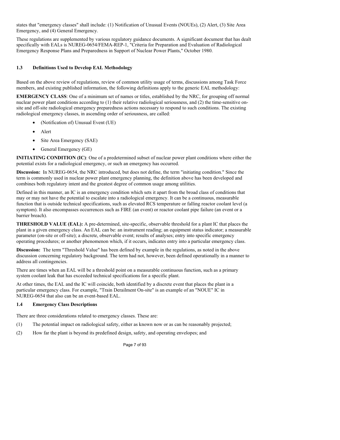states that "emergency classes" shall include: (1) Notification of Unusual Events (NOUEs), (2) Alert, (3) Site Area Emergency, and (4) General Emergency.

These regulations are supplemented by various regulatory guidance documents. A significant document that has dealt specifically with EALs is NUREG-0654/FEMA-REP-1, "Criteria for Preparation and Evaluation of Radiological Emergency Response Plans and Preparedness in Support of Nuclear Power Plants," October 1980.

#### **1.3 Definitions Used to Develop EAL Methodology**

Based on the above review of regulations, review of common utility usage of terms, discussions among Task Force members, and existing published information, the following definitions apply to the generic EAL methodology:

**EMERGENCY CLASS**: One of a minimum set of names or titles, established by the NRC, for grouping off normal nuclear power plant conditions according to (1) their relative radiological seriousness, and (2) the time-sensitive onsite and off-site radiological emergency preparedness actions necessary to respond to such conditions. The existing radiological emergency classes, in ascending order of seriousness, are called:

- (Notification of) Unusual Event (UE)
- Alert
- Site Area Emergency (SAE)
- General Emergency (GE)

**INITIATING CONDITION (IC)**: One of a predetermined subset of nuclear power plant conditions where either the potential exists for a radiological emergency, or such an emergency has occurred.

**Discussion:** In NUREG-0654, the NRC introduced, but does not define, the term "initiating condition." Since the term is commonly used in nuclear power plant emergency planning, the definition above has been developed and combines both regulatory intent and the greatest degree of common usage among utilities.

Defined in this manner, an IC is an emergency condition which sets it apart from the broad class of conditions that may or may not have the potential to escalate into a radiological emergency. It can be a continuous, measurable function that is outside technical specifications, such as elevated RCS temperature or falling reactor coolant level (a symptom). It also encompasses occurrences such as FIRE (an event) or reactor coolant pipe failure (an event or a barrier breach).

**THRESHOLD VALUE (EAL):** A pre-determined, site-specific, observable threshold for a plant IC that places the plant in a given emergency class. An EAL can be: an instrument reading; an equipment status indicator; a measurable parameter (on-site or off-site); a discrete, observable event; results of analyses; entry into specific emergency operating procedures; or another phenomenon which, if it occurs, indicates entry into a particular emergency class.

**Discussion:** The term "Threshold Value" has been defined by example in the regulations, as noted in the above discussion concerning regulatory background. The term had not, however, been defined operationally in a manner to address all contingencies.

There are times when an EAL will be a threshold point on a measurable continuous function, such as a primary system coolant leak that has exceeded technical specifications for a specific plant.

At other times, the EAL and the IC will coincide, both identified by a discrete event that places the plant in a particular emergency class. For example, "Train Derailment On-site" is an example of an "NOUE" IC in NUREG-0654 that also can be an event-based EAL.

#### **1.4 Emergency Class Descriptions**

There are three considerations related to emergency classes. These are:

- (1) The potential impact on radiological safety, either as known now or as can be reasonably projected;
- (2) How far the plant is beyond its predefined design, safety, and operating envelopes; and

Page 7 of 93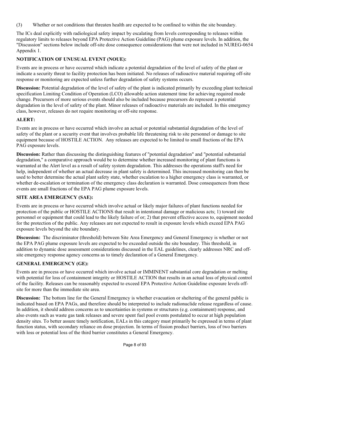(3) Whether or not conditions that threaten health are expected to be confined to within the site boundary.

The ICs deal explicitly with radiological safety impact by escalating from levels corresponding to releases within regulatory limits to releases beyond EPA Protective Action Guideline (PAG) plume exposure levels. In addition, the "Discussion" sections below include off-site dose consequence considerations that were not included in NUREG-0654 Appendix 1.

#### **NOTIFICATION OF UNUSUAL EVENT (NOUE):**

Events are in process or have occurred which indicate a potential degradation of the level of safety of the plant or indicate a security threat to facility protection has been initiated. No releases of radioactive material requiring off-site response or monitoring are expected unless further degradation of safety systems occurs.

**Discussion:** Potential degradation of the level of safety of the plant is indicated primarily by exceeding plant technical specification Limiting Condition of Operation (LCO) allowable action statement time for achieving required mode change. Precursors of more serious events should also be included because precursors do represent a potential degradation in the level of safety of the plant. Minor releases of radioactive materials are included. In this emergency class, however, releases do not require monitoring or off-site response.

#### **ALERT:**

Events are in process or have occurred which involve an actual or potential substantial degradation of the level of safety of the plant or a security event that involves probable life threatening risk to site personnel or damage to site equipment because of HOSTILE ACTION. Any releases are expected to be limited to small fractions of the EPA PAG exposure levels.

**Discussion:** Rather than discussing the distinguishing features of "potential degradation" and "potential substantial degradation," a comparative approach would be to determine whether increased monitoring of plant functions is warranted at the Alert level as a result of safety system degradation. This addresses the operations staff's need for help, independent of whether an actual decrease in plant safety is determined. This increased monitoring can then be used to better determine the actual plant safety state, whether escalation to a higher emergency class is warranted, or whether de-escalation or termination of the emergency class declaration is warranted. Dose consequences from these events are small fractions of the EPA PAG plume exposure levels.

#### **SITE AREA EMERGENCY (SAE):**

Events are in process or have occurred which involve actual or likely major failures of plant functions needed for protection of the public or HOSTILE ACTIONS that result in intentional damage or malicious acts; 1) toward site personnel or equipment that could lead to the likely failure of or; 2) that prevent effective access to, equipment needed for the protection of the public. Any releases are not expected to result in exposure levels which exceed EPA PAG exposure levels beyond the site boundary.

**Discussion:** The discriminator (threshold) between Site Area Emergency and General Emergency is whether or not the EPA PAG plume exposure levels are expected to be exceeded outside the site boundary. This threshold, in addition to dynamic dose assessment considerations discussed in the EAL guidelines, clearly addresses NRC and offsite emergency response agency concerns as to timely declaration of a General Emergency.

#### **GENERAL EMERGENCY (GE):**

Events are in process or have occurred which involve actual or IMMINENT substantial core degradation or melting with potential for loss of containment integrity or HOSTILE ACTION that results in an actual loss of physical control of the facility. Releases can be reasonably expected to exceed EPA Protective Action Guideline exposure levels offsite for more than the immediate site area.

**Discussion:** The bottom line for the General Emergency is whether evacuation or sheltering of the general public is indicated based on EPA PAGs, and therefore should be interpreted to include radionuclide release regardless of cause. In addition, it should address concerns as to uncertainties in systems or structures (e.g. containment) response, and also events such as waste gas tank releases and severe spent fuel pool events postulated to occur at high population density sites. To better assure timely notification, EALs in this category must primarily be expressed in terms of plant function status, with secondary reliance on dose projection. In terms of fission product barriers, loss of two barriers with loss or potential loss of the third barrier constitutes a General Emergency.

Page 8 of 93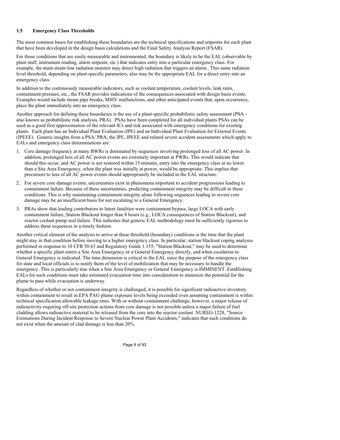#### **1.5 Emergency Class Thresholds**

The most common bases for establishing these boundaries are the technical specifications and setpoints for each plant that have been developed in the design basis calculations and the Final Safety Analysis Report (FSAR).

For those conditions that are easily measurable and instrumented, the boundary is likely to be the EAL (observable by plant staff, instrument reading, alarm setpoint, etc.) that indicates entry into a particular emergency class. For example, the main steam line radiation monitor may detect high radiation that triggers an alarm.. This same radiation level threshold, depending on plant-specific parameters, also may be the appropriate EAL for a direct entry into an emergency class.

In addition to the continuously measurable indicators, such as coolant temperature, coolant levels, leak rates, containment pressure, etc., the FSAR provides indications of the consequences associated with design basis events. Examples would include steam pipe breaks, MSIV malfunctions, and other anticipated events that, upon occurrence, place the plant immediately into an emergency class.

Another approach for defining these boundaries is the use of a plant-specific probabilistic safety assessment (PSA also known as probabilistic risk analysis, PRA). PSAs have been completed for all individual plants PSAs can be used as a good first approximation of the relevant ICs and risk associated with emergency conditions for existing plants. Each plant has an Individual Plant Evaluation (IPE) and an Individual Plant Evaluation for External Events (IPEEE). Generic insights from a PSA/ PRA, the IPE, IPEEE and related severe accident assessments which apply to EALs and emergency class determinations are:

- 1. Core damage frequency at many BWRs is dominated by sequences involving prolonged loss of all AC power. In addition, prolonged loss of all AC power events are extremely important at PWRs. This would indicate that should this occur, and AC power is not restored within 15 minutes, entry into the emergency class at no lower than a Site Area Emergency, when the plant was initially at power, would be appropriate. This implies that precursors to loss of all AC power events should appropriately be included in the EAL structure.
- 2. For severe core damage events, uncertainties exist in phenomena important to accident progressions leading to containment failure. Because of these uncertainties, predicting containment integrity may be difficult in these conditions. This is why maintaining containment integrity alone following sequences leading to severe core damage may be an insufficient basis for not escalating to a General Emergency.
- 3. PRAs show that leading contributors to latent fatalities were containment bypass, large LOCA with early containment failure, Station Blackout longer than 8 hours (e.g., LOCA consequences of Station Blackout), and reactor coolant pump seal failure. This indicates that generic EAL methodology must be sufficiently rigorous to address these sequences in a timely fashion.

Another critical element of the analysis to arrive at these threshold (boundary) conditions is the time that the plant might stay in that condition before moving to a higher emergency class. In particular, station blackout coping analyses performed in response to 10 CFR 50.63 and Regulatory Guide 1.155, "Station Blackout," may be used to determine whether a specific plant enters a Site Area Emergency or a General Emergency directly, and when escalation to General Emergency is indicated. The time dimension is critical to the EAL since the purpose of the emergency class for state and local officials is to notify them of the level of mobilization that may be necessary to handle the emergency. This is particularly true when a Site Area Emergency or General Emergency is IMMINENT. Establishing EALs for such conditions must take estimated evacuation time into consideration to minimize the potential for the plume to pass while evacuation is underway.

Regardless of whether or not containment integrity is challenged, it is possible for significant radioactive inventory within containment to result in EPA PAG plume exposure levels being exceeded even assuming containment is within technical specification allowable leakage rates. With or without containment challenge, however, a major release of radioactivity requiring off-site protection actions from core damage is not possible unless a major failure of fuel cladding allows radioactive material to be released from the core into the reactor coolant. NUREG-1228, "Source Estimations During Incident Response to Severe Nuclear Power Plant Accidents," indicates that such conditions do not exist when the amount of clad damage is less than 20%.

Page 9 of 93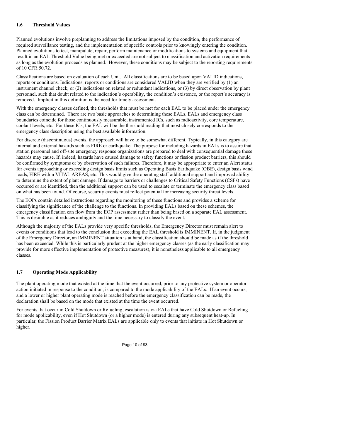#### **1.6 Threshold Values**

Planned evolutions involve preplanning to address the limitations imposed by the condition, the performance of required surveillance testing, and the implementation of specific controls prior to knowingly entering the condition. Planned evolutions to test, manipulate, repair, perform maintenance or modifications to systems and equipment that result in an EAL Threshold Value being met or exceeded are not subject to classification and activation requirements as long as the evolution proceeds as planned. However, these conditions may be subject to the reporting requirements of 10 CFR 50.72.

Classifications are based on evaluation of each Unit. All classifications are to be based upon VALID indications, reports or conditions. Indications, reports or conditions are considered VALID when they are verified by (1) an instrument channel check, or (2) indications on related or redundant indications, or (3) by direct observation by plant personnel, such that doubt related to the indication's operability, the condition's existence, or the report's accuracy is removed. Implicit in this definition is the need for timely assessment.

With the emergency classes defined, the thresholds that must be met for each EAL to be placed under the emergency class can be determined. There are two basic approaches to determining these EALs. EALs and emergency class boundaries coincide for those continuously measurable, instrumented ICs, such as radioactivity, core temperature, coolant levels, etc. For these ICs, the EAL will be the threshold reading that most closely corresponds to the emergency class description using the best available information.

For discrete (discontinuous) events, the approach will have to be somewhat different. Typically, in this category are internal and external hazards such as FIRE or earthquake. The purpose for including hazards in EALs is to assure that station personnel and off-site emergency response organizations are prepared to deal with consequential damage these hazards may cause. If, indeed, hazards have caused damage to safety functions or fission product barriers, this should be confirmed by symptoms or by observation of such failures. Therefore, it may be appropriate to enter an Alert status for events approaching or exceeding design basis limits such as Operating Basis Earthquake (OBE), design basis wind loads, FIRE within VITAL AREAS, etc. This would give the operating staff additional support and improved ability to determine the extent of plant damage. If damage to barriers or challenges to Critical Safety Functions (CSFs) have occurred or are identified, then the additional support can be used to escalate or terminate the emergency class based on what has been found. Of course, security events must reflect potential for increasing security threat levels.

The EOPs contain detailed instructions regarding the monitoring of these functions and provides a scheme for classifying the significance of the challenge to the functions. In providing EALs based on these schemes, the emergency classification can flow from the EOP assessment rather than being based on a separate EAL assessment. This is desirable as it reduces ambiguity and the time necessary to classify the event.

Although the majority of the EALs provide very specific thresholds, the Emergency Director must remain alert to events or conditions that lead to the conclusion that exceeding the EAL threshold is IMMINENT. If, in the judgment of the Emergency Director, an IMMINENT situation is at hand, the classification should be made as if the threshold has been exceeded. While this is particularly prudent at the higher emergency classes (as the early classification may provide for more effective implementation of protective measures), it is nonetheless applicable to all emergency classes.

#### **1.7 Operating Mode Applicability**

The plant operating mode that existed at the time that the event occurred, prior to any protective system or operator action initiated in response to the condition, is compared to the mode applicability of the EALs. If an event occurs, and a lower or higher plant operating mode is reached before the emergency classification can be made, the declaration shall be based on the mode that existed at the time the event occurred.

For events that occur in Cold Shutdown or Refueling, escalation is via EALs that have Cold Shutdown or Refueling for mode applicability, even if Hot Shutdown (or a higher mode) is entered during any subsequent heat-up. In particular, the Fission Product Barrier Matrix EALs are applicable only to events that initiate in Hot Shutdown or higher.

Page 10 of 93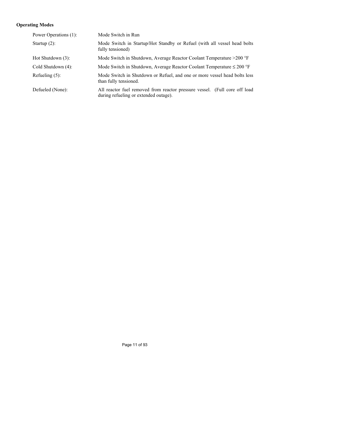## **Operating Modes**

| Power Operations (1): | Mode Switch in Run                                                                                                  |  |  |
|-----------------------|---------------------------------------------------------------------------------------------------------------------|--|--|
| Startup $(2)$ :       | Mode Switch in Startup/Hot Standby or Refuel (with all vessel head bolts<br>fully tensioned)                        |  |  |
| Hot Shutdown (3):     | Mode Switch in Shutdown, Average Reactor Coolant Temperature > 200 °F                                               |  |  |
| Cold Shutdown (4):    | Mode Switch in Shutdown, Average Reactor Coolant Temperature $\leq 200$ °F                                          |  |  |
| Refueling $(5)$ :     | Mode Switch in Shutdown or Refuel, and one or more vessel head bolts less<br>than fully tensioned.                  |  |  |
| Defueled (None):      | All reactor fuel removed from reactor pressure vessel. (Full core off load<br>during refueling or extended outage). |  |  |

Page 11 of 93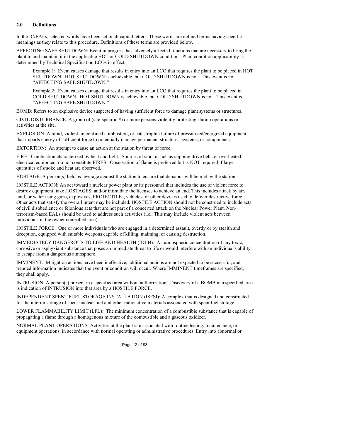#### **2.0 Definitions**

In the IC/EALs, selected words have been set in all capital letters. These words are defined terms having specific meanings as they relate to this procedure. Definitions of these terms are provided below.

AFFECTING SAFE SHUTDOWN: Event in progress has adversely affected functions that are necessary to bring the plant to and maintain it in the applicable HOT or COLD SHUTDOWN condition. Plant condition applicability is determined by Technical Specification LCOs in effect.

Example 1: Event causes damage that results in entry into an LCO that requires the plant to be placed in HOT SHUTDOWN. HOT SHUTDOWN is achievable, but COLD SHUTDOWN is not. This event is not "AFFECTING SAFE SHUTDOWN."

Example 2: Event causes damage that results in entry into an LCO that requires the plant to be placed in COLD SHUTDOWN. HOT SHUTDOWN is achievable, but COLD SHUTDOWN is not. This event is "AFFECTING SAFE SHUTDOWN."

BOMB: Refers to an explosive device suspected of having sufficient force to damage plant systems or structures.

CIVIL DISTURBANCE: A group of (site-specific #) or more persons violently protesting station operations or activities at the site.

EXPLOSION: A rapid, violent, unconfined combustion, or catastrophic failure of pressurized/energized equipment that imparts energy of sufficient force to potentially damage permanent structures, systems, or components.

EXTORTION: An attempt to cause an action at the station by threat of force.

FIRE: Combustion characterized by heat and light. Sources of smoke such as slipping drive belts or overheated electrical equipment do not constitute FIRES. Observation of flame is preferred but is NOT required if large quantities of smoke and heat are observed.

HOSTAGE: A person(s) held as leverage against the station to ensure that demands will be met by the station.

HOSTILE ACTION: An act toward a nuclear power plant or its personnel that includes the use of violent force to destroy equipment, take HOSTAGES, and/or intimidate the licensee to achieve an end. This includes attack by air, land, or water using guns, explosives, PROJECTILEs, vehicles, or other devices used to deliver destructive force. Other acts that satisfy the overall intent may be included. HOSTILE ACTION should not be construed to include acts of civil disobedience or felonious acts that are not part of a concerted attack on the Nuclear Power Plant. Nonterrorism-based EALs should be used to address such activities (i.e., This may include violent acts between individuals in the owner controlled area).

HOSTILE FORCE: One or more individuals who are engaged in a determined assault, overtly or by stealth and deception, equipped with suitable weapons capable of killing, maiming, or causing destruction.

IMMEDIATELY DANGEROUS TO LIFE AND HEALTH (IDLH): An atmospheric concentration of any toxic, corrosive or asphyxiant substance that poses an immediate threat to life or would interfere with an individual's ability to escape from a dangerous atmosphere.

IMMINENT: Mitigation actions have been ineffective, additional actions are not expected to be successful, and trended information indicates that the event or condition will occur. Where IMMINENT timeframes are specified, they shall apply.

INTRUSION: A person(s) present in a specified area without authorization. Discovery of a BOMB in a specified area is indication of INTRUSION into that area by a HOSTILE FORCE.

INDEPENDENT SPENT FUEL STORAGE INSTALLATION (ISFSI): A complex that is designed and constructed for the interim storage of spent nuclear fuel and other radioactive materials associated with spent fuel storage.

LOWER FLAMMABILITY LIMIT (LFL): The minimum concentration of a combustible substance that is capable of propagating a flame through a homogenous mixture of the combustible and a gaseous oxidizer.

NORMAL PLANT OPERATIONS: Activities at the plant site associated with routine testing, maintenance, or equipment operations, in accordance with normal operating or administrative procedures. Entry into abnormal or

Page 12 of 93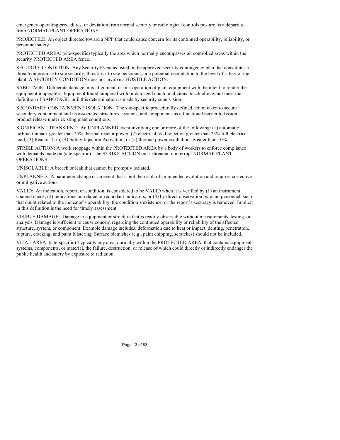emergency operating procedures, or deviation from normal security or radiological controls posture, is a departure from NORMAL PLANT OPERATIONS.

PROJECTILE: An object directed toward a NPP that could cause concern for its continued operability, reliability, or personnel safety.

PROTECTED AREA: (site-specific) typically the area which normally encompasses all controlled areas within the security PROTECTED AREA fence.

SECURITY CONDITION: Any Security Event as listed in the approved security contingency plan that constitutes a threat/compromise to site security, threat/risk to site personnel, or a potential degradation to the level of safety of the plant. A SECURITY CONDITION does not involve a HOSTILE ACTION.

SABOTAGE: Deliberate damage, mis-alignment, or mis-operation of plant equipment with the intent to render the equipment inoperable. Equipment found tampered with or damaged due to malicious mischief may not meet the definition of SABOTAGE until this determination is made by security supervision.

SECONDARY CONTAINMENT ISOLATION: The site-specific procedurally defined action taken to secure secondary containment and its associated structures, systems, and components as a functional barrier to fission product release under existing plant conditions.

SIGNIFICANT TRANSIENT: An UNPLANNED event involving one or more of the following: (1) automatic turbine runback greater than 25% thermal reactor power, (2) electrical load rejection greater than 25% full electrical load, (3) Reactor Trip, (4) Safety Injection Activation, or (5) thermal power oscillations greater than 10%.

STRIKE ACTION: A work stoppage within the PROTECTED AREA by a body of workers to enforce compliance with demands made on (site-specific). The STRIKE ACTION must threaten to interrupt NORMAL PLANT OPERATIONS.

UNISOLABLE: A breach or leak that cannot be promptly isolated.

UNPLANNED: A parameter change or an event that is not the result of an intended evolution and requires corrective or mitigative actions.

VALID: An indication, report, or condition, is considered to be VALID when it is verified by (1) an instrument channel check, (2) indications on related or redundant indicators, or (3) by direct observation by plant personnel, such that doubt related to the indicator's operability, the condition's existence, or the report's accuracy is removed. Implicit in this definition is the need for timely assessment.

VISIBLE DAMAGE: Damage to equipment or structure that is readily observable without measurements, testing, or analysis. Damage is sufficient to cause concern regarding the continued operability or reliability of the affected structure, system, or component. Example damage includes: deformation due to heat or impact, denting, penetration, rupture, cracking, and paint blistering. Surface blemishes (e.g., paint chipping, scratches) should not be included.

VITAL AREA: (site-specific) Typically any area, normally within the PROTECTED AREA, that contains equipment, systems, components, or material, the failure, destruction, or release of which could directly or indirectly endanger the public health and safety by exposure to radiation.

Page 13 of 93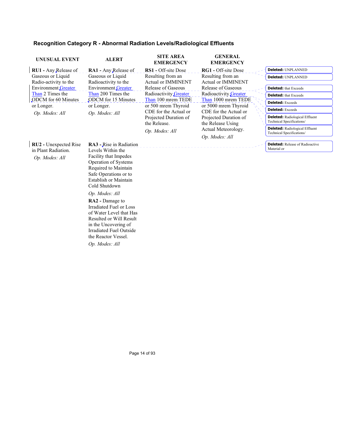|  |  | <b>Recognition Category R - Abnormal Radiation Levels/Radiological Effluents</b> |
|--|--|----------------------------------------------------------------------------------|
|--|--|----------------------------------------------------------------------------------|

| <b>UNUSUAL EVENT</b>                                           | <b>ALERT</b>                                                                                                                                                                                                                                                                                                                                                                                                      | <b>SITE AREA</b><br><b>EMERGENCY</b>      | <b>GENERAL</b><br><b>EMERGENCY</b>            |                                                                    |
|----------------------------------------------------------------|-------------------------------------------------------------------------------------------------------------------------------------------------------------------------------------------------------------------------------------------------------------------------------------------------------------------------------------------------------------------------------------------------------------------|-------------------------------------------|-----------------------------------------------|--------------------------------------------------------------------|
| RU1 - Any Release of                                           | RA1 - Any Release of                                                                                                                                                                                                                                                                                                                                                                                              | RS1 - Off-site Dose                       | RG1 - Off-site Dose                           | <b>Deleted: UNPLANNED</b>                                          |
| Gaseous or Liquid                                              | Gaseous or Liquid                                                                                                                                                                                                                                                                                                                                                                                                 | Resulting from an                         | Resulting from an                             | <b>Deleted: UNPLANNED</b>                                          |
| Radio-activity to the                                          | Radioactivity to the                                                                                                                                                                                                                                                                                                                                                                                              | <b>Actual or IMMINENT</b>                 | <b>Actual or IMMINENT</b>                     |                                                                    |
| Environment Greater                                            | Environment Greater                                                                                                                                                                                                                                                                                                                                                                                               | <b>Release of Gaseous</b>                 | <b>Release of Gaseous</b>                     | <b>Deleted:</b> that Exceeds                                       |
| Than 2 Times the                                               | Than 200 Times the                                                                                                                                                                                                                                                                                                                                                                                                | Radioactivity Greater                     | Radioactivity Greater                         | <b>Deleted:</b> that Exceeds                                       |
| ODCM for 60 Minutes                                            | ODCM for 15 Minutes                                                                                                                                                                                                                                                                                                                                                                                               | Than 100 mrem TEDE<br>or 500 mrem Thyroid | Than 1000 mrem TEDE                           | <b>Deleted:</b> Exceeds                                            |
| or Longer.                                                     | or Longer.                                                                                                                                                                                                                                                                                                                                                                                                        | CDE for the Actual or                     | or 5000 mrem Thyroid<br>CDE for the Actual or | <b>Deleted:</b> Exceeds                                            |
| Op. Modes: All                                                 | Op. Modes: All                                                                                                                                                                                                                                                                                                                                                                                                    | Projected Duration of<br>the Release.     | Projected Duration of<br>the Release Using    | <b>Deleted:</b> Radiological Effluent<br>Technical Specifications/ |
|                                                                |                                                                                                                                                                                                                                                                                                                                                                                                                   | Op. Modes: All                            | Actual Meteorology.<br>Op. Modes: All         | <b>Deleted:</b> Radiological Effluent<br>Technical Specifications/ |
| RU2 - Unexpected Rise<br>in Plant Radiation.<br>Op. Modes: All | RA3 - Rise in Radiation<br>Levels Within the<br>Facility that Impedes<br>Operation of Systems<br>Required to Maintain<br>Safe Operations or to<br>Establish or Maintain<br>Cold Shutdown<br>Op. Modes: All<br>RA2 - Damage to<br>Irradiated Fuel or Loss<br>of Water Level that Has<br>Resulted or Will Result<br>in the Uncovering of<br><b>Irradiated Fuel Outside</b><br>the Reactor Vessel.<br>Op. Modes: All |                                           |                                               | <b>Deleted:</b> Release of Radioactive<br>Material or              |

Page 14 of 93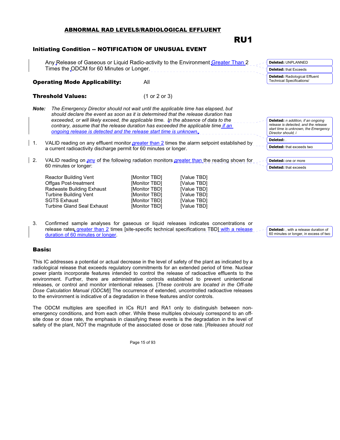RU1

# Initiating Condition -- NOTIFICATION OF UNUSUAL EVENT

|       | Any Release of Gaseous or Liquid Radio-activity to the Environment Greater Than 2                                                                                                                                                                                                                                                                                                                                         |                                                                                                    |                                                                                              |  | Deleted: UNPLANNED                                                                                                                                     |
|-------|---------------------------------------------------------------------------------------------------------------------------------------------------------------------------------------------------------------------------------------------------------------------------------------------------------------------------------------------------------------------------------------------------------------------------|----------------------------------------------------------------------------------------------------|----------------------------------------------------------------------------------------------|--|--------------------------------------------------------------------------------------------------------------------------------------------------------|
|       | Times the ODCM for 60 Minutes or Longer.                                                                                                                                                                                                                                                                                                                                                                                  |                                                                                                    |                                                                                              |  | <b>Deleted: that Exceeds</b>                                                                                                                           |
|       | <b>Operating Mode Applicability:</b>                                                                                                                                                                                                                                                                                                                                                                                      | All                                                                                                |                                                                                              |  | <b>Deleted: Radiological Effluent</b><br><b>Technical Specifications/</b>                                                                              |
|       | <b>Threshold Values:</b>                                                                                                                                                                                                                                                                                                                                                                                                  | (1 or 2 or 3)                                                                                      |                                                                                              |  |                                                                                                                                                        |
| Note: | The Emergency Director should not wait until the applicable time has elapsed, but<br>should declare the event as soon as it is determined that the release duration has<br>exceeded, or will likely exceed, the applicable time. In the absence of data to the<br>contrary, assume that the release duration has exceeded the applicable time if an<br>ongoing release is detected and the release start time is unknown. |                                                                                                    |                                                                                              |  | <b>Deleted:</b> <i>n</i> addition, if an ongoing<br>release is detected, and the release<br>start time is unknown, the Emergency<br>Director should, i |
|       |                                                                                                                                                                                                                                                                                                                                                                                                                           |                                                                                                    |                                                                                              |  | Deleted:                                                                                                                                               |
| 1.    | a current radioactivity discharge permit for 60 minutes or longer.                                                                                                                                                                                                                                                                                                                                                        |                                                                                                    | VALID reading on any effluent monitor greater than 2 times the alarm setpoint established by |  | <b>Deleted:</b> that exceeds two                                                                                                                       |
|       |                                                                                                                                                                                                                                                                                                                                                                                                                           |                                                                                                    |                                                                                              |  |                                                                                                                                                        |
| 2.    | VALID reading on any of the following radiation monitors greater than the reading shown for                                                                                                                                                                                                                                                                                                                               |                                                                                                    |                                                                                              |  | <b>Deleted:</b> one or more                                                                                                                            |
|       | 60 minutes or longer:                                                                                                                                                                                                                                                                                                                                                                                                     |                                                                                                    |                                                                                              |  | Deleted: that exceeds                                                                                                                                  |
|       | <b>Reactor Building Vent</b><br>Offgas Post-treatment<br>Radwaste Building Exhaust<br><b>Turbine Building Vent</b><br><b>SGTS Exhaust</b><br><b>Turbine Gland Seal Exhaust</b>                                                                                                                                                                                                                                            | [Monitor TBD]<br>[Monitor TBD]<br>[Monitor TBD]<br>[Monitor TBD]<br>[Monitor TBD]<br>[Monitor TBD] | [Value TBD]<br>[Value TBD]<br>[Value TBD]<br>[Value TBD]<br>[Value TBD]<br>[Value TBD]       |  |                                                                                                                                                        |
| 3.    | Confirmed sample analyses for gaseous or liquid releases indicates concentrations or                                                                                                                                                                                                                                                                                                                                      |                                                                                                    |                                                                                              |  |                                                                                                                                                        |

release rates greater than 2 times [site-specific technical specifications TBD] with a release duration of 60 minutes or longer.

#### Basis:

This IC addresses a potential or actual decrease in the level of safety of the plant as indicated by a radiological release that exceeds regulatory commitments for an extended period of time. Nuclear power plants incorporate features intended to control the release of radioactive effluents to the environment. Further, there are administrative controls established to prevent unintentional releases, or control and monitor intentional releases. [*These controls are located in the Off-site Dose Calculation Manual (ODCM)*] The occurrence of extended, uncontrolled radioactive releases to the environment is indicative of a degradation in these features and/or controls.

The ODCM multiples are specified in ICs RU1 and RA1 only to distinguish between nonemergency conditions, and from each other. While these multiples obviously correspond to an offsite dose or dose rate, the emphasis in classifying these events is the degradation in the level of safety of the plant, NOT the magnitude of the associated dose or dose rate. [*Releases should not* 

Page 15 of 93

**Deleted:** , with a release duration of 60 minutes or longer, in excess of two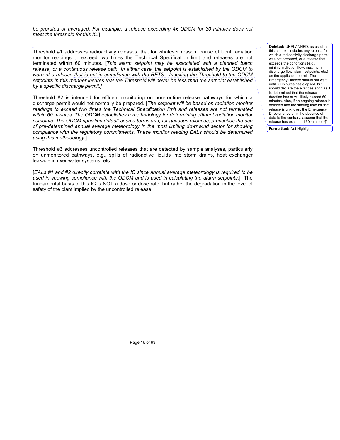be prorated or averaged. For example, a release exceeding 4x ODCM for 30 minutes does not *meet the threshold for this IC.*]

Threshold #1 addresses radioactivity releases, that for whatever reason, cause effluent radiation monitor readings to exceed two times the Technical Specification limit and releases are not terminated within 60 minutes. [*This alarm setpoint may be associated with a planned batch release, or a continuous release path. In either case, the setpoint is established by the ODCM to warn of a release that is not in compliance with the RETS. Indexing the Threshold to the ODCM setpoints in this manner insures that the Threshold will never be less than the setpoint established by a specific discharge permit.]*

Threshold #2 is intended for effluent monitoring on non-routine release pathways for which a discharge permit would not normally be prepared. [*The setpoint will be based on radiation monitor*  readings to exceed two times the Technical Specification limit and releases are not terminated *within 60 minutes. The ODCM establishes a methodology for determining effluent radiation monitor setpoints. The ODCM specifies default source terms and, for gaseous releases, prescribes the use of pre-determined annual average meteorology in the most limiting downwind sector for showing*  compliance with the regulatory commitments. These monitor reading EALs should be determined *using this methodology.*]

Threshold #3 addresses uncontrolled releases that are detected by sample analyses, particularly on unmonitored pathways, e.g., spills of radioactive liquids into storm drains, heat exchanger leakage in river water systems, etc.

[*EALs #1 and #2 directly correlate with the IC since annual average meteorology is required to be used in showing compliance with the ODCM and is used in calculating the alarm setpoints.*] The fundamental basis of this IC is NOT a dose or dose rate, but rather the degradation in the level of safety of the plant implied by the uncontrolled release.

**Deleted:** UNPLANNED, as used in this context, includes any release for which a radioactivity discharge permit was not prepared, or a release that exceeds the conditions (e.g., minimum dilution flow, maximum discharge flow, alarm setpoints, etc.) on the applicable permit. The Emergency Director should not wait until 60 minutes has elapsed, but should declare the event as soon as it is determined that the release duration has or will likely exceed 60 minutes. Also, if an ongoing release is detected and the starting time for that release is unknown, the Emergency Director should, in the absence of data to the contrary, assume that the release has exceeded 60 minutes.¶

**Formatted:** Not Highlight

Page 16 of 93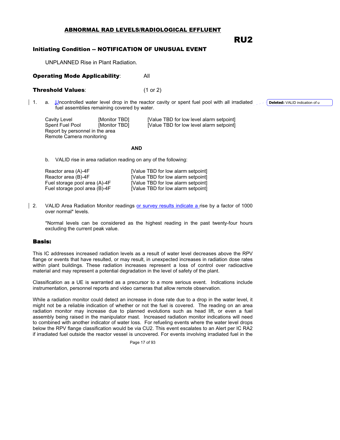RU2

## Initiating Condition -- NOTIFICATION OF UNUSUAL EVENT

UNPLANNED Rise in Plant Radiation.

**Operating Mode Applicability:** All

## Threshold Values: (1 or 2)

1. a. Uncontrolled water level drop in the reactor cavity or spent fuel pool with all irradiated fuel assemblies remaining covered by water. **Deleted:** VALID indication of u

Cavity Level [Monitor TBD] [Value TBD for low level alarm setpoint]<br>
Spent Fuel Pool [Monitor TBD] [Value TBD for low level alarm setpoint] [Value TBD for low level alarm setpoint] Report by personnel in the area Remote Camera monitoring

**AND** 

b. VALID rise in area radiation reading on any of the following:

| Reactor area (A)-4F           | [Value TBD for low alarm setpoint] |
|-------------------------------|------------------------------------|
| Reactor area (B)-4F           | [Value TBD for low alarm setpoint] |
| Fuel storage pool area (A)-4F | [Value TBD for low alarm setpoint] |
| Fuel storage pool area (B)-4F | [Value TBD for low alarm setpoint] |

2. VALID Area Radiation Monitor readings or survey results indicate a rise by a factor of 1000 over normal\* levels.

 \*Normal levels can be considered as the highest reading in the past twenty-four hours excluding the current peak value.

#### Basis:

This IC addresses increased radiation levels as a result of water level decreases above the RPV flange or events that have resulted, or may result, in unexpected increases in radiation dose rates within plant buildings. These radiation increases represent a loss of control over radioactive material and may represent a potential degradation in the level of safety of the plant.

Classification as a UE is warranted as a precursor to a more serious event. Indications include instrumentation, personnel reports and video cameras that allow remote observation.

While a radiation monitor could detect an increase in dose rate due to a drop in the water level, it might not be a reliable indication of whether or not the fuel is covered. The reading on an area radiation monitor may increase due to planned evolutions such as head lift, or even a fuel assembly being raised in the manipulator mast. Increased radiation monitor indications will need to combined with another indicator of water loss. For refueling events where the water level drops below the RPV flange classification would be via CU2. This event escalates to an Alert per IC RA2 if irradiated fuel outside the reactor vessel is uncovered. For events involving irradiated fuel in the

Page 17 of 93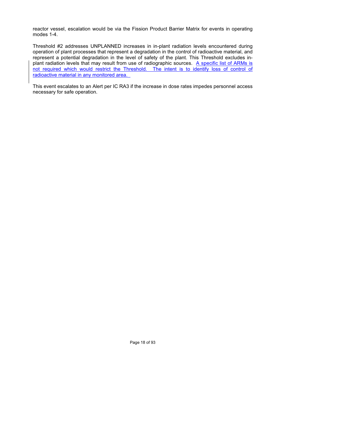reactor vessel, escalation would be via the Fission Product Barrier Matrix for events in operating modes 1-4.

Threshold #2 addresses UNPLANNED increases in in-plant radiation levels encountered during operation of plant processes that represent a degradation in the control of radioactive material, and represent a potential degradation in the level of safety of the plant. This Threshold excludes inplant radiation levels that may result from use of radiographic sources. A specific list of ARMs is not required which would restrict the Threshold. The intent is to identify loss of control of radioactive material in any monitored area.

This event escalates to an Alert per IC RA3 if the increase in dose rates impedes personnel access necessary for safe operation.

Page 18 of 93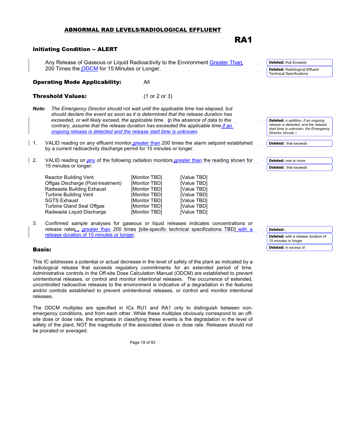R<sub>A</sub>1

## Initiating Condition -- ALERT

Any Release of Gaseous or Liquid Radioactivity to the Environment Greater Than 200 Times the ODCM for 15 Minutes or Longer. **Deleted:** that Exceeds **Deleted:** Radiological Effluent Technical Specifications

**Operating Mode Applicability:** All

#### **Threshold Values:** (1 or 2 or 3)

*Note: The Emergency Director should not wait until the applicable time has elapsed, but should declare the event as soon as it is determined that the release duration has exceeded, or will likely exceed, the applicable time. In the absence of data to the contrary, assume that the release duration has exceeded the applicable time if an ongoing release is detected and the release start time is unknown.* 

- 1. VALID reading on any effluent monitor greater than 200 times the alarm setpoint established by a current radioactivity discharge permit for 15 minutes or longer.
- 2. VALID reading on any of the following radiation monitors greater than the reading shown for 15 minutes or longer:

| [Monitor TBD] | [Value TBD] |
|---------------|-------------|
| [Monitor TBD] | [Value TBD] |
| [Monitor TBD] | [Value TBD] |
| [Monitor TBD] | [Value TBD] |
| [Monitor TBD] | [Value TBD] |
| [Monitor TBD] | [Value TBD] |
| [Monitor TBD] | [Value TBD] |
|               |             |

3. Confirmed sample analyses for gaseous or liquid releases indicates concentrations or release rates, greater than 200 times [site-specific technical specifications TBD] with a release duration of 15 minutes or longer.

#### **Deleted:** , **Deleted:** with a release duration of 15 minutes or longer **Deleted:** in excess of

**Deleted:** *n addition, if an ongoing release is detected, and the release start time is unknown, the Emergency* 

*Director should, i* **Deleted:** that exceeds

**Deleted:** one or more **Deleted:** that exceeds

#### Basis:

This IC addresses a potential or actual decrease in the level of safety of the plant as indicated by a radiological release that exceeds regulatory commitments for an extended period of time. Administrative controls in the Off-site Dose Calculation Manual (ODCM) are established to prevent unintentional releases, or control and monitor intentional releases.The occurrence of extended, uncontrolled radioactive releases to the environment is indicative of a degradation in the features and/or controls established to prevent unintentional releases, or control and monitor intentional releases.

The ODCM multiples are specified in ICs RU1 and RA1 only to distinguish between nonemergency conditions, and from each other. While these multiples obviously correspond to an offsite dose or dose rate, the emphasis in classifying these events is the degradation in the level of safety of the plant, NOT the magnitude of the associated dose or dose rate. Releases should not be prorated or averaged.

Page 19 of 93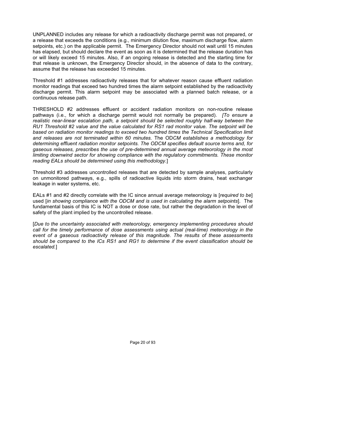UNPLANNED includes any release for which a radioactivity discharge permit was not prepared, or a release that exceeds the conditions (e.g., minimum dilution flow, maximum discharge flow, alarm setpoints, etc.) on the applicable permit. The Emergency Director should not wait until 15 minutes has elapsed, but should declare the event as soon as it is determined that the release duration has or will likely exceed 15 minutes. Also, if an ongoing release is detected and the starting time for that release is unknown, the Emergency Director should, in the absence of data to the contrary, assume that the release has exceeded 15 minutes.

Threshold #1 addresses radioactivity releases that for whatever reason cause effluent radiation monitor readings that exceed two hundred times the alarm setpoint established by the radioactivity discharge permit. This alarm setpoint may be associated with a planned batch release, or a continuous release path.

THRESHOLD #2 addresses effluent or accident radiation monitors on non-routine release pathways (i.e., for which a discharge permit would not normally be prepared). *[To ensure a*  realistic near-linear escalation path, a setpoint should be selected roughly half-way between the *RU1 Threshold #2 value and the value calculated for RS1 rad monitor value. The setpoint will be*  based on radiation monitor readings to exceed two hundred times the Technical Specification limit *and releases are not terminated within 60 minutes.* The OD*CM establishes a methodology for determining effluent radiation monitor setpoints. The ODCM specifies default source terms and, for gaseous releases, prescribes the use of pre-determined annual average meteorology in the most limiting downwind sector for showing compliance with the regulatory commitments. These monitor reading EALs should be determined using this methodology.*]

Threshold #3 addresses uncontrolled releases that are detected by sample analyses, particularly on unmonitored pathways, e.g., spills of radioactive liquids into storm drains, heat exchanger leakage in water systems, etc.

EALs #1 and #2 directly correlate with the IC since annual average meteorology is [*required to be*] used [*in showing compliance with the ODCM and is used in calculating the alarm setpoints*]. The fundamental basis of this IC is NOT a dose or dose rate, but rather the degradation in the level of safety of the plant implied by the uncontrolled release.

[*Due to the uncertainty associated with meteorology, emergency implementing procedures should call for the timely performance of dose assessments using actual (real-time) meteorology in the event of a gaseous radioactivity release of this magnitude. The results of these assessments should be compared to the ICs RS1 and RG1 to determine if the event classification should be escalated.*]

Page 20 of 93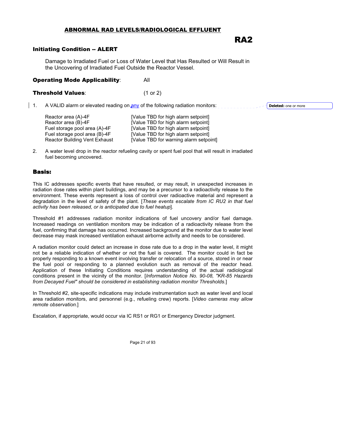# RA<sub>2</sub>

#### Initiating Condition -- ALERT

Damage to Irradiated Fuel or Loss of Water Level that Has Resulted or Will Result in the Uncovering of Irradiated Fuel Outside the Reactor Vessel.

### **Operating Mode Applicability:** All

## Threshold Values: (1 or 2)

1. A VALID alarm or elevated reading on any of the following radiation monitors: **Deleted:** one or more

| Reactor area (A)-4F                  | [Value TBD for high alarm setpoint]    |
|--------------------------------------|----------------------------------------|
| Reactor area (B)-4F                  | [Value TBD for high alarm setpoint]    |
| Fuel storage pool area (A)-4F        | [Value TBD for high alarm setpoint]    |
| Fuel storage pool area (B)-4F        | [Value TBD for high alarm setpoint]    |
| <b>Reactor Building Vent Exhaust</b> | [Value TBD for warning alarm setpoint] |

2. A water level drop in the reactor refueling cavity or spent fuel pool that will result in irradiated fuel becoming uncovered.

#### Basis:

This IC addresses specific events that have resulted, or may result, in unexpected increases in radiation dose rates within plant buildings, and may be a precursor to a radioactivity release to the environment. These events represent a loss of control over radioactive material and represent a degradation in the level of safety of the plant. [*These events escalate from IC RU2 in that fuel activity has been released, or is anticipated due to fuel heatup*].

Threshold #1 addresses radiation monitor indications of fuel uncovery and/or fuel damage. Increased readings on ventilation monitors may be indication of a radioactivity release from the fuel, confirming that damage has occurred. Increased background at the monitor due to water level decrease may mask increased ventilation exhaust airborne activity and needs to be considered.

A radiation monitor could detect an increase in dose rate due to a drop in the water level, it might not be a reliable indication of whether or not the fuel is covered. The monitor could in fact be properly responding to a known event involving transfer or relocation of a source, stored in or near the fuel pool or responding to a planned evolution such as removal of the reactor head. Application of these Initiating Conditions requires understanding of the actual radiological conditions present in the vicinity of the monitor. [*Information Notice No. 90-08, "KR-85 Hazards from Decayed Fuel" should be considered in establishing radiation monitor Thresholds.*]

In Threshold #2, site-specific indications may include instrumentation such as water level and local area radiation monitors, and personnel (e.g., refueling crew) reports. [*Video cameras may allow remote observation.*]

Escalation, if appropriate, would occur via IC RS1 or RG1 or Emergency Director judgment.

Page 21 of 93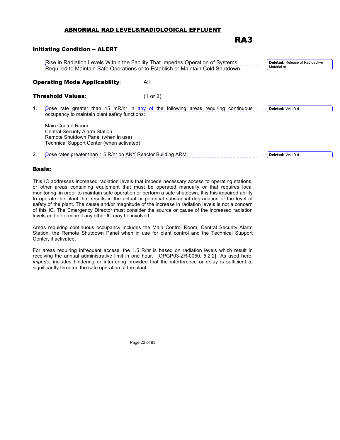Initiating Condition -- ALERT

# RA3

# Rise in Radiation Levels Within the Facility That Impedes Operation of Systems Required to Maintain Safe Operations or to Establish or Maintain Cold Shutdown **Operating Mode Applicability:** All Threshold Values: (1 or 2) 1. Dose rate greater than 15 mR/hr in any of the following areas requiring continuous occupancy to maintain plant safety functions: Main Control Room Central Security Alarm Station Remote Shutdown Panel (when in use) Technical Support Center (when activated) 2. Dose rates greater than 1.5 R/hr on ANY Reactor Building ARM. Basis: **Deleted:** Release of Radioactive Material or **Deleted:** VALID d **Deleted:** VALID d

This IC addresses increased radiation levels that impede necessary access to operating stations, or other areas containing equipment that must be operated manually or that requires local monitoring, in order to maintain safe operation or perform a safe shutdown. It is this impaired ability to operate the plant that results in the actual or potential substantial degradation of the level of safety of the plant. The cause and/or magnitude of the increase in radiation levels is not a concern of this IC. The Emergency Director must consider the source or cause of the increased radiation levels and determine if any other IC may be involved.

Areas requiring continuous occupancy includes the Main Control Room, Central Security Alarm Station, the Remote Shutdown Panel when in use for plant control and the Technical Support Center, if activated.

For areas requiring infrequent access, the 1.5 R/hr is based on radiation levels which result in receiving the annual administrative limit in one hour. [OPGP03-ZR-0050, 5.2.2] As used here, *impede,* includes hindering or interfering provided that the interference or delay is sufficient to significantly threaten the safe operation of the plant.

Page 22 of 93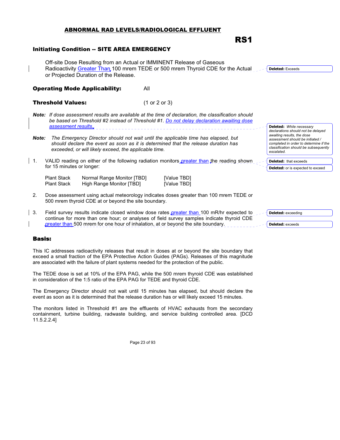#### RS1 Initiating Condition -- SITE AREA EMERGENCY Off-site Dose Resulting from an Actual or IMMINENT Release of Gaseous Radioactivity Greater Than 100 mrem TEDE or 500 mrem Thyroid CDE for the Actual or Projected Duration of the Release. **Operating Mode Applicability:** All **Threshold Values:** (1 or 2 or 3) *Note: If dose assessment results are available at the time of declaration, the classification should be based on Threshold #2 instead of Threshold #1. Do not delay declaration awaiting dose assessment results. Note: The Emergency Director should not wait until the applicable time has elapsed, but should declare the event as soon as it is determined that the release duration has exceeded, or will likely exceed, the applicable time.*  1. VALID reading on either of the following radiation monitors greater than the reading shown for 15 minutes or longer: Plant Stack Normal Range Monitor [TBD] [Value TBD] High Range Monitor [TBD] 2. Dose assessment using actual meteorology indicates doses greater than 100 mrem TEDE or 500 mrem thyroid CDE at or beyond the site boundary. 3. Field survey results indicate closed window dose rates greater than 100 mR/hr expected to continue for more than one hour; or analyses of field survey samples indicate thyroid CDE greater than 500 mrem for one hour of inhalation, at or beyond the site boundary. **Deleted:** Exceeds **Deleted:** *While necessary declarations should not be delayed awaiting results, the dose assessment should be initiated / completed in order to determine if the classification should be subsequently escalated.* **Deleted:** that exceeds **Deleted:** or is expected to exceed **Deleted:** exceeding **Deleted:** exceeds

#### Basis:

This IC addresses radioactivity releases that result in doses at or beyond the site boundary that exceed a small fraction of the EPA Protective Action Guides (PAGs). Releases of this magnitude are associated with the failure of plant systems needed for the protection of the public.

The TEDE dose is set at 10% of the EPA PAG, while the 500 mrem thyroid CDE was established in consideration of the 1:5 ratio of the EPA PAG for TEDE and thyroid CDE.

The Emergency Director should not wait until 15 minutes has elapsed, but should declare the event as soon as it is determined that the release duration has or will likely exceed 15 minutes.

The monitors listed in Threshold #1 are the effluents of HVAC exhausts from the secondary containment, turbine building, radwaste building, and service building controlled area. [DCD 11.5.2.2.4]

Page 23 of 93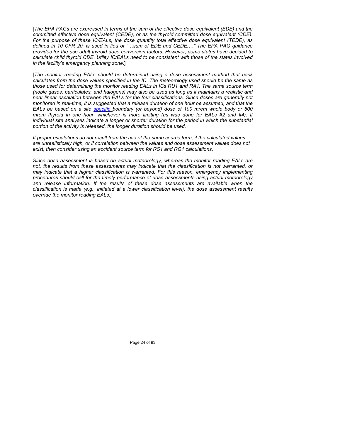[*The EPA PAGs are expressed in terms of the sum of the effective dose equivalent (EDE) and the committed effective dose equivalent (CEDE), or as the thyroid committed dose equivalent (CDE). For the purpose of these IC/EALs, the dose quantity total effective dose equivalent (TEDE), as defined in 10 CFR 20, is used in lieu of "…sum of EDE and CEDE.…" The EPA PAG guidance provides for the use adult thyroid dose conversion factors. However, some states have decided to calculate child thyroid CDE. Utility IC/EALs need to be consistent with those of the states involved in the facility's emergency planning zone*.]

[*The monitor reading EALs should be determined using a dose assessment method that back calculates from the dose values specified in the IC. The meteorology used should be the same as those used for determining the monitor reading EALs in ICs RU1 and RA1. The same source term (noble gases, particulates, and halogens) may also be used as long as it maintains a realistic and near linear escalation between the EALs for the four classifications. Since doses are generally not monitored in real-time, it is suggested that a release duration of one hour be assumed, and that the EALs be based on a site specific boundary (or beyond) dose of 100 mrem whole body or 500 mrem thyroid in one hour, whichever is more limiting (as was done for EALs #2 and #4). If individual site analyses indicate a longer or shorter duration for the period in which the substantial portion of the activity is released, the longer duration should be used.* 

*If proper escalations do not result from the use of the same source term, if the calculated values are unrealistically high, or if correlation between the values and dose assessment values does not exist, then consider using an accident source term for RS1 and RG1 calculations.* 

*Since dose assessment is based on actual meteorology, whereas the monitor reading EALs are not, the results from these assessments may indicate that the classification is not warranted, or may indicate that a higher classification is warranted. For this reason, emergency implementing procedures should call for the timely performance of dose assessments using actual meteorology and release information. If the results of these dose assessments are available when the classification is made (e.g., initiated at a lower classification level), the dose assessment results override the monitor reading EALs.*]

Page 24 of 93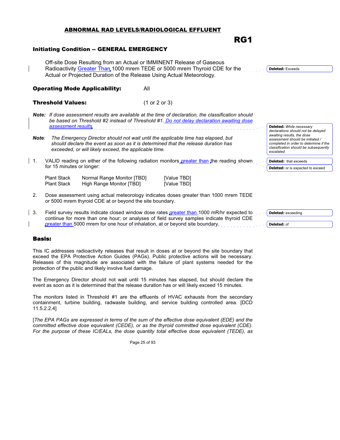RG1

## **Initiating Condition -- GENERAL EMERGENCY**

Off-site Dose Resulting from an Actual or IMMINENT Release of Gaseous Radioactivity Greater Than 1000 mrem TEDE or 5000 mrem Thyroid CDE for the Actual or Projected Duration of the Release Using Actual Meteorology. **Deleted:** Exceeds

**Operating Mode Applicability:** All

**Threshold Values:** (1 or 2 or 3)

- *Note: If dose assessment results are available at the time of declaration, the classification should be based on Threshold #2 instead of Threshold #1. Do not delay declaration awaiting dose assessment results*
- *Note: The Emergency Director should not wait until the applicable time has elapsed, but should declare the event as soon as it is determined that the release duration has exceeded, or will likely exceed, the applicable time.*
- 1. VALID reading on either of the following radiation monitors greater than the reading shown for 15 minutes or longer:

| <b>Plant Stack</b> | Normal Range Monitor [TBD] | [Value TBD] |
|--------------------|----------------------------|-------------|
| <b>Plant Stack</b> | High Range Monitor [TBD]   | [Value TBD] |

- 2. Dose assessment using actual meteorology indicates doses greater than 1000 mrem TEDE or 5000 mrem thyroid CDE at or beyond the site boundary.
- 3. Field survey results indicate closed window dose rates greater than 1000 mR/hr expected to continue for more than one hour; or analyses of field survey samples indicate thyroid CDE greater than 5000 mrem for one hour of inhalation, at or beyond site boundary.

#### Basis:

This IC addresses radioactivity releases that result in doses at or beyond the site boundary that exceed the EPA Protective Action Guides (PAGs). Public protective actions will be necessary. Releases of this magnitude are associated with the failure of plant systems needed for the protection of the public and likely involve fuel damage.

The Emergency Director should not wait until 15 minutes has elapsed, but should declare the event as soon as it is determined that the release duration has or will likely exceed 15 minutes.

The monitors listed in Threshold #1 are the effluents of HVAC exhausts from the secondary containment, turbine building, radwaste building, and service building controlled area. [DCD 11.5.2.2.4]

[*The EPA PAGs are expressed in terms of the sum of the effective dose equivalent (EDE) and the committed effective dose equivalent (CEDE), or as the thyroid committed dose equivalent (CDE). For the purpose of these IC/EALs, the dose quantity total effective dose equivalent (TEDE), as* 

Page 25 of 93

**Deleted:** *While necessary declarations should not be delayed awaiting results, the dose assessment should be initiated / completed in order to determine if the classification should be subsequently escalated.*

**Deleted:** that exceeds **Deleted:** or is expected to exceed

**Deleted:** exceeding

**Deleted:** of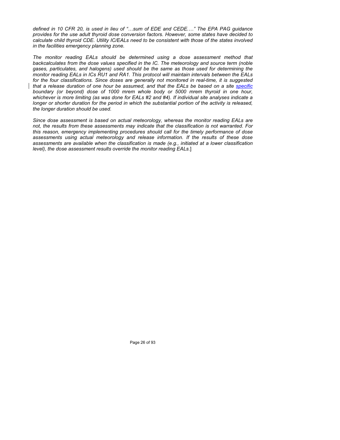*defined in 10 CFR 20, is used in lieu of "…sum of EDE and CEDE.…" The EPA PAG guidance provides for the use adult thyroid dose conversion factors. However, some states have decided to calculate child thyroid CDE. Utility IC/EALs need to be consistent with those of the states involved in the facilities emergency planning zone.* 

*The monitor reading EALs should be determined using a dose assessment method that backcalculates from the dose values specified in the IC. The meteorology and source term (noble gases, particulates, and halogens) used should be the same as those used for determining the monitor reading EALs in ICs RU1 and RA1. This protocol will maintain intervals between the EALs for the four classifications. Since doses are generally not monitored in real-time, it is suggested that a release duration of one hour be assumed, and that the EALs be based on a site specific boundary (or beyond) dose of 1000 mrem whole body or 5000 mrem thyroid in one hour, whichever is more limiting (as was done for EALs #2 and #4). If individual site analyses indicate a longer or shorter duration for the period in which the substantial portion of the activity is released, the longer duration should be used.* 

*Since dose assessment is based on actual meteorology, whereas the monitor reading EALs are not, the results from these assessments may indicate that the classification is not warranted. For this reason, emergency implementing procedures should call for the timely performance of dose assessments using actual meteorology and release information. If the results of these dose assessments are available when the classification is made (e.g., initiated at a lower classification level), the dose assessment results override the monitor reading EALs.*]

Page 26 of 93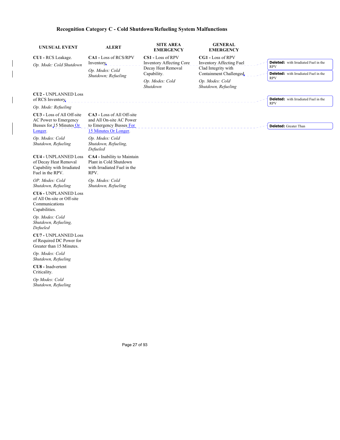# **Recognition Category C - Cold Shutdown/Refueling System Malfunctions**

| UNUSUAL EVENT                                                                                          | <b>ALERT</b>                                                                                 | <b>SITE AREA</b><br><b>EMERGENCY</b>           | <b>GENERAL</b><br><b>EMERGENCY</b>                        |                                                           |
|--------------------------------------------------------------------------------------------------------|----------------------------------------------------------------------------------------------|------------------------------------------------|-----------------------------------------------------------|-----------------------------------------------------------|
| CU1 - RCS Leakage.                                                                                     | CA1 - Loss of RCS/RPV                                                                        | CS1 - Loss of RPV                              | CG1 - Loss of RPV                                         | <b>Deleted:</b> with Irradiated Fuel in the               |
| Op. Mode: Cold Shutdown                                                                                | Inventory.<br>Op. Modes: Cold                                                                | Inventory Affecting Core<br>Decay Heat Removal | <b>Inventory Affecting Fuel</b><br>Clad Integrity with    | <b>RPV</b>                                                |
|                                                                                                        | Shutdown; Refueling                                                                          | Capability.<br>Containment Challenged.         | <b>Deleted:</b> with Irradiated Fuel in the<br><b>RPV</b> |                                                           |
|                                                                                                        |                                                                                              | Op. Modes: Cold<br>Shutdown                    | Op. Modes: Cold<br>Shutdown, Refueling                    |                                                           |
| <b>CU2 - UNPLANNED Loss</b><br>of RCS Inventory                                                        |                                                                                              |                                                |                                                           | <b>Deleted:</b> with Irradiated Fuel in the<br><b>RPV</b> |
| Op. Mode: Refueling                                                                                    |                                                                                              |                                                |                                                           |                                                           |
| CU3 - Loss of All Off-site<br>AC Power to Emergency<br>Busses for 15 Minutes Or                        | CA3 - Loss of All Off-site<br>and All On-site AC Power<br>to Emergency Busses For            |                                                |                                                           | <b>Deleted:</b> Greater Than                              |
| Longer.                                                                                                | 15 Minutes Or Longer.                                                                        |                                                |                                                           |                                                           |
| Op. Modes: Cold<br>Shutdown, Refueling                                                                 | Op. Modes: Cold<br>Shutdown, Refueling,<br>Defueled                                          |                                                |                                                           |                                                           |
| <b>CU4 - UNPLANNED Loss</b><br>of Decay Heat Removal<br>Capability with Irradiated<br>Fuel in the RPV. | CA4 - Inability to Maintain<br>Plant in Cold Shutdown<br>with Irradiated Fuel in the<br>RPV. |                                                |                                                           |                                                           |
| OP. Modes: Cold<br>Shutdown, Refueling                                                                 | Op. Modes: Cold<br>Shutdown, Refueling                                                       |                                                |                                                           |                                                           |
| <b>CU6 - UNPLANNED Loss</b><br>of All On-site or Off-site<br>Communications<br>Capabilities.           |                                                                                              |                                                |                                                           |                                                           |
| Op. Modes: Cold<br>Shutdown, Refueling,<br>Defueled                                                    |                                                                                              |                                                |                                                           |                                                           |
| <b>CU7 - UNPLANNED Loss</b><br>of Required DC Power for<br>Greater than 15 Minutes.                    |                                                                                              |                                                |                                                           |                                                           |
| Op. Modes: Cold<br>Shutdown, Refueling                                                                 |                                                                                              |                                                |                                                           |                                                           |
| CU8 - Inadvertent<br>Criticality.                                                                      |                                                                                              |                                                |                                                           |                                                           |
| Op Modes: Cold<br>Shutdown, Refueling                                                                  |                                                                                              |                                                |                                                           |                                                           |
|                                                                                                        |                                                                                              |                                                |                                                           |                                                           |
|                                                                                                        |                                                                                              |                                                |                                                           |                                                           |
|                                                                                                        |                                                                                              |                                                |                                                           |                                                           |

Page 27 of 93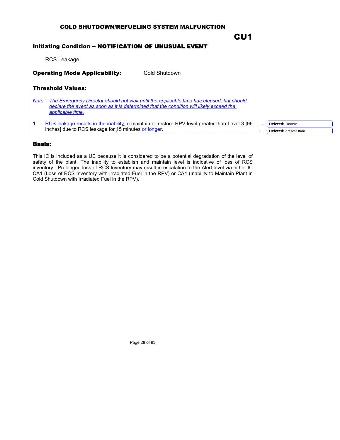CU1

## Initiating Condition -- NOTIFICATION OF UNUSUAL EVENT

RCS Leakage.

**Operating Mode Applicability:** Cold Shutdown

## Threshold Values:

*Note: The Emergency Director should not wait until the applicable time has elapsed, but should declare the event as soon as it is determined that the condition will likely exceed the applicable time.*

1. RCS leakage results in the inability to maintain or restore RPV level greater than Level 3 [96 **Deleted:** Unable inches] due to RCS leakage for 15 minutes or longer. **Deleted:** greater than

#### Basis:

This IC is included as a UE because it is considered to be a potential degradation of the level of safety of the plant. The inability to establish and maintain level is indicative of loss of RCS inventory. Prolonged loss of RCS Inventory may result in escalation to the Alert level via either IC CA1 (Loss of RCS Inventory with Irradiated Fuel in the RPV) or CA4 (Inability to Maintain Plant in Cold Shutdown with Irradiated Fuel in the RPV).

Page 28 of 93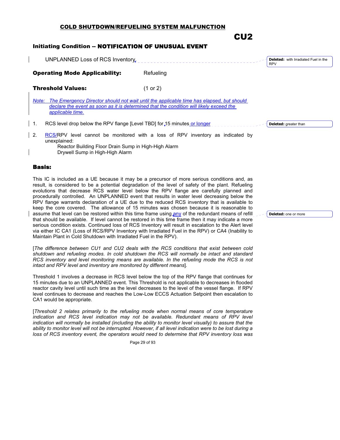CU2

## Initiating Condition -- NOTIFICATION OF UNUSUAL EVENT

| UNPLANNED Loss of RCS Inventory.                                               |                                                                                                                                                                                           | <b>Deleted:</b> with Irradiated Fuel in the<br><b>RPV</b> |
|--------------------------------------------------------------------------------|-------------------------------------------------------------------------------------------------------------------------------------------------------------------------------------------|-----------------------------------------------------------|
| <b>Operating Mode Applicability:</b>                                           | Refueling                                                                                                                                                                                 |                                                           |
| <b>Threshold Values:</b>                                                       | (1 or 2)                                                                                                                                                                                  |                                                           |
| applicable time.                                                               | Note: The Emergency Director should not wait until the applicable time has elapsed, but should<br>declare the event as soon as it is determined that the condition will likely exceed the |                                                           |
| RCS level drop below the RPV flange [Level TBD] for 15 minutes or longer<br>1. |                                                                                                                                                                                           | <b>Deleted:</b> greater than                              |
| 2.<br>unovoloinod:                                                             | RCS/RPV level cannot be monitored with a loss of RPV inventory as indicated by                                                                                                            |                                                           |

unexplained: Reactor Building Floor Drain Sump in High-High Alarm

Drywell Sump in High-High Alarm

#### Basis:

This IC is included as a UE because it may be a precursor of more serious conditions and, as result, is considered to be a potential degradation of the level of safety of the plant. Refueling evolutions that decrease RCS water level below the RPV flange are carefully planned and procedurally controlled. An UNPLANNED event that results in water level decreasing below the RPV flange warrants declaration of a UE due to the reduced RCS inventory that is available to keep the core covered. The allowance of 15 minutes was chosen because it is reasonable to assume that level can be restored within this time frame using any of the redundant means of refill that should be available. If level cannot be restored in this time frame then it may indicate a more serious condition exists. Continued loss of RCS Inventory will result in escalation to the Alert level via either IC CA1 (Loss of RCS/RPV Inventory with Irradiated Fuel in the RPV) or CA4 (Inability to Maintain Plant in Cold Shutdown with Irradiated Fuel in the RPV).

[*The difference between CU1 and CU2 deals with the RCS conditions that exist between cold shutdown and refueling modes. In cold shutdown the RCS will normally be intact and standard RCS inventory and level monitoring means are available. In the refueling mode the RCS is not intact and RPV level and inventory are monitored by different means*]*.* 

Threshold 1 involves a decrease in RCS level below the top of the RPV flange that continues for 15 minutes due to an UNPLANNED event. This Threshold is not applicable to decreases in flooded reactor cavity level until such time as the level decreases to the level of the vessel flange. If RPV level continues to decrease and reaches the Low-Low ECCS Actuation Setpoint then escalation to CA1 would be appropriate.

[*Threshold 2 relates primarily to the refueling mode when normal means of core temperature*  indication and RCS level indication may not be available. Redundant means of RPV level *indication will normally be installed (including the ability to monitor level visually) to assure that the ability to monitor level will not be interrupted. However, if all level indication were to be lost during a loss of RCS inventory event, the operators would need to determine that RPV inventory loss was* 

Page 29 of 93

**Deleted:** one or more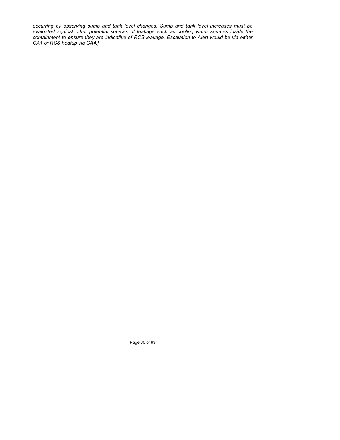*occurring by observing sump and tank level changes. Sump and tank level increases must be evaluated against other potential sources of leakage such as cooling water sources inside the containment to ensure they are indicative of RCS leakage. Escalation to Alert would be via either CA1 or RCS heatup via CA4.]*

Page 30 of 93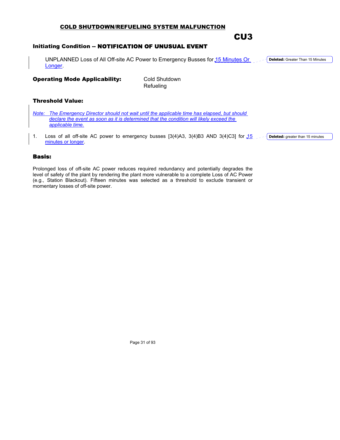CU3

## Initiating Condition -- NOTIFICATION OF UNUSUAL EVENT

UNPLANNED Loss of All Off-site AC Power to Emergency Busses for 15 Minutes Or **Deleted:** Greater Than 15 Minutes - 2 Longer.

**Operating Mode Applicability:** Cold Shutdown

**Refueling** 

#### Threshold Value:

*Note: The Emergency Director should not wait until the applicable time has elapsed, but should declare the event as soon as it is determined that the condition will likely exceed the applicable time.*

1. Loss of all off-site AC power to emergency busses [3(4)A3, 3(4)B3 AND 3(4)C3] for 15 **Deleted:** greater than 15 minutesminutes or longer.

#### Basis:

Prolonged loss of off-site AC power reduces required redundancy and potentially degrades the level of safety of the plant by rendering the plant more vulnerable to a complete Loss of AC Power (e.g., Station Blackout). Fifteen minutes was selected as a threshold to exclude transient or momentary losses of off-site power.

Page 31 of 93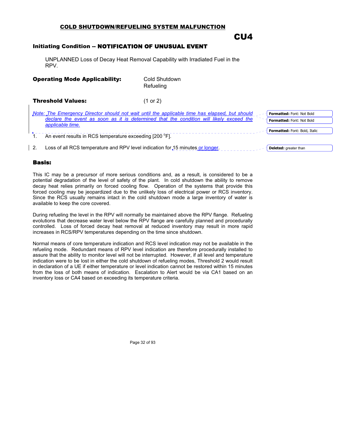# CU4

## Initiating Condition -- NOTIFICATION OF UNUSUAL EVENT

UNPLANNED Loss of Decay Heat Removal Capability with Irradiated Fuel in the RPV.

| <b>Operating Mode Applicability:</b> | Cold Shutdown |
|--------------------------------------|---------------|
|                                      | Refueling     |
|                                      |               |

Threshold Values: (1 or 2)

| Note: The Emergency Director should not wait until the applicable time has elapsed, but should | <b>Formatted: Font: Not Bold</b> |
|------------------------------------------------------------------------------------------------|----------------------------------|
| declare the event as soon as it is determined that the condition will likely exceed the        | Formatted: Font: Not Bold        |
| applicable time.                                                                               |                                  |
|                                                                                                | Formatted: Font: Bold, Italic    |
| An event results in RCS temperature exceeding [200 °F].                                        |                                  |
| Loss of all RCS temperature and RPV level indication for 15 minutes or longer.                 | <b>Deleted:</b> greater than     |

## Basis:

This IC may be a precursor of more serious conditions and, as a result, is considered to be a potential degradation of the level of safety of the plant. In cold shutdown the ability to remove decay heat relies primarily on forced cooling flow. Operation of the systems that provide this forced cooling may be jeopardized due to the unlikely loss of electrical power or RCS inventory. Since the RCS usually remains intact in the cold shutdown mode a large inventory of water is available to keep the core covered.

During refueling the level in the RPV will normally be maintained above the RPV flange. Refueling evolutions that decrease water level below the RPV flange are carefully planned and procedurally controlled. Loss of forced decay heat removal at reduced inventory may result in more rapid increases in RCS/RPV temperatures depending on the time since shutdown.

Normal means of core temperature indication and RCS level indication may not be available in the refueling mode. Redundant means of RPV level indication are therefore procedurally installed to assure that the ability to monitor level will not be interrupted. However, if all level and temperature indication were to be lost in either the cold shutdown of refueling modes, Threshold 2 would result in declaration of a UE if either temperature or level indication cannot be restored within 15 minutes from the loss of both means of indication. Escalation to Alert would be via CA1 based on an inventory loss or CA4 based on exceeding its temperature criteria.

Page 32 of 93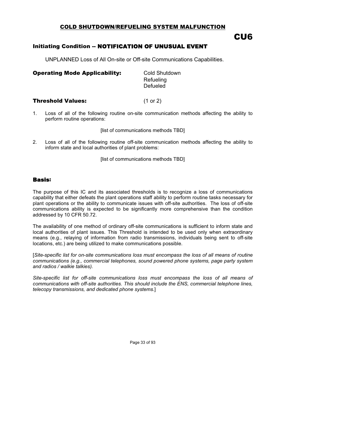# CU6

## Initiating Condition -- NOTIFICATION OF UNUSUAL EVENT

UNPLANNED Loss of All On-site or Off-site Communications Capabilities.

| <b>Operating Mode Applicability:</b> | Cold Shutdown |
|--------------------------------------|---------------|
|                                      | Refueling     |
|                                      | Defueled      |

Threshold Values: (1 or 2)

1. Loss of all of the following routine on-site communication methods affecting the ability to perform routine operations:

[list of communications methods TBD]

2. Loss of all of the following routine off-site communication methods affecting the ability to inform state and local authorities of plant problems:

[list of communications methods TBD]

#### Basis:

The purpose of this IC and its associated thresholds is to recognize a loss of communications capability that either defeats the plant operations staff ability to perform routine tasks necessary for plant operations or the ability to communicate issues with off-site authorities. The loss of off-site communications ability is expected to be significantly more comprehensive than the condition addressed by 10 CFR 50.72.

The availability of one method of ordinary off-site communications is sufficient to inform state and local authorities of plant issues. This Threshold is intended to be used only when extraordinary means (e.g., relaying of information from radio transmissions, individuals being sent to off-site locations, etc.) are being utilized to make communications possible.

[*Site-specific list for on-site communications loss must encompass the loss of all means of routine communications (e.g., commercial telephones, sound powered phone systems, page party system and radios / walkie talkies).* 

Site-specific list for off-site communications loss must encompass the loss of all means of *communications with off-site authorities. This should include the ENS, commercial telephone lines, telecopy transmissions, and dedicated phone systems.*]

Page 33 of 93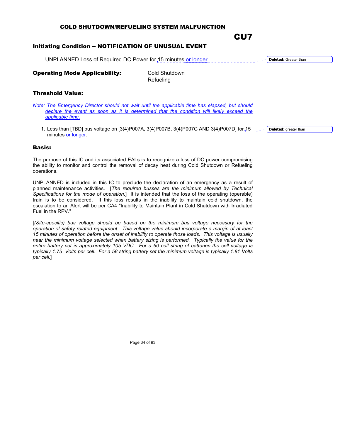CU7

## Initiating Condition -- NOTIFICATION OF UNUSUAL EVENT

UNPLANNED Loss of Required DC Power for 15 minutes or longer. **Deleted:** Greater than

**Operating Mode Applicability:** Cold Shutdown

**Refueling** 

### Threshold Value:

*Note: The Emergency Director should not wait until the applicable time has elapsed, but should declare the event as soon as it is determined that the condition will likely exceed the applicable time.*

1. Less than [TBD] bus voltage on [3(4)P007A, 3(4)P007B, 3(4)P007C AND 3(4)P007D] for 15 **Deleted:** greater than minutes or longer.

#### Basis:

The purpose of this IC and its associated EALs is to recognize a loss of DC power compromising the ability to monitor and control the removal of decay heat during Cold Shutdown or Refueling operations.

UNPLANNED is included in this IC to preclude the declaration of an emergency as a result of planned maintenance activities. [*The required busses are the minimum allowed by Technical Specifications for the mode of operation*.] It is intended that the loss of the operating (operable) train is to be considered. If this loss results in the inability to maintain cold shutdown, the escalation to an Alert will be per CA4 "Inability to Maintain Plant in Cold Shutdown with Irradiated Fuel in the RPV."

[*(Site-specific) bus voltage should be based on the minimum bus voltage necessary for the operation of safety related equipment. This voltage value should incorporate a margin of at least 15 minutes of operation before the onset of inability to operate those loads. This voltage is usually near the minimum voltage selected when battery sizing is performed. Typically the value for the entire battery set is approximately 105 VDC. For a 60 cell string of batteries the cell voltage is typically 1.75 Volts per cell. For a 58 string battery set the minimum voltage is typically 1.81 Volts per cell.*]

Page 34 of 93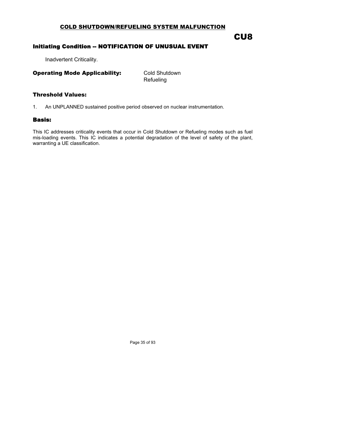# CU8

## Initiating Condition -- NOTIFICATION OF UNUSUAL EVENT

Inadvertent Criticality.

**Operating Mode Applicability:** Cold Shutdown

**Refueling** 

## Threshold Values:

1. An UNPLANNED sustained positive period observed on nuclear instrumentation.

#### Basis:

This IC addresses criticality events that occur in Cold Shutdown or Refueling modes such as fuel mis-loading events. This IC indicates a potential degradation of the level of safety of the plant, warranting a UE classification.

Page 35 of 93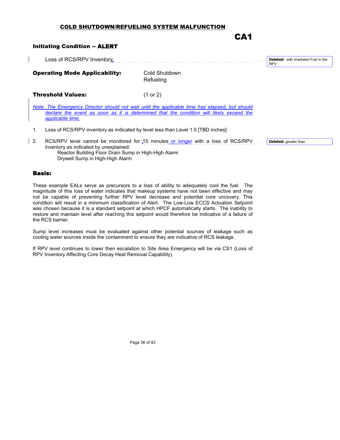CA1

## **Initiating Condition -- ALERT**

| Loss of RCS/RPV Inventory.                                                                                                                                                                                    |                            | <b>Deleted:</b> with Irradiated Fuel in the<br><b>RPV</b> |  |  |  |
|---------------------------------------------------------------------------------------------------------------------------------------------------------------------------------------------------------------|----------------------------|-----------------------------------------------------------|--|--|--|
| <b>Operating Mode Applicability:</b>                                                                                                                                                                          | Cold Shutdown<br>Refueling |                                                           |  |  |  |
| <b>Threshold Values:</b>                                                                                                                                                                                      | (1 or 2)                   |                                                           |  |  |  |
| Note: The Emergency Director should not wait until the applicable time has elapsed, but should<br>declare the event as soon as it is determined that the condition will likely exceed the<br>applicable time. |                            |                                                           |  |  |  |

- 1. Loss of RCS/RPV inventory as indicated by level less than Level 1.5 [TBD inches]
- 2. RCS/RPV level cannot be monitored for 15 minutes or longer with a loss of RCS/RPV inventory as indicated by unexplained: **Deleted:** greater than

 Reactor Building Floor Drain Sump in High-High Alarm Drywell Sump in High-High Alarm

#### Basis:

These example EALs serve as precursors to a loss of ability to adequately cool the fuel. The magnitude of this loss of water indicates that makeup systems have not been effective and may not be capable of preventing further RPV level decrease and potential core uncovery. This condition will result in a minimum classification of Alert. The Low-Low ECCS Actuation Setpoint was chosen because it is a standard setpoint at which HPCF automatically starts. The inability to restore and maintain level after reaching this setpoint would therefore be indicative of a failure of the RCS barrier.

Sump level increases must be evaluated against other potential sources of leakage such as cooling water sources inside the containment to ensure they are indicative of RCS leakage.

If RPV level continues to lower then escalation to Site Area Emergency will be via CS1 (Loss of RPV Inventory Affecting Core Decay Heat Removal Capability).

Page 36 of 93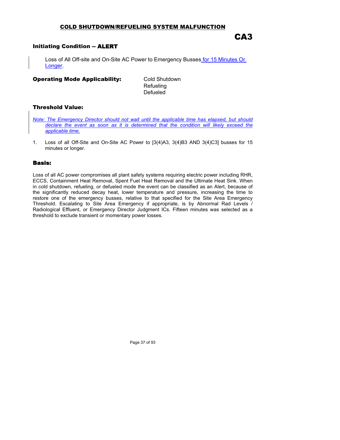# COLD SHUTDOWN/REFUELING SYSTEM MALFUNCTION

# CA3

# **Initiating Condition -- ALERT**

Loss of All Off-site and On-Site AC Power to Emergency Busses for 15 Minutes Or Longer.

**Operating Mode Applicability:** Cold Shutdown

**Refueling** Defueled

# Threshold Value:

*Note: The Emergency Director should not wait until the applicable time has elapsed, but should declare the event as soon as it is determined that the condition will likely exceed the applicable time.*

1. Loss of all Off-Site and On-Site AC Power to [3(4)A3, 3(4)B3 AND 3(4)C3] busses for 15 minutes or longer.

#### Basis:

Loss of all AC power compromises all plant safety systems requiring electric power including RHR, ECCS, Containment Heat Removal, Spent Fuel Heat Removal and the Ultimate Heat Sink. When in cold shutdown, refueling, or defueled mode the event can be classified as an Alert, because of the significantly reduced decay heat, lower temperature and pressure, increasing the time to restore one of the emergency busses, relative to that specified for the Site Area Emergency Threshold. Escalating to Site Area Emergency if appropriate, is by Abnormal Rad Levels / Radiological Effluent, or Emergency Director Judgment ICs. Fifteen minutes was selected as a threshold to exclude transient or momentary power losses.

Page 37 of 93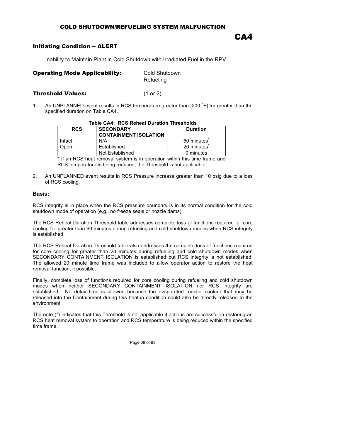#### COLD SHUTDOWN/REFUELING SYSTEM MALFUNCTION

# CA4

#### Initiating Condition -- ALERT

Inability to Maintain Plant in Cold Shutdown with Irradiated Fuel in the RPV.

**Operating Mode Applicability:** Cold Shutdown

**Refueling** 

**Threshold Values:** (1 or 2)

1. An UNPLANNED event results in RCS temperature greater than [200 °F] for greater than the specified duration on Table CA4.

**Table CA4: RCS Reheat Duration Thresholds**

|            | TADIE CA4. TGJ REIIEALDUI AUOIT TIITESITUIUS |                 |
|------------|----------------------------------------------|-----------------|
| <b>RCS</b> | <b>SECONDARY</b>                             | <b>Duration</b> |
|            | <b>CONTAINMENT ISOLATION</b>                 |                 |
| Intact     | N/A                                          | 60 minutes      |
| Open       | Established                                  | 20 minutes      |
|            | Not Established                              | 0 minutes       |

\* If an RCS heat removal system is in operation within this time frame and RCS temperature is being reduced, the Threshold is not applicable.

2. An UNPLANNED event results in RCS Pressure increase greater than 10 psig due to a loss of RCS cooling.

#### **Basis:**

RCS integrity is in place when the RCS pressure boundary is in its normal condition for the cold shutdown mode of operation (e.g., no freeze seals or nozzle dams).

The RCS Reheat Duration Threshold table addresses complete loss of functions required for core cooling for greater than 60 minutes during refueling and cold shutdown modes when RCS integrity is established.

The RCS Reheat Duration Threshold table also addresses the complete loss of functions required for core cooling for greater than 20 minutes during refueling and cold shutdown modes when SECONDARY CONTAINMENT ISOLATION is established but RCS integrity is not established. The allowed 20 minute time frame was included to allow operator action to restore the heat removal function, if possible.

Finally, complete loss of functions required for core cooling during refueling and cold shutdown modes when neither SECONDARY CONTAINMENT ISOLATION nor RCS integrity are established. No delay time is allowed because the evaporated reactor coolant that may be released into the Containment during this heatup condition could also be directly released to the environment.

The note (\*) indicates that this Threshold is not applicable if actions are successful in restoring an RCS heat removal system to operation and RCS temperature is being reduced within the specified time frame.

Page 38 of 93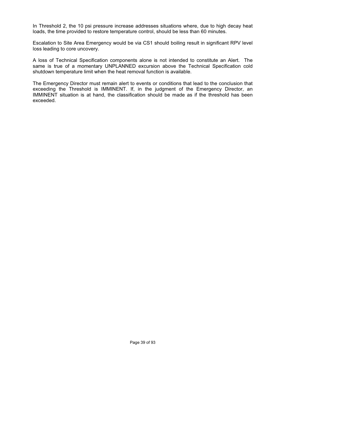In Threshold 2, the 10 psi pressure increase addresses situations where, due to high decay heat loads, the time provided to restore temperature control, should be less than 60 minutes.

Escalation to Site Area Emergency would be via CS1 should boiling result in significant RPV level loss leading to core uncovery.

A loss of Technical Specification components alone is not intended to constitute an Alert. The same is true of a momentary UNPLANNED excursion above the Technical Specification cold shutdown temperature limit when the heat removal function is available.

The Emergency Director must remain alert to events or conditions that lead to the conclusion that exceeding the Threshold is IMMINENT. If, in the judgment of the Emergency Director, an IMMINENT situation is at hand, the classification should be made as if the threshold has been exceeded.

Page 39 of 93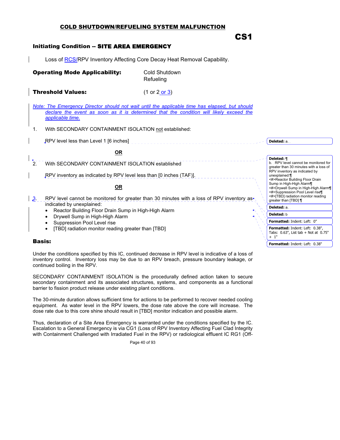#### COLD SHUTDOWN/REFUELING SYSTEM MALFUNCTION

CS1

# **Initiating Condition -- SITE AREA EMERGENCY**

Loss of RCS/RPV Inventory Affecting Core Decay Heat Removal Capability.

**Operating Mode Applicability:** Cold Shutdown

Refueling

**Threshold Values:**  $(1 \text{ or } 2 \text{ or } 3)$ 

*Note: The Emergency Director should not wait until the applicable time has elapsed, but should declare the event as soon as it is determined that the condition will likely exceed the applicable time.*

1. With SECONDARY CONTAINMENT ISOLATION not established:

RPV level less than Level 1 [6 inches]

**OR**

2. With SECONDARY CONTAINMENT ISOLATION established

RPV inventory as indicated by RPV level less than [0 inches (TAF)].

**OR**

- 3. RPV level cannot be monitored for greater than 30 minutes with a loss of RPV inventory asindicated by unexplained:
	- Reactor Building Floor Drain Sump in High-High Alarm
	- Drywell Sump in High-High Alarm
	- Suppression Pool Level rise
	- [TBD] radiation monitor reading greater than [TBD]

#### Basis:

Under the conditions specified by this IC, continued decrease in RPV level is indicative of a loss of inventory control. Inventory loss may be due to an RPV breach, pressure boundary leakage, or continued boiling in the RPV.

SECONDARY CONTAINMENT ISOLATION is the procedurally defined action taken to secure secondary containment and its associated structures, systems, and components as a functional barrier to fission product release under existing plant conditions.

The 30-minute duration allows sufficient time for actions to be performed to recover needed cooling equipment. As water level in the RPV lowers, the dose rate above the core will increase. The dose rate due to this core shine should result in [TBD] monitor indication and possible alarm.

Thus, declaration of a Site Area Emergency is warranted under the conditions specified by the IC. Escalation to a General Emergency is via CG1 (Loss of RPV Inventory Affecting Fuel Clad Integrity with Containment Challenged with Irradiated Fuel in the RPV) or radiological effluent IC RG1 (Off-

Page 40 of 93

**Deleted:** a.

#### **Deleted:** ¶

b. RPV level cannot be monitored for greater than 30 minutes with a loss of RPV inventory as indicated by unexplained:¶ <#>Reactor Building Floor Drain Sump in High-High Alarm¶ <#>Drywell Sump in High-High Alarm¶ <#>Suppression Pool Level rise¶ <#>[TBD] radiation monitor reading greater than [TBD] ¶

# **Deleted:** a.

# **Deleted:** b

**Formatted:** Indent: Left: 0"

**Formatted:** Indent: Left: 0.38", Tabs:  $0.63$ ", List tab + Not at  $0.75$ "

 $+ 1$ "

**Formatted:** Indent: Left: 0.38"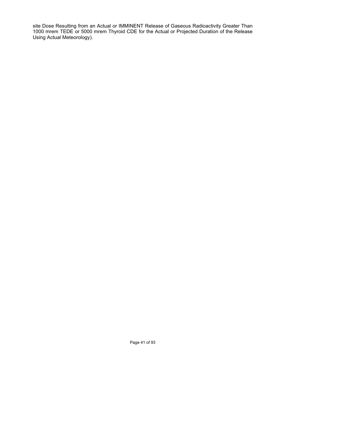site Dose Resulting from an Actual or IMMINENT Release of Gaseous Radioactivity Greater Than 1000 mrem TEDE or 5000 mrem Thyroid CDE for the Actual or Projected Duration of the Release Using Actual Meteorology).

Page 41 of 93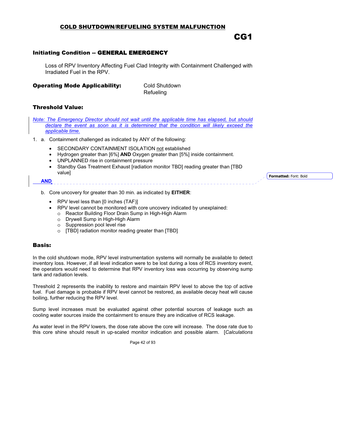#### COLD SHUTDOWN/REFUELING SYSTEM MALFUNCTION

# CG1

### **Initiating Condition -- GENERAL EMERGENCY**

Loss of RPV Inventory Affecting Fuel Clad Integrity with Containment Challenged with Irradiated Fuel in the RPV.

**Operating Mode Applicability:** Cold Shutdown

Refueling

### Threshold Value:

*Note: The Emergency Director should not wait until the applicable time has elapsed, but should declare the event as soon as it is determined that the condition will likely exceed the applicable time.*

1. a. Containment challenged as indicated by ANY of the following:

- SECONDARY CONTAINMENT ISOLATION not established
- Hydrogen greater than [6%] **AND** Oxygen greater than [5%] inside containment.
- UNPLANNED rise in containment pressure
- Standby Gas Treatment Exhaust [radiation monitor TBD] reading greater than [TBD value]

**AND**

- b. Core uncovery for greater than 30 min. as indicated by **EITHER**:
	- RPV level less than [0 inches (TAF)]
		- RPV level cannot be monitored with core uncovery indicated by unexplained:
		- o Reactor Building Floor Drain Sump in High-High Alarm

- o Drywell Sump in High-High Alarm
- o Suppression pool level rise
- o [TBD] radiation monitor reading greater than [TBD]

#### Basis:

In the cold shutdown mode, RPV level instrumentation systems will normally be available to detect inventory loss. However, if all level indication were to be lost during a loss of RCS inventory event, the operators would need to determine that RPV inventory loss was occurring by observing sump tank and radiation levels.

Threshold 2 represents the inability to restore and maintain RPV level to above the top of active fuel. Fuel damage is probable if RPV level cannot be restored, as available decay heat will cause boiling, further reducing the RPV level.

Sump level increases must be evaluated against other potential sources of leakage such as cooling water sources inside the containment to ensure they are indicative of RCS leakage.

As water level in the RPV lowers, the dose rate above the core will increase. The dose rate due to this core shine should result in up-scaled monitor indication and possible alarm. [*Calculations* 

Page 42 of 93

**Formatted:** Font: Bold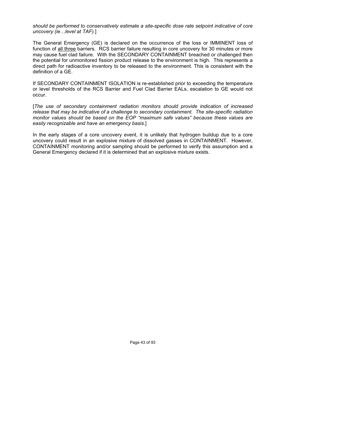*should be performed to conservatively estimate a site-specific dose rate setpoint indicative of core uncovery (ie…level at TAF).*]

The General Emergency (GE) is declared on the occurrence of the loss or IMMINENT loss of function of all three barriers. RCS barrier failure resulting in core uncovery for 30 minutes or more may cause fuel clad failure. With the SECONDARY CONTAINMENT breached or challenged then the potential for unmonitored fission product release to the environment is high. This represents a direct path for radioactive inventory to be released to the environment. This is consistent with the definition of a GE.

If SECONDARY CONTAINMENT ISOLATION is re-established prior to exceeding the temperature or level thresholds of the RCS Barrier and Fuel Clad Barrier EALs, escalation to GE would not occur.

[*The use of secondary containment radiation monitors should provide indication of increased release that may be indicative of a challenge to secondary containment. The site-specific radiation monitor values should be based on the EOP "maximum safe values" because these values are easily recognizable and have an emergency basis.*]

In the early stages of a core uncovery event, it is unlikely that hydrogen buildup due to a core uncovery could result in an explosive mixture of dissolved gasses in CONTAINMENT. However, CONTAINMENT monitoring and/or sampling should be performed to verify this assumption and a General Emergency declared if it is determined that an explosive mixture exists.

Page 43 of 93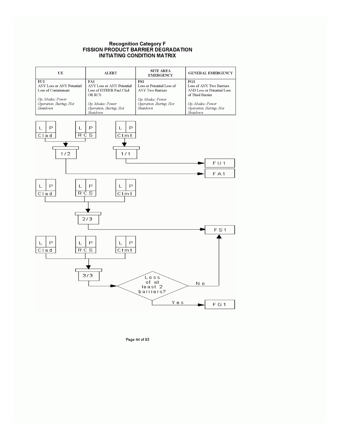#### **Recognition Category F** FISSION PRODUCT BARRIER DEGRADATION **INITIATING CONDITION MATRIX**



Page 44 of 93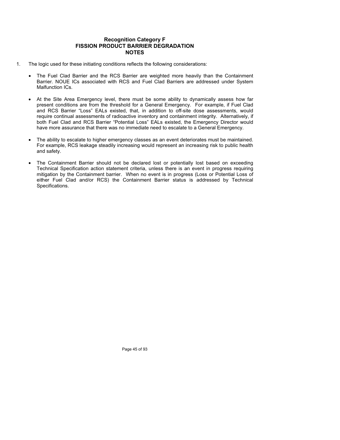#### **Recognition Category F FISSION PRODUCT BARRIER DEGRADATION NOTES**

- 1. The logic used for these initiating conditions reflects the following considerations:
	- The Fuel Clad Barrier and the RCS Barrier are weighted more heavily than the Containment Barrier. NOUE ICs associated with RCS and Fuel Clad Barriers are addressed under System Malfunction ICs.
	- At the Site Area Emergency level, there must be some ability to dynamically assess how far present conditions are from the threshold for a General Emergency. For example, if Fuel Clad and RCS Barrier "Loss" EALs existed, that, in addition to off-site dose assessments, would require continual assessments of radioactive inventory and containment integrity. Alternatively, if both Fuel Clad and RCS Barrier "Potential Loss" EALs existed, the Emergency Director would have more assurance that there was no immediate need to escalate to a General Emergency.
	- The ability to escalate to higher emergency classes as an event deteriorates must be maintained. For example, RCS leakage steadily increasing would represent an increasing risk to public health and safety.
	- The Containment Barrier should not be declared lost or potentially lost based on exceeding Technical Specification action statement criteria, unless there is an event in progress requiring mitigation by the Containment barrier. When no event is in progress (Loss or Potential Loss of either Fuel Clad and/or RCS) the Containment Barrier status is addressed by Technical Specifications.

Page 45 of 93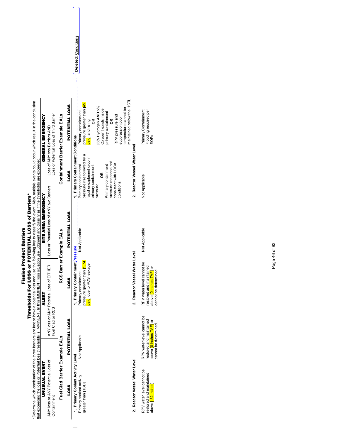| í |
|---|
|   |
|   |
|   |
|   |
| í |
| ì |
|   |
|   |
|   |
|   |
|   |
| İ |
|   |
| I |
| ı |
|   |
|   |
|   |
|   |
|   |
|   |
|   |
|   |
|   |
|   |
|   |
|   |
|   |
|   |

Thresholds For LOSS or POTENTIAL LOSS of Barriers\*

Thresholds or POTENTIAL LOSS or POTIAL LOSS or POTIATIAL LOSS of Barriers\*<br>\*Determine which combination of the thee barriers are lost or have a potential loss and use the flowing key to classify the event. Also, multiple \*Determine which combination of the three barriers are lost or have a potential loss and use the following key to classify the event. Also, multiple events could occur which result in the conclusion that exceeding the loss or Potential loss thresholds is IMMINENT. In this IMMINENT loss situation use judgment and classify as if the thresholds are exceeded.

|                     |                                                  |                                  |                | <b>Deleted: Conditions</b>        |                                                                                                                                                                                                                                                     |                                    |                                                                                                                 |
|---------------------|--------------------------------------------------|----------------------------------|----------------|-----------------------------------|-----------------------------------------------------------------------------------------------------------------------------------------------------------------------------------------------------------------------------------------------------|------------------------------------|-----------------------------------------------------------------------------------------------------------------|
| GENERAL EMERGENCY   | Loss or Potential Loss of Third Barrier          | Containment Barrier Example EALs | POTENTIAL LOSS |                                   | maintained below the HCT<br>pressure greater than [45<br>[6% Hydrogen AND 5%<br>temperature cannot be<br>Oxygen ] exists inside<br>Primary containment<br>primary containment<br>RPV pressure and<br>suppression pool<br>g<br>g<br>psig] and rising |                                    | Flooding required per<br>Primary Containment<br>EOP <sub>S</sub>                                                |
|                     | Loss of ANY two Barriers AND                     |                                  | <b>SSOT</b>    | I. Primary Containment Conditions | pressure rise followed by a<br>rapid unexplained drop in<br>pressure response not<br>consistent with LOCA<br>Primary containment<br>Primary containment<br>primary containment<br>g<br>conditions<br>pressure.                                      | 2. Reactor Vessel Water Level      | Not Applicable                                                                                                  |
| SITE AREA EMERGENCY | Loss or Potential Loss of ANY two Barriers       | RCS Barrier Example EALs         | POTENTIAL LOSS |                                   | Not Applicable                                                                                                                                                                                                                                      |                                    | Not Applicable                                                                                                  |
| ALERT               | of EITHER<br>ANY loss or ANY Potential Loss      |                                  | 98             | 1. Primary Containment Pressure   | pressure greater than [1.74<br><b>RCS</b> leakage<br>Primary containment<br>p <mark>sig]</mark> due to F                                                                                                                                            | /essel Water Level<br>2. Reactor \ | RPV water level cannot be<br>restored and maintained<br>above <b>[0 inches TAF]</b> or<br>cannot be determined. |
|                     | Fuel Clad or RCS                                 |                                  | POTENTIAL LOSS |                                   | Not Applicable                                                                                                                                                                                                                                      |                                    | RPV water level cannot be<br>restored and maintained<br>above <b>[0 inches TAF]</b> or<br>cannot be determined  |
| UNIVENT EVENT       | ANY loss or ANY Potential Loss of<br>Containment | Fuel Clad Barrier Example EALs   | LOSS           | 1. Primary Coolant Activity Level | Primary coolant activity<br>greater than [TBD]                                                                                                                                                                                                      | 2. Reactor Vessel Water Level      | RPV water level cannot be<br>restored and maintained<br>above [-32 inches]                                      |

 $\overline{\phantom{0}}$ 

Page 46 of 93 Page 46 of 93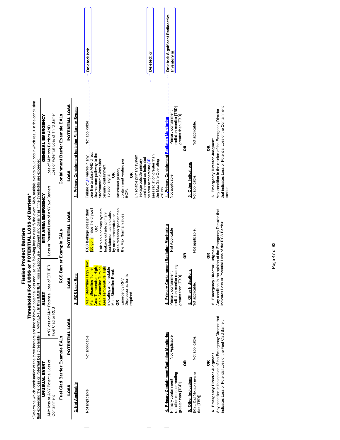|                                                                                                                                                                                                                                                                                                                                                                                      |                                                     |                                                                                                                                                                                                                                                                                                                                                                                                                                                                                                                                                                                           | <b>Fission Product Barriers</b>                                                                                                                                                                                                                                                                                     |                                                                                                                                                                                                                                                                                                                                                                                                                                                                                                                                                                                                                                         |                                                                                                                                                                                 |                                                                                  |
|--------------------------------------------------------------------------------------------------------------------------------------------------------------------------------------------------------------------------------------------------------------------------------------------------------------------------------------------------------------------------------------|-----------------------------------------------------|-------------------------------------------------------------------------------------------------------------------------------------------------------------------------------------------------------------------------------------------------------------------------------------------------------------------------------------------------------------------------------------------------------------------------------------------------------------------------------------------------------------------------------------------------------------------------------------------|---------------------------------------------------------------------------------------------------------------------------------------------------------------------------------------------------------------------------------------------------------------------------------------------------------------------|-----------------------------------------------------------------------------------------------------------------------------------------------------------------------------------------------------------------------------------------------------------------------------------------------------------------------------------------------------------------------------------------------------------------------------------------------------------------------------------------------------------------------------------------------------------------------------------------------------------------------------------------|---------------------------------------------------------------------------------------------------------------------------------------------------------------------------------|----------------------------------------------------------------------------------|
| *Determine which combination of the three barriers are lost or have a potential loss and use the following key to classify the event. Also, multiple events could occur which result in the conclusion                                                                                                                                                                               |                                                     | Thresholds For LOSS or POTENTIAL LOSS of Barriers*                                                                                                                                                                                                                                                                                                                                                                                                                                                                                                                                        |                                                                                                                                                                                                                                                                                                                     |                                                                                                                                                                                                                                                                                                                                                                                                                                                                                                                                                                                                                                         |                                                                                                                                                                                 |                                                                                  |
| that exceeding the loss or Potential loss thresholds is IMMINENT. In this IMMINENT loss situation use j                                                                                                                                                                                                                                                                              |                                                     |                                                                                                                                                                                                                                                                                                                                                                                                                                                                                                                                                                                           | judgment and classify as if the thresholds are exceeded                                                                                                                                                                                                                                                             |                                                                                                                                                                                                                                                                                                                                                                                                                                                                                                                                                                                                                                         |                                                                                                                                                                                 |                                                                                  |
| UNUSUAL EVENT                                                                                                                                                                                                                                                                                                                                                                        |                                                     | <b>ALERT</b>                                                                                                                                                                                                                                                                                                                                                                                                                                                                                                                                                                              | SITE AREA EMERGENCY                                                                                                                                                                                                                                                                                                 |                                                                                                                                                                                                                                                                                                                                                                                                                                                                                                                                                                                                                                         | GENERAL EMERGENCY                                                                                                                                                               |                                                                                  |
| ANY loss or ANY Potential Loss of<br>Containment                                                                                                                                                                                                                                                                                                                                     |                                                     | ANY loss or ANY Potential Loss of EITHER<br>Fuel Clad or RCS                                                                                                                                                                                                                                                                                                                                                                                                                                                                                                                              | Loss or Potential Loss of ANY two Barriers                                                                                                                                                                                                                                                                          |                                                                                                                                                                                                                                                                                                                                                                                                                                                                                                                                                                                                                                         | Loss or Potential Loss of Third Barrier<br>Loss of ANY two Barriers AND                                                                                                         |                                                                                  |
| Fuel Clad Barrier Example EAL                                                                                                                                                                                                                                                                                                                                                        |                                                     |                                                                                                                                                                                                                                                                                                                                                                                                                                                                                                                                                                                           | RCS Barrier Example EALs                                                                                                                                                                                                                                                                                            |                                                                                                                                                                                                                                                                                                                                                                                                                                                                                                                                                                                                                                         | <b>Containment Barrier Example EALs</b>                                                                                                                                         |                                                                                  |
| <b>LOSS</b>                                                                                                                                                                                                                                                                                                                                                                          | POTENTIAL LOSS                                      | LO <sub>3</sub>                                                                                                                                                                                                                                                                                                                                                                                                                                                                                                                                                                           | POTENTIAL LOSS                                                                                                                                                                                                                                                                                                      | <b>LOSS</b>                                                                                                                                                                                                                                                                                                                                                                                                                                                                                                                                                                                                                             | POTENTIAL LOSS                                                                                                                                                                  |                                                                                  |
| 3. Not Applicable                                                                                                                                                                                                                                                                                                                                                                    |                                                     | 3. RCS Leak Rate                                                                                                                                                                                                                                                                                                                                                                                                                                                                                                                                                                          |                                                                                                                                                                                                                                                                                                                     |                                                                                                                                                                                                                                                                                                                                                                                                                                                                                                                                                                                                                                         | 3. Primary Containment Isolation Failure or Bypass                                                                                                                              |                                                                                  |
| Any condition in the opinion of the Emergency Director that<br>indicates Loss or Potential Loss of the Fuel Clad Barrier.<br>4. Primary Containment Radiation Monitoring<br>6. Emergency Director Judgment<br>ã<br>õ<br>[MSL Rad Monitors greater<br>radiation monitor reading<br>5. Other Indications<br>Primary containment<br>greater than [TBD]<br>Not applicable<br>than [TBD]] | Not Applicable<br>Not applicable<br>Not applicable. | Any condition in the opinion of the Emergency Director that<br>4. Primary Containment Radiation Monitoring<br>Primary containment<br>Not Applicable<br>6. Emergency Director Judgment<br>indicates Loss or Potential Loss of<br>Main Steamline High Flow,<br>radiation monitor reading<br>Area Temperature High,<br><b>Main Steamline Turbine</b><br>Area Temperature High<br>indicating an unisolable<br><b>Vlain Steamline Tunnel</b><br>Main Steamline Break<br>5. Other Indications<br>Depressurization is<br>greater than [TBD]<br>Emergency RPV<br>Not applicable.<br>required<br>g | area radiation greater than<br>the Max Normal values<br>RCS leakage greater than<br>[ <mark>50 gpm</mark> ] inside the drywell<br>Unisolable primary system<br>leakage outside primary<br>containment as indicated<br>by area temperature or<br>the RCS Barrier<br>g<br>Not Applicable<br>Not applicable.<br>õ<br>õ | Any condition in the opinion of the Emergency Director<br>4. Primary Containment Radiation Monitoring<br>6. Emergency Director Judgment<br>downstream pathway to the<br>Failure of all valves in any<br>one line to close AND direct<br>area radiation greater than<br>Unisolable primary system<br>containment as indicated<br>eakage outside primary<br>by area temperature OR<br>environment exists after<br>containment venting per<br>the Max Safe Operating<br>5. Other Indications<br>primary containment<br>Intentional primary<br>g<br>g<br>isolation signal<br>Not applicable<br>Not applicable.<br>values<br>barrier<br>EOPS | that indicates Loss or Potential Loss of the Containment<br>radiation monitor [TBD]<br>Primary containment<br>greater than [TBD]<br>Not applicable<br>Not applicable.<br>õ<br>õ | Deleted: Significant Radioactive<br>Deleted: both<br>Inventory in<br>Deleted: or |
|                                                                                                                                                                                                                                                                                                                                                                                      |                                                     |                                                                                                                                                                                                                                                                                                                                                                                                                                                                                                                                                                                           |                                                                                                                                                                                                                                                                                                                     |                                                                                                                                                                                                                                                                                                                                                                                                                                                                                                                                                                                                                                         |                                                                                                                                                                                 |                                                                                  |

—

Page 47 of 93 Page 47 of 93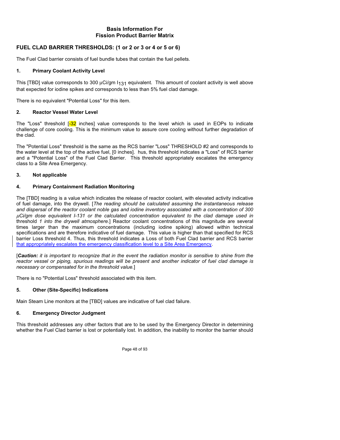#### **Basis Information For Fission Product Barrier Matrix**

# **FUEL CLAD BARRIER THRESHOLDS: (1 or 2 or 3 or 4 or 5 or 6)**

The Fuel Clad barrier consists of fuel bundle tubes that contain the fuel pellets.

#### **1. Primary Coolant Activity Level**

This [TBD] value corresponds to 300 μCi/gm I<sub>131</sub> equivalent. This amount of coolant activity is well above that expected for iodine spikes and corresponds to less than 5% fuel clad damage.

There is no equivalent "Potential Loss" for this item.

#### **2. Reactor Vessel Water Level**

The "Loss" threshold  $\left[\frac{-32}{2}\right]$  inches] value corresponds to the level which is used in EOPs to indicate challenge of core cooling. This is the minimum value to assure core cooling without further degradation of the clad.

The "Potential Loss" threshold is the same as the RCS barrier "Loss" THRESHOLD #2 and corresponds to the water level at the top of the active fuel, [0 inches]. hus, this threshold indicates a "Loss" of RCS barrier and a "Potential Loss" of the Fuel Clad Barrier. This threshold appropriately escalates the emergency class to a Site Area Emergency.

#### **3. Not applicable**

#### **4. Primary Containment Radiation Monitoring**

The [TBD] reading is a value which indicates the release of reactor coolant, with elevated activity indicative of fuel damage, into the drywell. [*The reading should be calculated assuming the instantaneous release and dispersal of the reactor coolant noble gas and iodine inventory associated with a concentration of 300*  μ*Ci/gm dose equivalent I-131 or the calculated concentration equivalent to the clad damage used in*  threshold *1 into the drywell atmosphere.*] Reactor coolant concentrations of this magnitude are several times larger than the maximum concentrations (including iodine spiking) allowed within technical specifications and are therefore indicative of fuel damage. This value is higher than that specified for RCS barrier Loss threshold 4. Thus, this threshold indicates a Loss of both Fuel Clad barrier and RCS barrier that appropriately escalates the emergency classification level to a Site Area Emergency.

[*Caution: it is important to recognize that in the event the radiation monitor is sensitive to shine from the reactor vessel or piping, spurious readings will be present and another indicator of fuel clad damage is necessary or compensated for in the threshold value.*]

There is no "Potential Loss" threshold associated with this item.

#### **5. Other (Site-Specific) Indications**

Main Steam Line monitors at the [TBD] values are indicative of fuel clad failure.

#### **6. Emergency Director Judgment**

This threshold addresses any other factors that are to be used by the Emergency Director in determining whether the Fuel Clad barrier is lost or potentially lost. In addition, the inability to monitor the barrier should

Page 48 of 93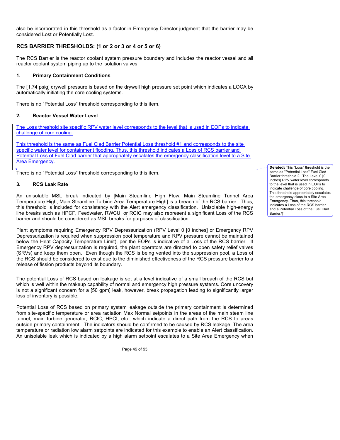also be incorporated in this threshold as a factor in Emergency Director judgment that the barrier may be considered Lost or Potentially Lost.

#### **RCS BARRIER THRESHOLDS: (1 or 2 or 3 or 4 or 5 or 6)**

The RCS Barrier is the reactor coolant system pressure boundary and includes the reactor vessel and all reactor coolant system piping up to the isolation valves.

#### **1. Primary Containment Conditions**

The [1.74 psig] drywell pressure is based on the drywell high pressure set point which indicates a LOCA by automatically initiating the core cooling systems.

There is no "Potential Loss" threshold corresponding to this item.

#### **2. Reactor Vessel Water Level**

The Loss threshold site specific RPV water level corresponds to the level that is used in EOPs to indicate challenge of core cooling.

This threshold is the same as Fuel Clad Barrier Potential Loss threshold #1 and corresponds to the site specific water level for containment flooding. Thus, this threshold indicates a Loss of RCS barrier and Potential Loss of Fuel Clad barrier that appropriately escalates the emergency classification level to a Site Area Emergency.

There is no "Potential Loss" threshold corresponding to this item.

#### **3. RCS Leak Rate**

An unisolable MSL break indicated by [Main Steamline High Flow, Main Steamline Tunnel Area Temperature High, Main Steamline Turbine Area Temperature High] is a breach of the RCS barrier. Thus, this threshold is included for consistency with the Alert emergency classification. Unisolable high-energy line breaks such as HPCF, Feedwater, RWCU, or RCIC may also represent a significant Loss of the RCS barrier and should be considered as MSL breaks for purposes of classification.

Plant symptoms requiring Emergency RPV Depressurization (RPV Level 0 [0 inches] or Emergency RPV Depressurization is required when suppression pool temperature and RPV pressure cannot be maintained below the Heat Capacity Temperature Limit), per the EOPs is indicative of a Loss of the RCS barrier. If Emergency RPV depressurization is required, the plant operators are directed to open safety relief valves (SRVs) and keep them open. Even though the RCS is being vented into the suppression pool, a Loss of the RCS should be considered to exist due to the diminished effectiveness of the RCS pressure barrier to a release of fission products beyond its boundary.

The potential Loss of RCS based on leakage is set at a level indicative of a small breach of the RCS but which is well within the makeup capability of normal and emergency high pressure systems. Core uncovery is not a significant concern for a [50 gpm] leak, however, break propagation leading to significantly larger loss of inventory is possible.

Potential Loss of RCS based on primary system leakage outside the primary containment is determined from site-specific temperature or area radiation Max Normal setpoints in the areas of the main steam line tunnel, main turbine generator, RCIC, HPCI, etc., which indicate a direct path from the RCS to areas outside primary containment. The indicators should be confirmed to be caused by RCS leakage. The area temperature or radiation low alarm setpoints are indicated for this example to enable an Alert classification. An unisolable leak which is indicated by a high alarm setpoint escalates to a Site Area Emergency when

Page 49 of 93

**Deleted:** This "Loss" threshold is the same as "Potential Loss" Fuel Clad Barrier threshold 2. The Level 0 [0 inches] RPV water level corresponds to the level that is used in EOPs to indicate challenge of core cooling. This threshold appropriately escalates the emergency class to a Site Area Emergency. Thus, this threshold indicates a Loss of the RCS barrier and a Potential Loss of the Fuel Clad Barrier.¶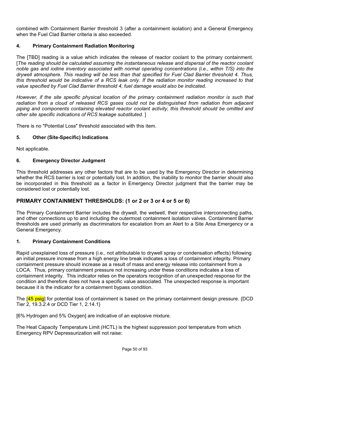combined with Containment Barrier threshold 3 (after a containment isolation) and a General Emergency when the Fuel Clad Barrier criteria is also exceeded.

#### **4. Primary Containment Radiation Monitoring**

The [TBD] reading is a value which indicates the release of reactor coolant to the primary containment. [*The reading should be calculated assuming the instantaneous release and dispersal of the reactor coolant noble gas and iodine inventory associated with normal operating concentrations (i.e., within T/S) into the drywell atmosphere. This reading will be less than that specified for Fuel Clad Barrier threshold 4. Thus, this threshold would be indicative of a RCS leak only. If the radiation monitor reading increased to that value specified by Fuel Clad Barrier threshold 4, fuel damage would also be indicated.* 

*However, if the site specific physical location of the primary containment radiation monitor is such that radiation from a cloud of released RCS gases could not be distinguished from radiation from adjacent piping and components containing elevated reactor coolant activity, this threshold should be omitted and other site specific indications of RCS leakage substituted.* ]

There is no "Potential Loss" threshold associated with this item.

#### **5. Other (Site-Specific) Indications**

Not applicable.

#### **6. Emergency Director Judgment**

This threshold addresses any other factors that are to be used by the Emergency Director in determining whether the RCS barrier is lost or potentially lost. In addition, the inability to monitor the barrier should also be incorporated in this threshold as a factor in Emergency Director judgment that the barrier may be considered lost or potentially lost.

# **PRIMARY CONTAINMENT THRESHOLDS: (1 or 2 or 3 or 4 or 5 or 6)**

The Primary Containment Barrier includes the drywell, the wetwell, their respective interconnecting paths, and other connections up to and including the outermost containment isolation valves. Containment Barrier thresholds are used primarily as discriminators for escalation from an Alert to a Site Area Emergency or a General Emergency.

#### **1. Primary Containment Conditions**

Rapid unexplained loss of pressure (i.e., not attributable to drywell spray or condensation effects) following an initial pressure increase from a high energy line break indicates a loss of containment integrity. Primary containment pressure should increase as a result of mass and energy release into containment from a LOCA. Thus, primary containment pressure not increasing under these conditions indicates a loss of containment integrity. This indicator relies on the operators recognition of an unexpected response for the condition and therefore does not have a specific value associated. The unexpected response is important because it is the indicator for a containment bypass condition.

The [45 psig] for potential loss of containment is based on the primary containment design pressure. {DCD} Tier 2, 19.3.2.4 or DCD Tier 1, 2.14.1}

[6% Hydrogen and 5% Oxygen] are indicative of an explosive mixture.

The Heat Capacity Temperature Limit (HCTL) is the highest suppression pool temperature from which Emergency RPV Depressurization will not raise:

Page 50 of 93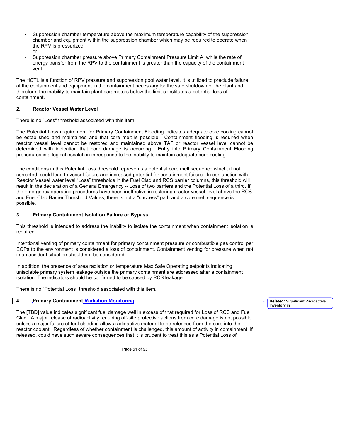- Suppression chamber temperature above the maximum temperature capability of the suppression chamber and equipment within the suppression chamber which may be required to operate when the RPV is pressurized,
	- or
- Suppression chamber pressure above Primary Containment Pressure Limit A, while the rate of energy transfer from the RPV to the containment is greater than the capacity of the containment vent.

The HCTL is a function of RPV pressure and suppression pool water level. It is utilized to preclude failure of the containment and equipment in the containment necessary for the safe shutdown of the plant and therefore, the inability to maintain plant parameters below the limit constitutes a potential loss of containment.

#### **2. Reactor Vessel Water Level**

There is no "Loss" threshold associated with this item.

The Potential Loss requirement for Primary Containment Flooding indicates adequate core cooling cannot be established and maintained and that core melt is possible. Containment flooding is required when reactor vessel level cannot be restored and maintained above TAF or reactor vessel level cannot be determined with indication that core damage is occurring. Entry into Primary Containment Flooding procedures is a logical escalation in response to the inability to maintain adequate core cooling.

The conditions in this Potential Loss threshold represents a potential core melt sequence which, if not corrected, could lead to vessel failure and increased potential for containment failure. In conjunction with Reactor Vessel water level "Loss" thresholds in the Fuel Clad and RCS barrier columns, this threshold will result in the declaration of a General Emergency -- Loss of two barriers and the Potential Loss of a third. If the emergency operating procedures have been ineffective in restoring reactor vessel level above the RCS and Fuel Clad Barrier Threshold Values, there is not a "success" path and a core melt sequence is possible.

#### **3. Primary Containment Isolation Failure or Bypass**

This threshold is intended to address the inability to isolate the containment when containment isolation is required.

Intentional venting of primary containment for primary containment pressure or combustible gas control per EOPs to the environment is considered a loss of containment. Containment venting for pressure when not in an accident situation should not be considered.

In addition, the presence of area radiation or temperature Max Safe Operating setpoints indicating unisolable primary system leakage outside the primary containment are addressed after a containment isolation. The indicators should be confirmed to be caused by RCS leakage.

There is no "Potential Loss" threshold associated with this item.

# **4. Primary Containment Radiation Monitoring**

The [TBD] value indicates significant fuel damage well in excess of that required for Loss of RCS and Fuel Clad. A major release of radioactivity requiring off-site protective actions from core damage is not possible unless a major failure of fuel cladding allows radioactive material to be released from the core into the reactor coolant. Regardless of whether containment is challenged, this amount of activity in containment, if released, could have such severe consequences that it is prudent to treat this as a Potential Loss of

**Deleted: Significant Radioactive Inventory in** 

Page 51 of 93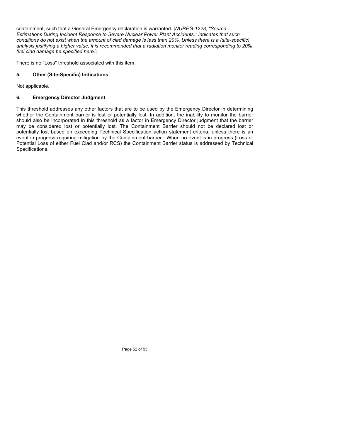containment, such that a General Emergency declaration is warranted. [*NUREG-1228, "Source Estimations During Incident Response to Severe Nuclear Power Plant Accidents," indicates that such conditions do not exist when the amount of clad damage is less than 20%. Unless there is a (site-specific) analysis justifying a higher value, it is recommended that a radiation monitor reading corresponding to 20% fuel clad damage be specified here*.]

There is no "Loss" threshold associated with this item.

#### **5. Other (Site-Specific) Indications**

Not applicable.

#### **6. Emergency Director Judgment**

This threshold addresses any other factors that are to be used by the Emergency Director in determining whether the Containment barrier is lost or potentially lost. In addition, the inability to monitor the barrier should also be incorporated in this threshold as a factor in Emergency Director judgment that the barrier may be considered lost or potentially lost. The Containment Barrier should not be declared lost or potentially lost based on exceeding Technical Specification action statement criteria, unless there is an event in progress requiring mitigation by the Containment barrier. When no event is in progress (Loss or Potential Loss of either Fuel Clad and/or RCS) the Containment Barrier status is addressed by Technical Specifications.

Page 52 of 93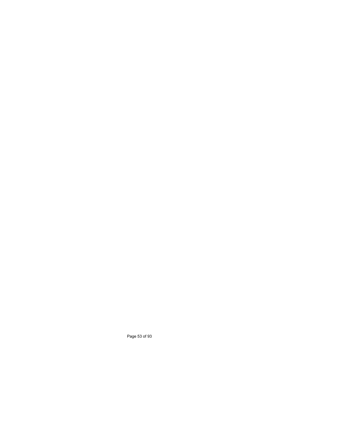Page 53 of 93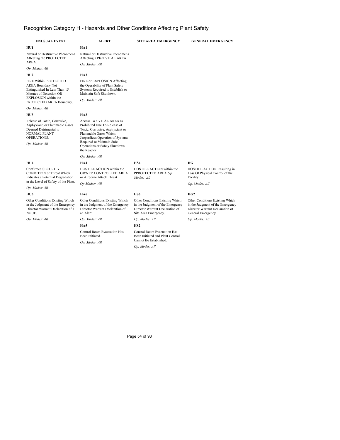# Recognition Category H - Hazards and Other Conditions Affecting Plant Safety

| UNUSUAL EVENT                                                                                                                                   | <b>ALERT</b>                                                                                                                                                                                                                           | <b>SITE AREA EMERGENCY</b>                                                                                                     | <b>GENERAL EMERGENCY</b>                                                                                                     |
|-------------------------------------------------------------------------------------------------------------------------------------------------|----------------------------------------------------------------------------------------------------------------------------------------------------------------------------------------------------------------------------------------|--------------------------------------------------------------------------------------------------------------------------------|------------------------------------------------------------------------------------------------------------------------------|
| HUI                                                                                                                                             | HA1                                                                                                                                                                                                                                    |                                                                                                                                |                                                                                                                              |
| Natural or Destructive Phenomena<br>Affecting the PROTECTED                                                                                     | Natural or Destructive Phenomena<br>Affecting a Plant VITAL AREA.                                                                                                                                                                      |                                                                                                                                |                                                                                                                              |
| AREA.                                                                                                                                           | Op. Modes: All                                                                                                                                                                                                                         |                                                                                                                                |                                                                                                                              |
| Op. Modes: All                                                                                                                                  |                                                                                                                                                                                                                                        |                                                                                                                                |                                                                                                                              |
| H <sub>U2</sub>                                                                                                                                 | HA2                                                                                                                                                                                                                                    |                                                                                                                                |                                                                                                                              |
| <b>FIRE Within PROTECTED</b><br><b>AREA Boundary Not</b><br>Extinguished In Less Than 15<br>Minutes of Detection OR                             | FIRE or EXPLOSION Affecting<br>the Operability of Plant Safety<br>Systems Required to Establish or<br>Maintain Safe Shutdown.                                                                                                          |                                                                                                                                |                                                                                                                              |
| EXPLOSION within the<br>PROTECTED AREA Boundary.                                                                                                | Op. Modes: All                                                                                                                                                                                                                         |                                                                                                                                |                                                                                                                              |
| Op. Modes: All                                                                                                                                  |                                                                                                                                                                                                                                        |                                                                                                                                |                                                                                                                              |
| H <sub>U3</sub>                                                                                                                                 | HA3                                                                                                                                                                                                                                    |                                                                                                                                |                                                                                                                              |
| Release of Toxic, Corrosive,<br>Asphyxiant, or Flammable Gases<br>Deemed Detrimental to<br><b>NORMAL PLANT</b><br>OPERATIONS.<br>Op. Modes: All | Access To a VITAL AREA Is<br>Prohibited Due To Release of<br>Toxic, Corrosive, Asphyxiant or<br>Flammable Gases Which<br>Jeopardizes Operation of Systems<br>Required to Maintain Safe<br>Operations or Safely Shutdown<br>the Reactor |                                                                                                                                |                                                                                                                              |
|                                                                                                                                                 | Op. Modes: All                                                                                                                                                                                                                         |                                                                                                                                |                                                                                                                              |
| H <sub>U4</sub>                                                                                                                                 | HA4                                                                                                                                                                                                                                    | HS4                                                                                                                            | HG1                                                                                                                          |
| Confirmed SECURITY<br><b>CONDITION</b> or Threat Which<br>Indicates a Potential Degradation                                                     | HOSTILE ACTION within the<br><b>OWNER CONTROLLED AREA</b><br>or Airborne Attack Threat                                                                                                                                                 | HOSTILE ACTION within the<br>PPROTECTED AREA Op<br>Modes: All                                                                  | HOSTILE ACTION Resulting in<br>Loss Of Physical Control of the<br>Facility.                                                  |
| in the Level of Safety of the Plant.                                                                                                            | Op Modes: All                                                                                                                                                                                                                          |                                                                                                                                | Op. Modes: All                                                                                                               |
| Op. Modes: All                                                                                                                                  |                                                                                                                                                                                                                                        |                                                                                                                                |                                                                                                                              |
| HU <sub>5</sub>                                                                                                                                 | <b>HA6</b>                                                                                                                                                                                                                             | HS3                                                                                                                            | HG2                                                                                                                          |
| Other Conditions Existing Which<br>in the Judgment of the Emergency<br>Director Warrant Declaration of a<br>NOUE.                               | Other Conditions Existing Which<br>in the Judgment of the Emergency<br>Director Warrant Declaration of<br>an Alert.                                                                                                                    | Other Conditions Existing Which<br>in the Judgment of the Emergency<br>Director Warrant Declaration of<br>Site Area Emergency. | Other Conditions Existing Which<br>in the Judgment of the Emergency<br>Director Warrant Declaration of<br>General Emergency. |
| Op. Modes: All                                                                                                                                  | Op. Modes: All                                                                                                                                                                                                                         | Op. Modes: All                                                                                                                 | Op. Modes: All                                                                                                               |
|                                                                                                                                                 | HA5                                                                                                                                                                                                                                    | HS2                                                                                                                            |                                                                                                                              |
|                                                                                                                                                 | Control Room Evacuation Has<br>Been Initiated.                                                                                                                                                                                         | Control Room Evacuation Has<br>Been Initiated and Plant Control                                                                |                                                                                                                              |
|                                                                                                                                                 | Op. Modes: All                                                                                                                                                                                                                         | Cannot Be Established.                                                                                                         |                                                                                                                              |
|                                                                                                                                                 |                                                                                                                                                                                                                                        | Op. Modes: All                                                                                                                 |                                                                                                                              |

Page 54 of 93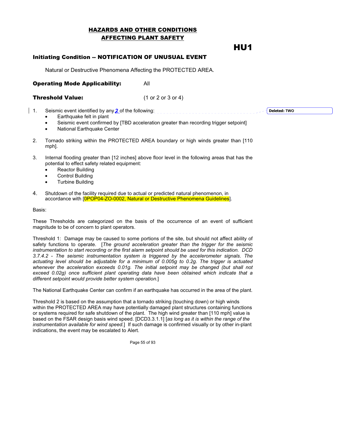HU1

**Deleted: TWO**

#### Initiating Condition -- NOTIFICATION OF UNUSUAL EVENT

Natural or Destructive Phenomena Affecting the PROTECTED AREA.

#### **Operating Mode Applicability:** All

#### Threshold Value: (1 or 2 or 3 or 4)

- 1. Seismic event identified by any **2** of the following:
	- Earthquake felt in plant
	- Seismic event confirmed by [TBD acceleration greater than recording trigger setpoint]
	- National Earthquake Center
- 2. Tornado striking within the PROTECTED AREA boundary or high winds greater than [110 mph].
- 3. Internal flooding greater than [12 inches] above floor level in the following areas that has the potential to effect safety related equipment:
	- Reactor Building
	- Control Building
	- Turbine Building
- 4. Shutdown of the facility required due to actual or predicted natural phenomenon, in accordance with [OPOP04-ZO-0002, Natural or Destructive Phenomena Guidelines].

#### Basis:

These Thresholds are categorized on the basis of the occurrence of an event of sufficient magnitude to be of concern to plant operators.

Threshold 1: Damage may be caused to some portions of the site, but should not affect ability of safety functions to operate. [*The ground acceleration greater than the trigger for the seismic instrumentation to start recording or the first alarm setpoint should be used for this indication. DCD 3.7.4.2 - The seismic instrumentation system is triggered by the accelerometer signals. The actuating level should be adjustable for a minimum of 0.005g to 0.2g. The trigger is actuated*  whenever the acceleration exceeds 0.01g. The initial setpoint may be changed (but shall not *exceed 0.02g) once sufficient plant operating data have been obtained which indicate that a different setpoint would provide better system operation.*]

The National Earthquake Center can confirm if an earthquake has occurred in the area of the plant.

Threshold 2 is based on the assumption that a tornado striking (touching down) or high winds within the PROTECTED AREA may have potentially damaged plant structures containing functions or systems required for safe shutdown of the plant. The high wind greater than [110 mph] value is based on the FSAR design basis wind speed. [DCD3.3.1.1] [*as long as it is within the range of the instrumentation available for wind speed.*] If such damage is confirmed visually or by other in-plant indications, the event may be escalated to Alert.

Page 55 of 93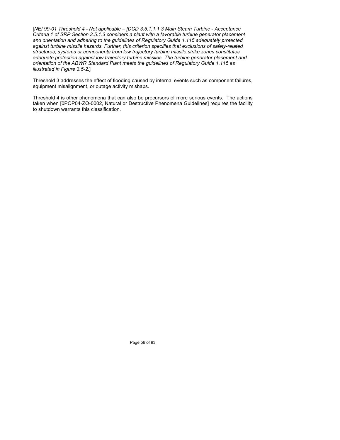[*NEI 99-01 Threshold 4 - Not applicable – [DCD 3.5.1.1.1.3 Main Steam Turbine - Acceptance Criteria 1 of SRP Section 3.5.1.3 considers a plant with a favorable turbine generator placement and orientation and adhering to the guidelines of Regulatory Guide 1.115 adequately protected against turbine missile hazards. Further, this criterion specifies that exclusions of safety-related structures, systems or components from low trajectory turbine missile strike zones constitutes adequate protection against low trajectory turbine missiles. The turbine generator placement and orientation of the ABWR Standard Plant meets the guidelines of Regulatory Guide 1.115 as illustrated in Figure 3.5-2*.]

Threshold 3 addresses the effect of flooding caused by internal events such as component failures, equipment misalignment, or outage activity mishaps.

Threshold 4 is other phenomena that can also be precursors of more serious events. The actions taken when [0POP04-ZO-0002, Natural or Destructive Phenomena Guidelines] requires the facility to shutdown warrants this classification.

Page 56 of 93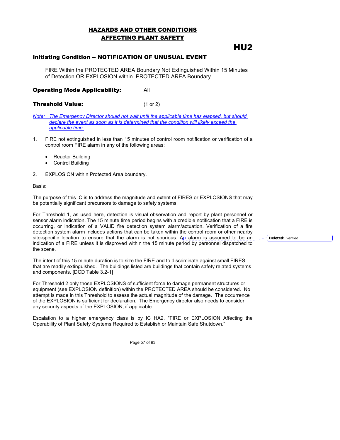# HU2

#### Initiating Condition -- NOTIFICATION OF UNUSUAL EVENT

FIRE Within the PROTECTED AREA Boundary Not Extinguished Within 15 Minutes of Detection OR EXPLOSION within PROTECTED AREA Boundary.

#### **Operating Mode Applicability:** All

Threshold Value: (1 or 2)

*Note: The Emergency Director should not wait until the applicable time has elapsed, but should declare the event as soon as it is determined that the condition will likely exceed the applicable time.*

- 1. FIRE not extinguished in less than 15 minutes of control room notification or verification of a control room FIRE alarm in any of the following areas:
	- Reactor Building
	- Control Building
- 2. EXPLOSION within Protected Area boundary.

#### Basis:

The purpose of this IC is to address the magnitude and extent of FIRES or EXPLOSIONS that may be potentially significant precursors to damage to safety systems.

For Threshold 1, as used here, detection is visual observation and report by plant personnel or sensor alarm indication. The 15 minute time period begins with a credible notification that a FIRE is occurring, or indication of a VALID fire detection system alarm/actuation. Verification of a fire detection system alarm includes actions that can be taken within the control room or other nearby site-specific location to ensure that the alarm is not spurious. An alarm is assumed to be an indication of a FIRE unless it is disproved within the 15 minute period by personnel dispatched to the scene.

The intent of this 15 minute duration is to size the FIRE and to discriminate against small FIRES that are readily extinguished*.* The buildings listed are buildings that contain safety related systems and components. [DCD Table 3.2-1]

For Threshold 2 only those EXPLOSIONS of sufficient force to damage permanent structures or equipment (see EXPLOSION definition) within the PROTECTED AREA should be considered. No attempt is made in this Threshold to assess the actual magnitude of the damage. The occurrence of the EXPLOSION is sufficient for declaration. The Emergency director also needs to consider any security aspects of the EXPLOSION, if applicable.

Escalation to a higher emergency class is by IC HA2, "FIRE or EXPLOSION Affecting the Operability of Plant Safety Systems Required to Establish or Maintain Safe Shutdown."

Page 57 of 93

**Deleted:** verified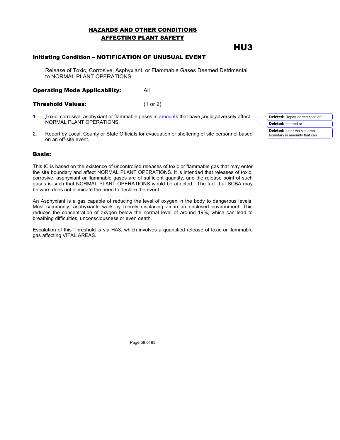HU3

#### Initiating Condition – NOTIFICATION OF UNUSUAL EVENT

Release of Toxic, Corrosive, Asphyxiant, or Flammable Gases Deemed Detrimental to NORMAL PLANT OPERATIONS.

**Operating Mode Applicability:** All

#### Threshold Values: (1 or 2)

- 1. Joxic, corrosive, asphyxiant or flammable gases in amounts that have could adversely affect NORMAL PLANT OPERATIONS.
	- 2. Report by Local, County or State Officials for evacuation or sheltering of site personnel based on an off-site event.

#### Basis:

This IC is based on the existence of uncontrolled releases of toxic or flammable gas that may enter the site boundary and affect NORMAL PLANT OPERATIONS. It is intended that releases of toxic, corrosive, asphyxiant or flammable gases are of sufficient quantity, and the release point of such gases is such that NORMAL PLANT OPERATIONS would be affected. The fact that SCBA may be worn does not eliminate the need to declare the event.

An Asphyxiant is a gas capable of reducing the level of oxygen in the body to dangerous levels. Most commonly, asphyxiants work by merely displacing air in an enclosed environment. This reduces the concentration of oxygen below the normal level of around 19%, which can lead to breathing difficulties, unconsciousness or even death.

Escalation of this Threshold is via HA3, which involves a quantified release of toxic or flammable gas affecting VITAL AREAS.

**Deleted:** Report or detection of t **Deleted:** entered or **Deleted:** enter the site area boundary in amounts that can

Page 58 of 93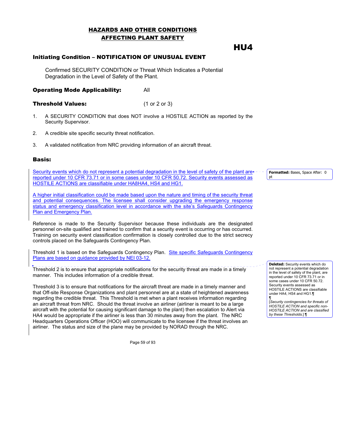HU4

#### Initiating Condition – NOTIFICATION OF UNUSUAL EVENT

Confirmed SECURITY CONDITION or Threat Which Indicates a Potential Degradation in the Level of Safety of the Plant.

**Operating Mode Applicability:** All

#### Threshold Values: (1 or 2 or 3)

- 1. A SECURITY CONDITION that does NOT involve a HOSTILE ACTION as reported by the Security Supervisor.
- 2. A credible site specific security threat notification.
- 3. A validated notification from NRC providing information of an aircraft threat.

#### Basis:

Security events which do not represent a potential degradation in the level of safety of the plant arereported under 10 CFR 73.71 or in some cases under 10 CFR 50.72. Security events assessed as HOSTILE ACTIONS are classifiable under HA8HA4, HS4 and HG1.

A higher initial classification could be made based upon the nature and timing of the security threat and potential consequences. The licensee shall consider upgrading the emergency response status and emergency classification level in accordance with the site's Safeguards Contingency Plan and Emergency Plan.

Reference is made to the Security Supervisor because these individuals are the designated personnel on-site qualified and trained to confirm that a security event is occurring or has occurred. Training on security event classification confirmation is closely controlled due to the strict secrecy controls placed on the Safeguards Contingency Plan.

Threshold 1 is based on the Safeguards Contingency Plan. Site specific Safeguards Contingency Plans are based on guidance provided by NEI 03-12.

Threshold 2 is to ensure that appropriate notifications for the security threat are made in a timely manner. This includes information of a credible threat.

Threshold 3 is to ensure that notifications for the aircraft threat are made in a timely manner and that Off-site Response Organizations and plant personnel are at a state of heightened awareness regarding the credible threat. This Threshold is met when a plant receives information regarding an aircraft threat from NRC. Should the threat involve an airliner (airliner is meant to be a large aircraft with the potential for causing significant damage to the plant) then escalation to Alert via HA4 would be appropriate if the airliner is less than 30 minutes away from the plant. The NRC Headquarters Operations Officer (HOO) will communicate to the licensee if the threat involves an airliner. The status and size of the plane may be provided by NORAD through the NRC.

Page 59 of 93

**Formatted:** Bases, Space After: 0 pt

**Deleted:** Security events which do not represent a potential degradation in the level of safety of the plant, are reported under 10 CFR 73.71 or in some cases under 10 CFR 50.72. Security events assessed as HOSTILE ACTIONS are classifiable under HA4, HS4 and HG1.¶ ¶ [*Security contingencies for threats of* 

*HOSTILE ACTION and specific non-HOSTILE ACTION and are classified by these Thresholds.*] ¶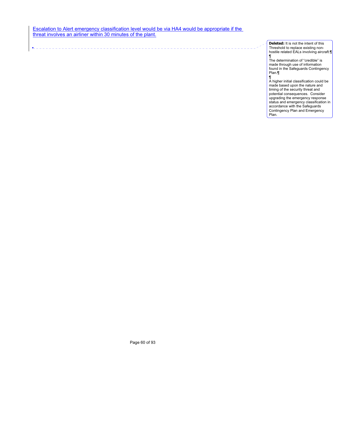Escalation to Alert emergency classification level would be via HA4 would be appropriate if the threat involves an airliner within 30 minutes of the plant.

> **Deleted:** It is not the intent of this Threshold to replace existing non-hostile related EALs involving aircraft.¶

¶ The determination of "credible" is made through use of information found in the Safeguards Contingency Plan.¶

¶ A higher initial classification could be made based upon the nature and timing of the security threat and potential consequences. Consider upgrading the emergency response status and emergency classification in accordance with the Safeguards Contingency Plan and Emergency Plan.

Page 60 of 93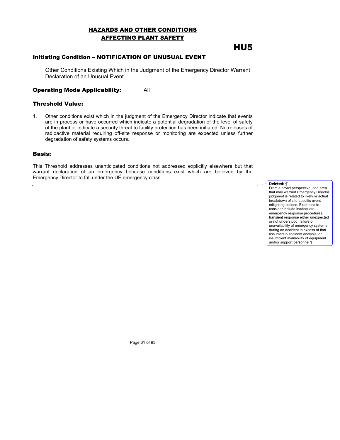# HU5

#### Initiating Condition – NOTIFICATION OF UNUSUAL EVENT

Other Conditions Existing Which in the Judgment of the Emergency Director Warrant Declaration of an Unusual Event.

**Operating Mode Applicability:** All

#### Threshold Value:

1. Other conditions exist which in the judgment of the Emergency Director indicate that events are in process or have occurred which indicate a potential degradation of the level of safety of the plant or indicate a security threat to facility protection has been initiated. No releases of radioactive material requiring off-site response or monitoring are expected unless further degradation of safety systems occurs.

#### Basis:

This Threshold addresses unanticipated conditions not addressed explicitly elsewhere but that warrant declaration of an emergency because conditions exist which are believed by the Emergency Director to fall under the UE emergency class.

**Deleted:** ¶

From a broad perspective, one area that may warrant Emergency Director judgment is related to likely or actual breakdown of site-specific event mitigating actions. Examples to consider include inadequate emergency response procedures, transient response either unexpected or not understood, failure or unavailability of emergency systems during an accident in excess of that assumed in accident analysis, or insufficient availability of equipment and/or support personnel.¶

Page 61 of 93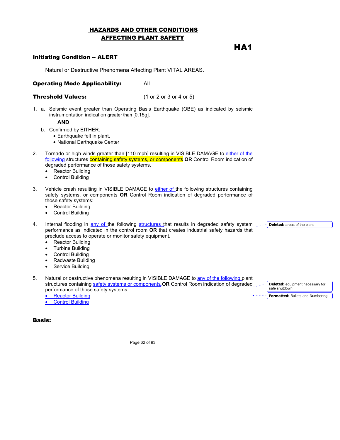HA<sub>1</sub>

#### Initiating Condition -- ALERT

Natural or Destructive Phenomena Affecting Plant VITAL AREAS.

**Operating Mode Applicability:** All

#### **Threshold Values:** (1 or 2 or 3 or 4 or 5)

1. a. Seismic event greater than Operating Basis Earthquake (OBE) as indicated by seismic instrumentation indication greater than [0.15g].

#### **AND**

- b. Confirmed by EITHER:
	- Earthquake felt in plant,
	- National Earthquake Center
- 2. Tornado or high winds greater than [110 mph] resulting in VISIBLE DAMAGE to either of the following structures containing safety systems, or components **OR** Control Room indication of degraded performance of those safety systems.
	- Reactor Building
	- Control Building
- 3. Vehicle crash resulting in VISIBLE DAMAGE to either of the following structures containing safety systems, or components **OR** Control Room indication of degraded performance of those safety systems:
	- Reactor Building
	- Control Building
- $\vert$  4. Internal flooding in any of the following structures that results in degraded safety system performance as indicated in the control room **OR** that creates industrial safety hazards that preclude access to operate or monitor safety equipment.
	- Reactor Building
	- Turbine Building
	- Control Building
	- Radwaste Building
	- Service Building
- 5. Natural or destructive phenomena resulting in VISIBLE DAMAGE to any of the following plant structures containing safety systems or components **OR** Control Room indication of degraded performance of those safety systems: • Reactor Building
- **Formatted:** Bullets and Numbering **Deleted:** equipment necessary for safe shutdown

**Control Building** 

Basis:

Page 62 of 93

**Deleted:** areas of the plant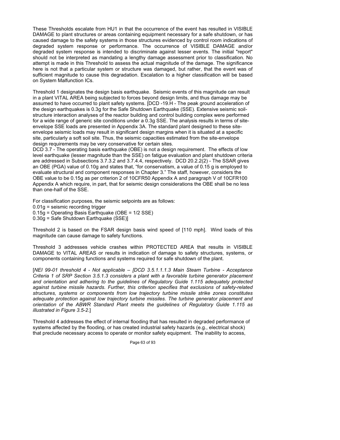These Thresholds escalate from HU1 in that the occurrence of the event has resulted in VISIBLE DAMAGE to plant structures or areas containing equipment necessary for a safe shutdown, or has caused damage to the safety systems in those structures evidenced by control room indications of degraded system response or performance. The occurrence of VISIBLE DAMAGE and/or degraded system response is intended to discriminate against lesser events. The initial "report" should not be interpreted as mandating a lengthy damage assessment prior to classification. No attempt is made in this Threshold to assess the actual magnitude of the damage. The significance here is not that a particular system or structure was damaged, but rather, that the event was of sufficient magnitude to cause this degradation. Escalation to a higher classification will be based on System Malfunction ICs.

Threshold 1 designates the design basis earthquake. Seismic events of this magnitude can result in a plant VITAL AREA being subjected to forces beyond design limits, and thus damage may be assumed to have occurred to plant safety systems. [DCD -19.H - The peak ground acceleration of the design earthquakes is 0.3g for the Safe Shutdown Earthquake (SSE). Extensive seismic soilstructure interaction analyses of the reactor building and control building complex were performed for a wide range of generic site conditions under a 0.3g SSE. The analysis results in terms of siteenvelope SSE loads are presented in Appendix 3A. The standard plant designed to these siteenvelope seismic loads may result in significant design margins when it is situated at a specific site, particularly a soft soil site. Thus, the seismic capacities estimated from the site-envelope design requirements may be very conservative for certain sites.

DCD 3.7 - The operating basis earthquake (OBE) is not a design requirement. The effects of low level earthquake (lesser magnitude than the SSE) on fatigue evaluation and plant shutdown criteria are addressed in Subsections 3.7.3.2 and 3.7.4.4, respectively. DCD 20.2.2(2) - The SSAR gives an OBE (PGA) value of 0.10g and states that, "for conservatism, a value of 0.15 g is employed to evaluate structural and component responses in Chapter 3." The staff, however, considers the OBE value to be 0.15g as per criterion 2 of 10CFR50 Appendix A and paragraph V of 10CFR100 Appendix A which require, in part, that for seismic design considerations the OBE shall be no less than one-half of the SSE.

For classification purposes, the seismic setpoints are as follows: 0.01g = seismic recording trigger 0.15g = Operating Basis Earthquake (OBE = 1/2 SSE) 0.30g = Safe Shutdown Earthquake (SSE)]

Threshold 2 is based on the FSAR design basis wind speed of [110 mph]. Wind loads of this magnitude can cause damage to safety functions.

Threshold 3 addresses vehicle crashes within PROTECTED AREA that results in VISIBLE DAMAGE to VITAL AREAS or results in indication of damage to safety structures, systems, or components containing functions and systems required for safe shutdown of the plant.

[*NEI 99-01 threshold 4 - Not applicable – [DCD 3.5.1.1.1.3 Main Steam Turbine - Acceptance Criteria 1 of SRP Section 3.5.1.3 considers a plant with a favorable turbine generator placement and orientation and adhering to the guidelines of Regulatory Guide 1.115 adequately protected against turbine missile hazards. Further, this criterion specifies that exclusions of safety-related structures, systems or components from low trajectory turbine missile strike zones constitutes adequate protection against low trajectory turbine missiles. The turbine generator placement and orientation of the ABWR Standard Plant meets the guidelines of Regulatory Guide 1.115 as illustrated in Figure 3.5-2*.]

Threshold 4 addresses the effect of internal flooding that has resulted in degraded performance of systems affected by the flooding, or has created industrial safety hazards (e.g., electrical shock) that preclude necessary access to operate or monitor safety equipment. The inability to access,

Page 63 of 93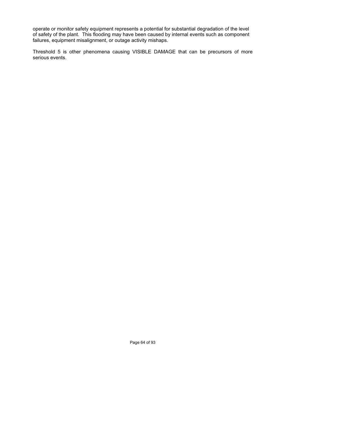operate or monitor safety equipment represents a potential for substantial degradation of the level of safety of the plant. This flooding may have been caused by internal events such as component failures, equipment misalignment, or outage activity mishaps*.*

Threshold 5 is other phenomena causing VISIBLE DAMAGE that can be precursors of more serious events.

Page 64 of 93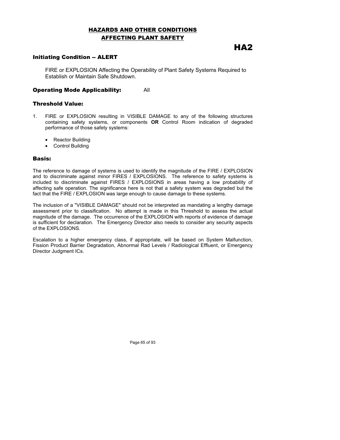# HA<sub>2</sub>

#### **Initiating Condition -- ALERT**

FIRE or EXPLOSION Affecting the Operability of Plant Safety Systems Required to Establish or Maintain Safe Shutdown.

#### **Operating Mode Applicability:** All

#### Threshold Value:

- 1. FIRE or EXPLOSION resulting in VISIBLE DAMAGE to any of the following structures containing safety systems, or components **OR** Control Room indication of degraded performance of those safety systems:
	- Reactor Building
	- Control Building

#### Basis:

The reference to damage of systems is used to identify the magnitude of the FIRE / EXPLOSION and to discriminate against minor FIRES / EXPLOSIONS. The reference to safety systems is included to discriminate against FIRES / EXPLOSIONS in areas having a low probability of affecting safe operation. The significance here is not that a safety system was degraded but the fact that the FIRE / EXPLOSION was large enough to cause damage to these systems.

The inclusion of a "VISIBLE DAMAGE" should not be interpreted as mandating a lengthy damage assessment prior to classification. No attempt is made in this Threshold to assess the actual magnitude of the damage. The occurrence of the EXPLOSION with reports of evidence of damage is sufficient for declaration. The Emergency Director also needs to consider any security aspects of the EXPLOSIONS.

Escalation to a higher emergency class, if appropriate, will be based on System Malfunction, Fission Product Barrier Degradation, Abnormal Rad Levels / Radiological Effluent, or Emergency Director Judgment ICs.

Page 65 of 93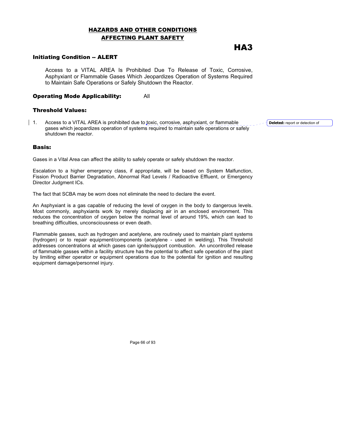# HA3

#### **Initiating Condition -- ALERT**

Access to a VITAL AREA Is Prohibited Due To Release of Toxic, Corrosive, Asphyxiant or Flammable Gases Which Jeopardizes Operation of Systems Required to Maintain Safe Operations or Safely Shutdown the Reactor.

### **Operating Mode Applicability:** All

#### Threshold Values:

1. Access to a VITAL AREA is prohibited due to toxic, corrosive, asphyxiant, or flammable gases which jeopardizes operation of systems required to maintain safe operations or safely shutdown the reactor.

**Deleted:** report or detection of

#### Basis:

Gases in a Vital Area can affect the ability to safely operate or safely shutdown the reactor.

Escalation to a higher emergency class, if appropriate, will be based on System Malfunction, Fission Product Barrier Degradation, Abnormal Rad Levels / Radioactive Effluent, or Emergency Director Judgment ICs.

The fact that SCBA may be worn does not eliminate the need to declare the event.

An Asphyxiant is a gas capable of reducing the level of oxygen in the body to dangerous levels. Most commonly, asphyxiants work by merely displacing air in an enclosed environment. This reduces the concentration of oxygen below the normal level of around 19%, which can lead to breathing difficulties, unconsciousness or even death.

Flammable gasses, such as hydrogen and acetylene, are routinely used to maintain plant systems (hydrogen) or to repair equipment/components (acetylene - used in welding). This Threshold addresses concentrations at which gases can ignite/support combustion. An uncontrolled release of flammable gasses within a facility structure has the potential to affect safe operation of the plant by limiting either operator or equipment operations due to the potential for ignition and resulting equipment damage/personnel injury.

Page 66 of 93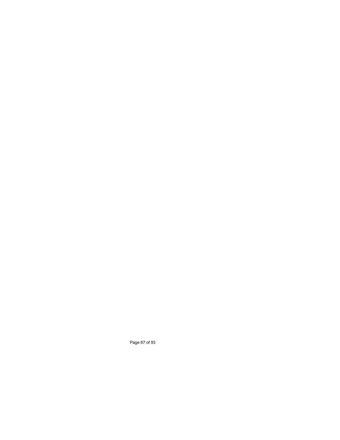Page 67 of 93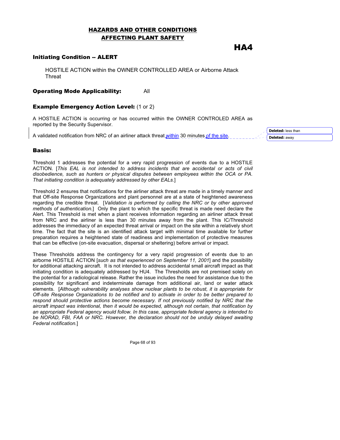HA4

# Initiating Condition -- ALERT

HOSTILE ACTION within the OWNER CONTROLLED AREA or Airborne Attack **Threat** 

#### **Operating Mode Applicability:** All

#### **Example Emergency Action Level:** (1 or 2)

A HOSTILE ACTION is occurring or has occurred within the OWNER CONTROLED AREA as reported by the Security Supervisor.

A validated notification from NRC of an airliner attack threat within 30 minutes of the site.

**Deleted:** less than **Deleted:** away

#### Basis:

Threshold 1 addresses the potential for a very rapid progression of events due to a HOSTILE ACTION. [*This EAL is not intended to address incidents that are accidental or acts of civil disobedience, such as hunters or physical disputes between employees within the OCA or PA. That initiating condition is adequately addressed by other EALs.*]

Threshold 2 ensures that notifications for the airliner attack threat are made in a timely manner and that Off-site Response Organizations and plant personnel are at a state of heightened awareness regarding the credible threat. [*Validation is performed by calling the NRC or by other approved methods of authentication.*] Only the plant to which the specific threat is made need declare the Alert. This Threshold is met when a plant receives information regarding an airliner attack threat from NRC and the airliner is less than 30 minutes away from the plant. This IC/Threshold addresses the immediacy of an expected threat arrival or impact on the site within a relatively short time. The fact that the site is an identified attack target with minimal time available for further preparation requires a heightened state of readiness and implementation of protective measures that can be effective (on-site evacuation, dispersal or sheltering) before arrival or impact.

These Thresholds address the contingency for a very rapid progression of events due to an airborne HOSTILE ACTION [*such as that experienced on September 11, 2001*] and the possibility for additional attacking aircraft. It is not intended to address accidental small aircraft impact as that initiating condition is adequately addressed by HU4. The Thresholds are not premised solely on the potential for a radiological release. Rather the issue includes the need for assistance due to the possibility for significant and indeterminate damage from additional air, land or water attack elements. [*Although vulnerability analyses show nuclear plants to be robust, it is appropriate for Off-site Response Organizations to be notified and to activate in order to be better prepared to*  respond should protective actions become necessary. If not previously notified by NRC that the *aircraft impact was intentional, then it would be expected, although not certain, that notification by an appropriate Federal agency would follow. In this case, appropriate federal agency is intended to*  be NORAD, FBI, FAA or NRC. However, the declaration should not be unduly delayed awaiting *Federal notification.*]

Page 68 of 93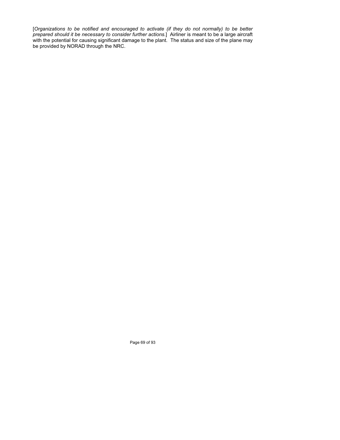[*Organizations to be notified and encouraged to activate (if they do not normally) to be better prepared should it be necessary to consider further actions.*]Airliner is meant to be a large aircraft with the potential for causing significant damage to the plant. The status and size of the plane may be provided by NORAD through the NRC.

Page 69 of 93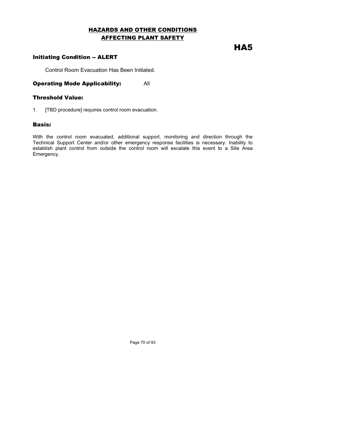HA5

### Initiating Condition -- ALERT

Control Room Evacuation Has Been Initiated.

**Operating Mode Applicability:** All

## Threshold Value:

1. [TBD procedure] requires control room evacuation.

#### Basis:

With the control room evacuated, additional support, monitoring and direction through the Technical Support Center and/or other emergency response facilities is necessary. Inability to establish plant control from outside the control room will escalate this event to a Site Area Emergency.

Page 70 of 93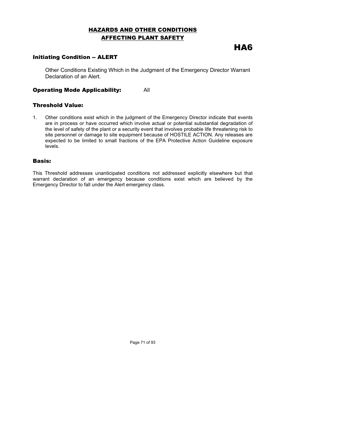# HA6

### Initiating Condition -- ALERT

Other Conditions Existing Which in the Judgment of the Emergency Director Warrant Declaration of an Alert.

**Operating Mode Applicability:** All

### Threshold Value:

1. Other conditions exist which in the judgment of the Emergency Director indicate that events are in process or have occurred which involve actual or potential substantial degradation of the level of safety of the plant or a security event that involves probable life threatening risk to site personnel or damage to site equipment because of HOSTILE ACTION. Any releases are expected to be limited to small fractions of the EPA Protective Action Guideline exposure levels.

#### Basis:

This Threshold addresses unanticipated conditions not addressed explicitly elsewhere but that warrant declaration of an emergency because conditions exist which are believed by the Emergency Director to fall under the Alert emergency class.

Page 71 of 93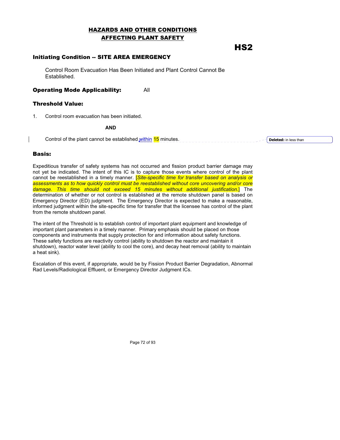# HS2

#### Initiating Condition -- SITE AREA EMERGENCY

Control Room Evacuation Has Been Initiated and Plant Control Cannot Be Established.

**Operating Mode Applicability:** All

#### Threshold Value:

1. Control room evacuation has been initiated.

**AND**

Control of the plant cannot be established *within* 15 minutes. **Deleted:** in less than

#### Basis:

Expeditious transfer of safety systems has not occurred and fission product barrier damage may not yet be indicated. The intent of this IC is to capture those events where control of the plant cannot be reestablished in a timely manner. [*Site-specific time for transfer based on analysis or assessments as to how quickly control must be reestablished without core uncovering and/or core damage. This time should not exceed 15 minutes without additional justification*.] The determination of whether or not control is established at the remote shutdown panel is based on Emergency Director (ED) judgment. The Emergency Director is expected to make a reasonable, informed judgment within the site-specific time for transfer that the licensee has control of the plant from the remote shutdown panel.

The intent of the Threshold is to establish control of important plant equipment and knowledge of important plant parameters in a timely manner. Primary emphasis should be placed on those components and instruments that supply protection for and information about safety functions. These safety functions are reactivity control (ability to shutdown the reactor and maintain it shutdown), reactor water level (ability to cool the core), and decay heat removal (ability to maintain a heat sink).

Escalation of this event, if appropriate, would be by Fission Product Barrier Degradation, Abnormal Rad Levels/Radiological Effluent, or Emergency Director Judgment ICs.

Page 72 of 93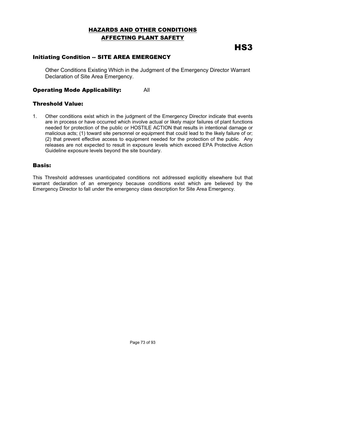# HS3

### Initiating Condition -- SITE AREA EMERGENCY

Other Conditions Existing Which in the Judgment of the Emergency Director Warrant Declaration of Site Area Emergency.

### **Operating Mode Applicability:** All

## Threshold Value:

1. Other conditions exist which in the judgment of the Emergency Director indicate that events are in process or have occurred which involve actual or likely major failures of plant functions needed for protection of the public or HOSTILE ACTION that results in intentional damage or malicious acts; (1) toward site personnel or equipment that could lead to the likely failure of or; (2) that prevent effective access to equipment needed for the protection of the public. Any releases are not expected to result in exposure levels which exceed EPA Protective Action Guideline exposure levels beyond the site boundary.

#### Basis:

This Threshold addresses unanticipated conditions not addressed explicitly elsewhere but that warrant declaration of an emergency because conditions exist which are believed by the Emergency Director to fall under the emergency class description for Site Area Emergency.

Page 73 of 93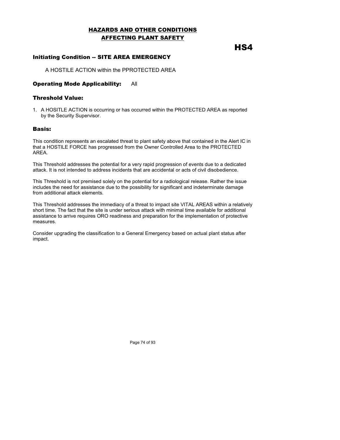## HS4

### Initiating Condition -- SITE AREA EMERGENCY

A HOSTILE ACTION within the PPROTECTED AREA

## **Operating Mode Applicability:** All

## Threshold Value:

1. A HOSITLE ACTION is occurring or has occurred within the PROTECTED AREA as reported by the Security Supervisor.

#### Basis:

This condition represents an escalated threat to plant safety above that contained in the Alert IC in that a HOSTILE FORCE has progressed from the Owner Controlled Area to the PROTECTED AREA.

This Threshold addresses the potential for a very rapid progression of events due to a dedicated attack. It is not intended to address incidents that are accidental or acts of civil disobedience.

This Threshold is not premised solely on the potential for a radiological release. Rather the issue includes the need for assistance due to the possibility for significant and indeterminate damage from additional attack elements.

This Threshold addresses the immediacy of a threat to impact site VITAL AREAS within a relatively short time. The fact that the site is under serious attack with minimal time available for additional assistance to arrive requires ORO readiness and preparation for the implementation of protective measures.

Consider upgrading the classification to a General Emergency based on actual plant status after impact.

Page 74 of 93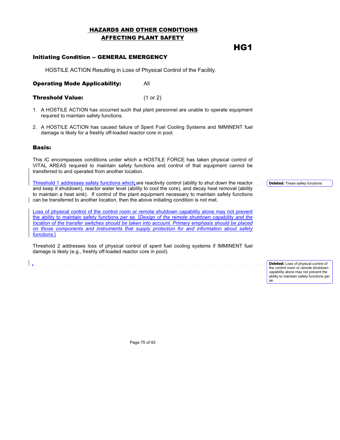HG1

#### Initiating Condition -- GENERAL EMERGENCY

HOSTILE ACTION Resulting in Loss of Physical Control of the Facility.

**Operating Mode Applicability:** All

Threshold Value: (1 or 2)

- 1. A HOSTILE ACTION has occurred such that plant personnel are unable to operate equipment required to maintain safety functions.
- 2. A HOSTILE ACTION has caused failure of Spent Fuel Cooling Systems and IMMINENT fuel damage is likely for a freshly off-loaded reactor core in pool.

#### Basis:

This IC encompasses conditions under which a HOSTILE FORCE has taken physical control of VITAL AREAS required to maintain safety functions and control of that equipment cannot be transferred to and operated from another location.

Threshold 1 addresses safety functions which are reactivity control (ability to shut down the reactor and keep it shutdown), reactor water level (ability to cool the core), and decay heat removal (ability to maintain a heat sink). If control of the plant equipment necessary to maintain safety functions can be transferred to another location, then the above initiating condition is not met.

Loss of physical control of the control room or remote shutdown capability alone may not prevent the ability to maintain safety functions per se. [*Design of the remote shutdown capability and the location of the transfer switches should be taken into account. Primary emphasis should be placed on those components and instruments that supply protection for and information about safety functions.*]

Threshold 2 addresses loss of physical control of spent fuel cooling systems if IMMINENT fuel damage is likely (e.g., freshly off-loaded reactor core in pool).

**Deleted:** These safety functions

**Deleted:** Loss of physical control of the control room or remote shutdown capability alone may not prevent the ability to maintain safety functions per se.

Page 75 of 93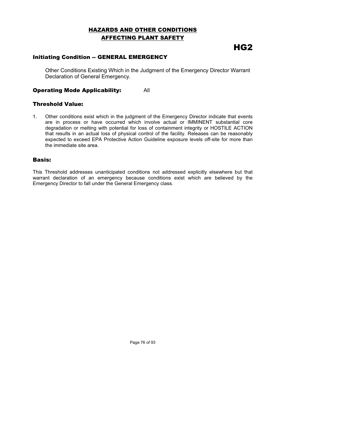# HG2

#### Initiating Condition -- GENERAL EMERGENCY

Other Conditions Existing Which in the Judgment of the Emergency Director Warrant Declaration of General Emergency.

### **Operating Mode Applicability:** All

#### Threshold Value:

1. Other conditions exist which in the judgment of the Emergency Director indicate that events are in process or have occurred which involve actual or IMMINENT substantial core degradation or melting with potential for loss of containment integrity or HOSTILE ACTION that results in an actual loss of physical control of the facility. Releases can be reasonably expected to exceed EPA Protective Action Guideline exposure levels off-site for more than the immediate site area.

#### Basis:

This Threshold addresses unanticipated conditions not addressed explicitly elsewhere but that warrant declaration of an emergency because conditions exist which are believed by the Emergency Director to fall under the General Emergency class.

Page 76 of 93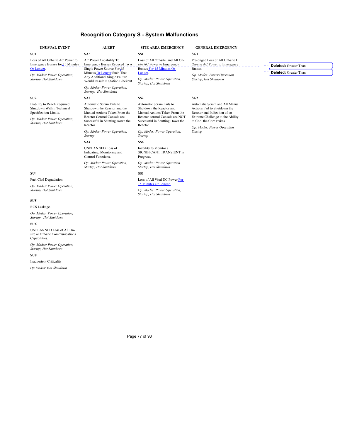## **Recognition Category S - System Malfunctions**

| <b>UNUSUAL EVENT</b>                                                                                                                      | <b>ALERT</b>                                                                                                                                                                               | <b>SITE AREA EMERGENCY</b>                                                                                                                                             | <b>GENERAL EMERGENCY</b>                                                                                                                                                                                 |                              |
|-------------------------------------------------------------------------------------------------------------------------------------------|--------------------------------------------------------------------------------------------------------------------------------------------------------------------------------------------|------------------------------------------------------------------------------------------------------------------------------------------------------------------------|----------------------------------------------------------------------------------------------------------------------------------------------------------------------------------------------------------|------------------------------|
| SU1                                                                                                                                       | SA <sub>5</sub>                                                                                                                                                                            | SS <sub>1</sub>                                                                                                                                                        | SG1                                                                                                                                                                                                      |                              |
| Loss of All Off-site AC Power to<br>Emergency Busses for 15 Minutes<br>Or Longer.<br>Op. Modes: Power Operation,<br>Startup, Hot Shutdown | AC Power Capability To<br>Emergency Busses Reduced To A<br>Single Power Source For 15<br>Minutes Or Longer Such That<br>Any Additional Single Failure<br>Would Result In Station Blackout. | Loss of All Off-site and All On-<br>site AC Power to Emergency<br><b>Busses For 15 Minutes Or</b><br>Longer.<br>Op. Modes: Power Operation,<br>Startup, Hot Shutdown   | Prolonged Loss of All Off-site 1<br>On-site AC Power to Emergency<br>Busses.                                                                                                                             | <b>Deleted:</b> Greater Than |
|                                                                                                                                           |                                                                                                                                                                                            |                                                                                                                                                                        | Op. Modes: Power Operation,<br>Startup, Hot Shutdown                                                                                                                                                     | <b>Deleted:</b> Greater Than |
|                                                                                                                                           | Op. Modes: Power Operation,<br>Startup, Hot Shutdown                                                                                                                                       |                                                                                                                                                                        |                                                                                                                                                                                                          |                              |
| SU <sub>2</sub>                                                                                                                           | SA <sub>2</sub>                                                                                                                                                                            | SS <sub>2</sub>                                                                                                                                                        | SG2                                                                                                                                                                                                      |                              |
| Inability to Reach Required<br>Shutdown Within Technical<br>Specification Limits.<br>Op. Modes: Power Operation,<br>Startup, Hot Shutdown | Automatic Scram Fails to<br>Shutdown the Reactor and the<br>Manual Actions Taken From the<br>Reactor Control Console are<br>Successful in Shutting Down the<br>Reactor                     | Automatic Scram Fails to<br>Shutdown the Reactor and<br>Manual Actions Taken From the<br>Reactor control Console are NOT<br>Successful in Shutting Down the<br>Reactor | Automatic Scram and All Manual<br>Actions Fail to Shutdown the<br>Reactor and Indication of an<br>Extreme Challenge to the Ability<br>to Cool the Core Exists.<br>Op. Modes: Power Operation,<br>Startup |                              |
|                                                                                                                                           | Op. Modes: Power Operation,<br>Startup                                                                                                                                                     | Op. Modes: Power Operation,<br>Startup                                                                                                                                 |                                                                                                                                                                                                          |                              |
|                                                                                                                                           | SA4                                                                                                                                                                                        | SS6                                                                                                                                                                    |                                                                                                                                                                                                          |                              |
|                                                                                                                                           | <b>UNPLANNED Loss of</b><br>Indicating, Monitoring and<br>Control Functions.                                                                                                               | Inability to Monitor a<br>SIGNIFICANT TRANSIENT in<br>Progress.                                                                                                        |                                                                                                                                                                                                          |                              |
|                                                                                                                                           | Op. Modes: Power Operation,<br>Startup, Hot Shutdown                                                                                                                                       | Op. Modes: Power Operation,<br>Startup, Hot Shutdown                                                                                                                   |                                                                                                                                                                                                          |                              |
| SU <sub>4</sub>                                                                                                                           |                                                                                                                                                                                            | SS <sub>3</sub>                                                                                                                                                        |                                                                                                                                                                                                          |                              |
| Fuel Clad Degradation.                                                                                                                    |                                                                                                                                                                                            | Loss of All Vital DC Power For<br>15 Minutes Or Longer                                                                                                                 |                                                                                                                                                                                                          |                              |
| Op. Modes: Power Operation,<br>Startup, Hot Shutdown                                                                                      |                                                                                                                                                                                            | Op. Modes: Power Operation,<br>Startup, Hot Shutdown                                                                                                                   |                                                                                                                                                                                                          |                              |
| SU <sub>5</sub>                                                                                                                           |                                                                                                                                                                                            |                                                                                                                                                                        |                                                                                                                                                                                                          |                              |
| RCS Leakage.                                                                                                                              |                                                                                                                                                                                            |                                                                                                                                                                        |                                                                                                                                                                                                          |                              |

*Op. Modes: Power Operation, Startup, Hot Shutdown*

#### **SU6**

UNPLANNED Loss of All On-site or Off-site Communications Capabilities.

*Op. Modes: Power Operation, Startup, Hot Shutdown*

#### **SU8**

Inadvertent Criticality.

*Op Modes: Hot Shutdown*

Page 77 of 93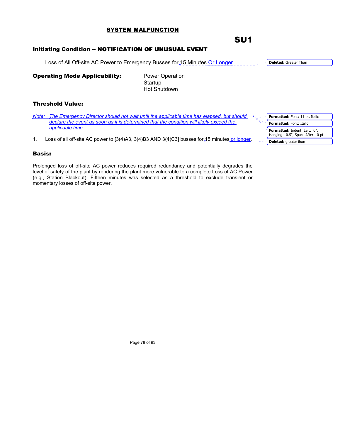SU1

## Initiating Condition -- NOTIFICATION OF UNUSUAL EVENT

Loss of All Off-site AC Power to Emergency Busses for 15 Minutes Or Longer. **Deleted:** Greater Than

**Operating Mode Applicability:** Power Operation

**Startup** Hot Shutdown

## Threshold Value:

- *Note: The Emergency Director should not wait until the applicable time has elapsed, but should declare the event as soon as it is determined that the condition will likely exceed the applicable time.*
- 1. Loss of all off-site AC power to [3(4)A3, 3(4)B3 AND 3(4)C3] busses for 15 minutes or longer.

#### Basis:

Prolonged loss of off-site AC power reduces required redundancy and potentially degrades the level of safety of the plant by rendering the plant more vulnerable to a complete Loss of AC Power (e.g., Station Blackout). Fifteen minutes was selected as a threshold to exclude transient or momentary losses of off-site power.

**Formatted:** Font: 11 pt, Italic **Formatted:** Font: Italic **Formatted:** Indent: Left: 0", Hanging: 0.5", Space After: 0 pt **Deleted:** greater than

Page 78 of 93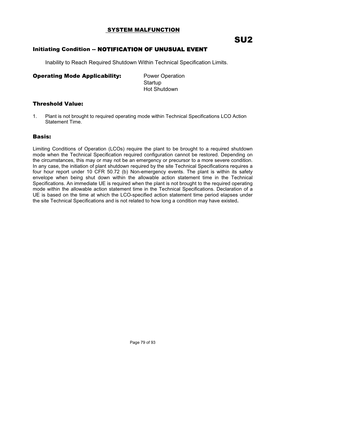# SU2

## Initiating Condition -- NOTIFICATION OF UNUSUAL EVENT

Inability to Reach Required Shutdown Within Technical Specification Limits.

**Operating Mode Applicability:** Power Operation

**Startup** Hot Shutdown

## Threshold Value:

1. Plant is not brought to required operating mode within Technical Specifications LCO Action Statement Time.

#### Basis:

Limiting Conditions of Operation (LCOs) require the plant to be brought to a required shutdown mode when the Technical Specification required configuration cannot be restored. Depending on the circumstances, this may or may not be an emergency or precursor to a more severe condition. In any case, the initiation of plant shutdown required by the site Technical Specifications requires a four hour report under 10 CFR 50.72 (b) Non-emergency events. The plant is within its safety envelope when being shut down within the allowable action statement time in the Technical Specifications. An immediate UE is required when the plant is not brought to the required operating mode within the allowable action statement time in the Technical Specifications. Declaration of a UE is based on the time at which the LCO-specified action statement time period elapses under the site Technical Specifications and is not related to how long a condition may have existed**.**

Page 79 of 93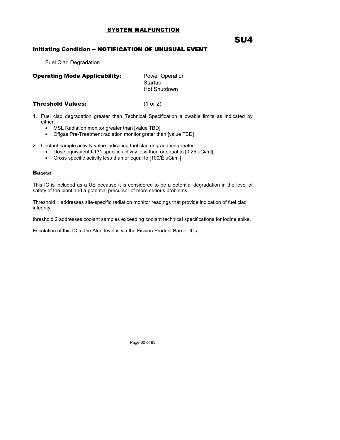## SU4

## Initiating Condition -- NOTIFICATION OF UNUSUAL EVENT

Fuel Clad Degradation

| <b>Operating Mode Applicability:</b> | <b>Power Operation</b> |
|--------------------------------------|------------------------|
|                                      | Startup                |
|                                      | Hot Shutdown           |

#### Threshold Values: (1 or 2)

1. Fuel clad degradation greater than Technical Specification allowable limits as indicated by either:

- MSL Radiation monitor greater than [value TBD]
- Offgas Pre-Treatment radiation monitor grater than [value TBD]

2. Coolant sample activity value indicating fuel clad degradation greater:

- Dose equivalent I-131 specific activity less than or equal to [0.25 uCi/ml]
- Gross specific activity less than or equal to  $[100/\bar{E} \text{ uCi/ml}]$

#### Basis:

This IC is included as a UE because it is considered to be a potential degradation in the level of safety of the plant and a potential precursor of more serious problems.

Threshold 1 addresses site-specific radiation monitor readings that provide indication of fuel clad integrity.

threshold 2 addresses coolant samples exceeding coolant technical specifications for iodine spike.

Escalation of this IC to the Alert level is via the Fission Product Barrier ICs.

Page 80 of 93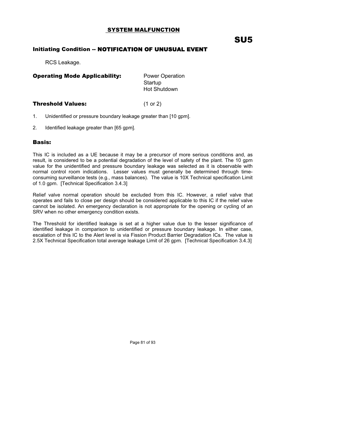## SU5

## Initiating Condition -- NOTIFICATION OF UNUSUAL EVENT

RCS Leakage.

| <b>Operating Mode Applicability:</b> | <b>Power Operation</b><br>Startup<br>Hot Shutdown |
|--------------------------------------|---------------------------------------------------|
|                                      |                                                   |

## Threshold Values: (1 or 2)

- 1. Unidentified or pressure boundary leakage greater than [10 gpm].
- 2. Identified leakage greater than [65 gpm].

#### Basis:

This IC is included as a UE because it may be a precursor of more serious conditions and, as result, is considered to be a potential degradation of the level of safety of the plant. The 10 gpm value for the unidentified and pressure boundary leakage was selected as it is observable with normal control room indications. Lesser values must generally be determined through timeconsuming surveillance tests (e.g., mass balances). The value is 10X Technical specification Limit of 1.0 gpm. [Technical Specification 3.4.3]

Relief valve normal operation should be excluded from this IC. However, a relief valve that operates and fails to close per design should be considered applicable to this IC if the relief valve cannot be isolated. An emergency declaration is not appropriate for the opening or cycling of an SRV when no other emergency condition exists.

The Threshold for identified leakage is set at a higher value due to the lesser significance of identified leakage in comparison to unidentified or pressure boundary leakage. In either case, escalation of this IC to the Alert level is via Fission Product Barrier Degradation ICs. The value is 2.5X Technical Specification total average leakage Limit of 26 gpm. [Technical Specification 3.4.3]

Page 81 of 93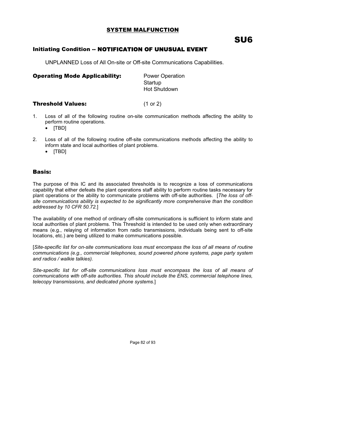## SU6

## Initiating Condition -- NOTIFICATION OF UNUSUAL EVENT

UNPLANNED Loss of All On-site or Off-site Communications Capabilities.

| <b>Operating Mode Applicability:</b> | <b>Power Operation</b><br>Startup<br>Hot Shutdown |
|--------------------------------------|---------------------------------------------------|
|                                      |                                                   |

#### Threshold Values: (1 or 2)

- 1. Loss of all of the following routine on-site communication methods affecting the ability to perform routine operations.
	- [TBD]
- 2. Loss of all of the following routine off-site communications methods affecting the ability to inform state and local authorities of plant problems.
	- [TBD]

#### Basis:

The purpose of this IC and its associated thresholds is to recognize a loss of communications capability that either defeats the plant operations staff ability to perform routine tasks necessary for plant operations or the ability to communicate problems with off-site authorities. [*The loss of offsite communications ability is expected to be significantly more comprehensive than the condition addressed by 10 CFR 50.72.*]

The availability of one method of ordinary off-site communications is sufficient to inform state and local authorities of plant problems. This Threshold is intended to be used only when extraordinary means (e.g., relaying of information from radio transmissions, individuals being sent to off-site locations, etc.) are being utilized to make communications possible.

[*Site-specific list for on-site communications loss must encompass the loss of all means of routine communications (e.g., commercial telephones, sound powered phone systems, page party system and radios / walkie talkies).* 

Site-specific list for off-site communications loss must encompass the loss of all means of *communications with off-site authorities. This should include the ENS, commercial telephone lines, telecopy transmissions, and dedicated phone systems.*]

Page 82 of 93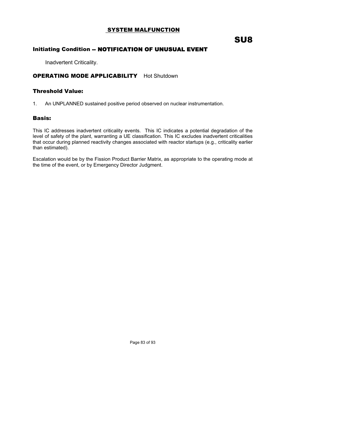## SU8

## Initiating Condition-- NOTIFICATION OF UNUSUAL EVENT

Inadvertent Criticality.

## **OPERATING MODE APPLICABILITY** Hot Shutdown

#### Threshold Value:

1. An UNPLANNED sustained positive period observed on nuclear instrumentation.

#### Basis:

This IC addresses inadvertent criticality events. This IC indicates a potential degradation of the level of safety of the plant, warranting a UE classification. This IC excludes inadvertent criticalities that occur during planned reactivity changes associated with reactor startups (e.g., criticality earlier than estimated).

Escalation would be by the Fission Product Barrier Matrix, as appropriate to the operating mode at the time of the event, or by Emergency Director Judgment.

Page 83 of 93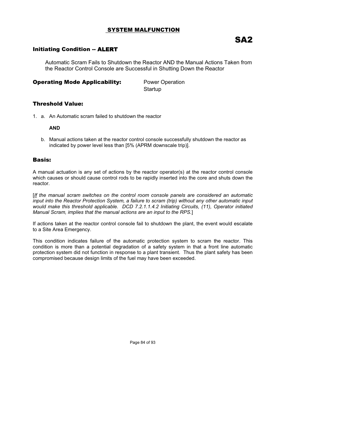# SA<sub>2</sub>

#### **Initiating Condition -- ALERT**

Automatic Scram Fails to Shutdown the Reactor AND the Manual Actions Taken from the Reactor Control Console are Successful in Shutting Down the Reactor

**Operating Mode Applicability:** Power Operation

**Startup** 

## Threshold Value:

1. a. An Automatic scram failed to shutdown the reactor

#### **AND**

 b. Manual actions taken at the reactor control console successfully shutdown the reactor as indicated by power level less than [5% (APRM downscale trip)].

#### Basis:

A manual actuation is any set of actions by the reactor operator(s) at the reactor control console which causes or should cause control rods to be rapidly inserted into the core and shuts down the reactor.

[*If the manual scram switches on the control room console panels are considered an automatic input into the Reactor Protection System, a failure to scram (trip) without any other automatic input would make this threshold applicable. DCD 7.2.1.1.4.2 Initiating Circuits, (11), Operator initiated Manual Scram, implies that the manual actions are an input to the RPS.*]

If actions taken at the reactor control console fail to shutdown the plant, the event would escalate to a Site Area Emergency.

This condition indicates failure of the automatic protection system to scram the reactor. This condition is more than a potential degradation of a safety system in that a front line automatic protection system did not function in response to a plant transient. Thus the plant safety has been compromised because design limits of the fuel may have been exceeded.

Page 84 of 93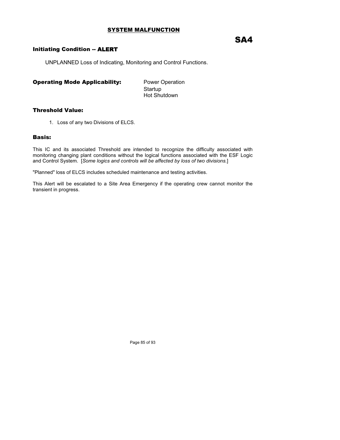SA4

## **Initiating Condition -- ALERT**

UNPLANNED Loss of Indicating, Monitoring and Control Functions.

**Operating Mode Applicability:** Power Operation

**Startup** Hot Shutdown

### Threshold Value:

1. Loss of any two Divisions of ELCS.

#### Basis:

This IC and its associated Threshold are intended to recognize the difficulty associated with monitoring changing plant conditions without the logical functions associated with the ESF Logic and Control System. [*Some logics and controls will be affected by loss of two divisions.*]

"Planned" loss of ELCS includes scheduled maintenance and testing activities.

This Alert will be escalated to a Site Area Emergency if the operating crew cannot monitor the transient in progress.

Page 85 of 93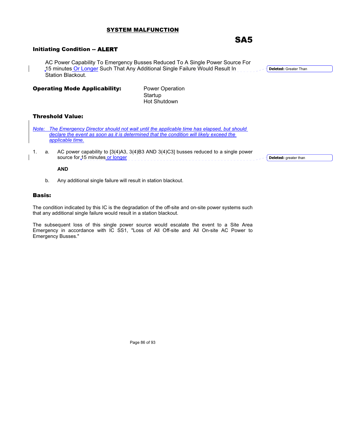## SA<sub>5</sub>

#### **Initiating Condition -- ALERT**

AC Power Capability To Emergency Busses Reduced To A Single Power Source For 15 minutes Or Longer Such That Any Additional Single Failure Would Result In Station Blackout. Deleted: Greater Than

**Operating Mode Applicability:** Power Operation

**Startup** Hot Shutdown

## Threshold Value:

*Note: The Emergency Director should not wait until the applicable time has elapsed, but should declare the event as soon as it is determined that the condition will likely exceed the applicable time.*

1. a. AC power capability to [3(4)A3, 3(4)B3 AND 3(4)C3] busses reduced to a single power source for 15 minutes or longer **Deleted:** greater than

#### **AND**

b. Any additional single failure will result in station blackout.

#### Basis:

The condition indicated by this IC is the degradation of the off-site and on-site power systems such that any additional single failure would result in a station blackout.

The subsequent loss of this single power source would escalate the event to a Site Area Emergency in accordance with IC SS1, "Loss of All Off-site and All On-site AC Power to Emergency Busses."

Page 86 of 93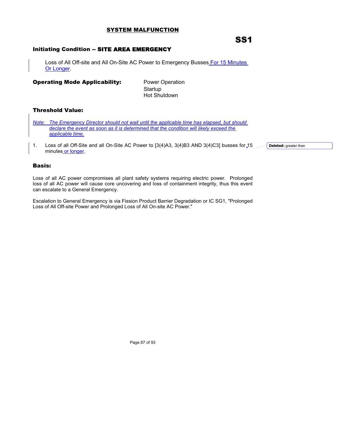## **Initiating Condition -- SITE AREA EMERGENCY**

Loss of All Off-site and All On-Site AC Power to Emergency Busses For 15 Minutes Or Longer.

**Operating Mode Applicability:** Power Operation

**Startup** Hot Shutdown

#### Threshold Value:

*Note: The Emergency Director should not wait until the applicable time has elapsed, but should declare the event as soon as it is determined that the condition will likely exceed the applicable time.*

1. Loss of all Off-Site and all On-Site AC Power to [3(4)A3, 3(4)B3 AND 3(4)C3] busses for 15 **Lear 1** Deleted: greater than minutes or longer.

#### Basis:

Loss of all AC power compromises all plant safety systems requiring electric power. Prolonged loss of all AC power will cause core uncovering and loss of containment integrity, thus this event can escalate to a General Emergency.

Escalation to General Emergency is via Fission Product Barrier Degradation or IC SG1, "Prolonged Loss of All Off-site Power and Prolonged Loss of All On-site AC Power."

Page 87 of 93

# SS1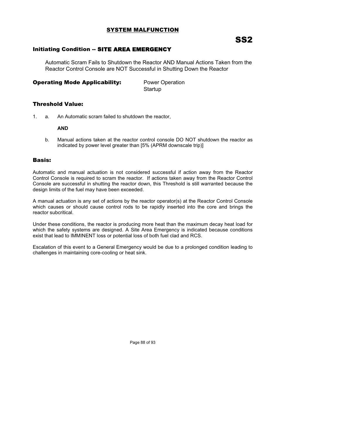# SS2

## **Initiating Condition -- SITE AREA EMERGENCY**

Automatic Scram Fails to Shutdown the Reactor AND Manual Actions Taken from the Reactor Control Console are NOT Successful in Shutting Down the Reactor

**Operating Mode Applicability:** Power Operation

**Startup** 

#### Threshold Value:

1. a. An Automatic scram failed to shutdown the reactor,

#### **AND**

 b. Manual actions taken at the reactor control console DO NOT shutdown the reactor as indicated by power level greater than [5% (APRM downscale trip)]

#### Basis:

Automatic and manual actuation is not considered successful if action away from the Reactor Control Console is required to scram the reactor. If actions taken away from the Reactor Control Console are successful in shutting the reactor down, this Threshold is still warranted because the design limits of the fuel may have been exceeded.

A manual actuation is any set of actions by the reactor operator(s) at the Reactor Control Console which causes or should cause control rods to be rapidly inserted into the core and brings the reactor subcritical.

Under these conditions, the reactor is producing more heat than the maximum decay heat load for which the safety systems are designed. A Site Area Emergency is indicated because conditions exist that lead to IMMINENT loss or potential loss of both fuel clad and RCS.

Escalation of this event to a General Emergency would be due to a prolonged condition leading to challenges in maintaining core-cooling or heat sink.

Page 88 of 93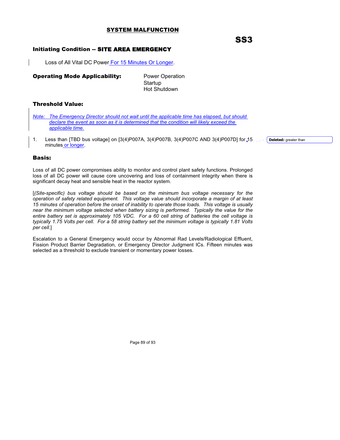SS3

## **Initiating Condition -- SITE AREA EMERGENCY**

Loss of All Vital DC Power For 15 Minutes Or Longer.

**Operating Mode Applicability:** Power Operation

**Startup** Hot Shutdown

## Threshold Value:

*Note: The Emergency Director should not wait until the applicable time has elapsed, but should declare the event as soon as it is determined that the condition will likely exceed the applicable time.*

1. Less than [TBD bus voltage] on [3(4)P007A, 3(4)P007B, 3(4)P007C AND 3(4)P007D] for 15 **Deleted:** greater than minutes or longer.

#### Basis:

Loss of all DC power compromises ability to monitor and control plant safety functions. Prolonged loss of all DC power will cause core uncovering and loss of containment integrity when there is significant decay heat and sensible heat in the reactor system.

[*(Site-specific) bus voltage should be based on the minimum bus voltage necessary for the operation of safety related equipment. This voltage value should incorporate a margin of at least 15 minutes of operation before the onset of inability to operate those loads. This voltage is usually near the minimum voltage selected when battery sizing is performed. Typically the value for the entire battery set is approximately 105 VDC. For a 60 cell string of batteries the cell voltage is typically 1.75 Volts per cell. For a 58 string battery set the minimum voltage is typically 1.81 Volts per cell.*]

Escalation to a General Emergency would occur by Abnormal Rad Levels/Radiological Effluent, Fission Product Barrier Degradation, or Emergency Director Judgment ICs. Fifteen minutes was selected as a threshold to exclude transient or momentary power losses.

Page 89 of 93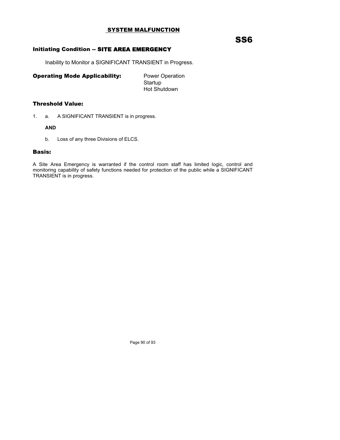## SS6

## **Initiating Condition -- SITE AREA EMERGENCY**

Inability to Monitor a SIGNIFICANT TRANSIENT in Progress.

**Operating Mode Applicability:** Power Operation

**Startup** Hot Shutdown

### Threshold Value:

1. a. A SIGNIFICANT TRANSIENT is in progress.

#### **AND**

b. Loss of any three Divisions of ELCS.

#### Basis:

A Site Area Emergency is warranted if the control room staff has limited logic, control and monitoring capability of safety functions needed for protection of the public while a SIGNIFICANT TRANSIENT is in progress.

Page 90 of 93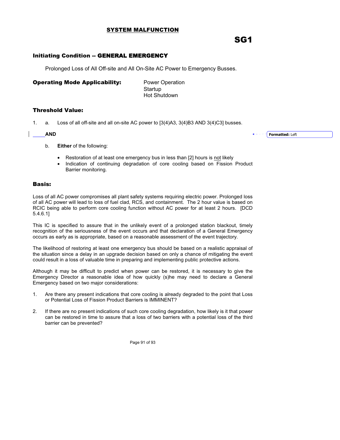# SG1

## **Initiating Condition -- GENERAL EMERGENCY**

Prolonged Loss of All Off-site and All On-Site AC Power to Emergency Busses.

## **Operating Mode Applicability:** Power Operation

**Startup** Hot Shutdown

## Threshold Value:

1. a. Loss of all off-site and all on-site AC power to [3(4)A3, 3(4)B3 AND 3(4)C3] busses.

#### **AND**

**Formatted:** Left

- b. **Either** of the following:
	- Restoration of at least one emergency bus in less than [2] hours is not likely
	- Indication of continuing degradation of core cooling based on Fission Product Barrier monitoring.

#### Basis:

Loss of all AC power compromises all plant safety systems requiring electric power. Prolonged loss of all AC power will lead to loss of fuel clad, RCS, and containment. The 2 hour value is based on RCIC being able to perform core cooling function without AC power for at least 2 hours. [DCD 5.4.6.1]

This IC is specified to assure that in the unlikely event of a prolonged station blackout, timely recognition of the seriousness of the event occurs and that declaration of a General Emergency occurs as early as is appropriate, based on a reasonable assessment of the event trajectory.

The likelihood of restoring at least one emergency bus should be based on a realistic appraisal of the situation since a delay in an upgrade decision based on only a chance of mitigating the event could result in a loss of valuable time in preparing and implementing public protective actions.

Although it may be difficult to predict when power can be restored, it is necessary to give the Emergency Director a reasonable idea of how quickly (s)he may need to declare a General Emergency based on two major considerations:

- 1. Are there any present indications that core cooling is already degraded to the point that Loss or Potential Loss of Fission Product Barriers is IMMINENT?
- 2. If there are no present indications of such core cooling degradation, how likely is it that power can be restored in time to assure that a loss of two barriers with a potential loss of the third barrier can be prevented?

Page 91 of 93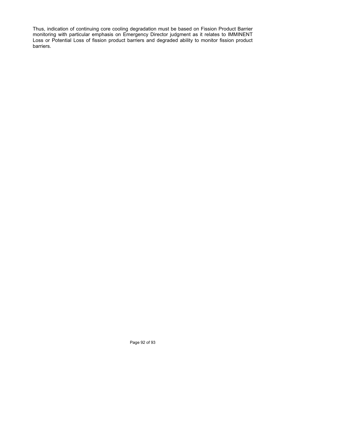Thus, indication of continuing core cooling degradation must be based on Fission Product Barrier monitoring with particular emphasis on Emergency Director judgment as it relates to IMMINENT Loss or Potential Loss of fission product barriers and degraded ability to monitor fission product barriers.

Page 92 of 93